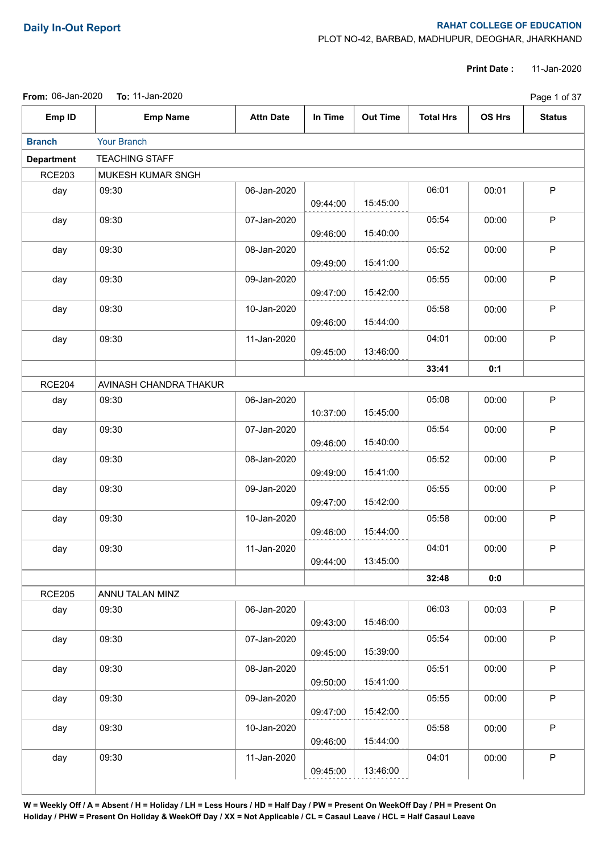## **Daily In-Out Report RAHAT COLLEGE OF EDUCATION**

PLOT NO-42, BARBAD, MADHUPUR, DEOGHAR, JHARKHAND

**Print Date :** 11-Jan-2020

|                   | From: 06-Jan-2020  To: 11-Jan-2020 |                  |          |                 |                  |               | Page 1 of 37  |
|-------------------|------------------------------------|------------------|----------|-----------------|------------------|---------------|---------------|
| Emp ID            | <b>Emp Name</b>                    | <b>Attn Date</b> | In Time  | <b>Out Time</b> | <b>Total Hrs</b> | <b>OS Hrs</b> | <b>Status</b> |
| <b>Branch</b>     | Your Branch                        |                  |          |                 |                  |               |               |
| <b>Department</b> | <b>TEACHING STAFF</b>              |                  |          |                 |                  |               |               |
| <b>RCE203</b>     | MUKESH KUMAR SNGH                  |                  |          |                 |                  |               |               |
| day               | 09:30                              | 06-Jan-2020      | 09:44:00 | 15:45:00        | 06:01            | 00:01         | P             |
| day               | 09:30                              | 07-Jan-2020      | 09:46:00 | 15:40:00        | 05:54            | 00:00         | P             |
| day               | 09:30                              | 08-Jan-2020      | 09:49:00 | 15:41:00        | 05:52            | 00:00         | $\mathsf P$   |
| day               | 09:30                              | 09-Jan-2020      | 09:47:00 | 15:42:00        | 05:55            | 00:00         | $\mathsf P$   |
| day               | 09:30                              | 10-Jan-2020      | 09:46:00 | 15:44:00        | 05:58            | 00:00         | P             |
| day               | 09:30                              | 11-Jan-2020      | 09:45:00 | 13:46:00        | 04:01            | 00:00         | $\mathsf P$   |
|                   |                                    |                  |          |                 | 33:41            | 0:1           |               |
| <b>RCE204</b>     | AVINASH CHANDRA THAKUR             |                  |          |                 |                  |               |               |
| day               | 09:30                              | 06-Jan-2020      | 10:37:00 | 15:45:00        | 05:08            | 00:00         | $\mathsf P$   |
| day               | 09:30                              | 07-Jan-2020      | 09:46:00 | 15:40:00        | 05:54            | 00:00         | P             |
| day               | 09:30                              | 08-Jan-2020      | 09:49:00 | 15:41:00        | 05:52            | 00:00         | $\mathsf P$   |
| day               | 09:30                              | 09-Jan-2020      | 09:47:00 | 15:42:00        | 05:55            | 00:00         | $\mathsf P$   |
| day               | 09:30                              | 10-Jan-2020      | 09:46:00 | 15:44:00        | 05:58            | 00:00         | $\mathsf P$   |
| day               | 09:30                              | 11-Jan-2020      | 09:44:00 | 13:45:00        | 04:01            | 00:00         | P             |
|                   |                                    |                  |          |                 | 32:48            | 0:0           |               |
| <b>RCE205</b>     | ANNU TALAN MINZ                    |                  |          |                 |                  |               |               |
| day               | 09:30                              | 06-Jan-2020      | 09:43:00 | 15:46:00        | 06:03            | 00:03         | $\mathsf P$   |
| day               | 09:30                              | 07-Jan-2020      | 09:45:00 | 15:39:00        | 05:54            | 00:00         | $\mathsf P$   |
| day               | 09:30                              | 08-Jan-2020      | 09:50:00 | 15:41:00        | 05:51            | 00:00         | P             |
| day               | 09:30                              | 09-Jan-2020      | 09:47:00 | 15:42:00        | 05:55            | 00:00         | P             |
| day               | 09:30                              | 10-Jan-2020      | 09:46:00 | 15:44:00        | 05:58            | 00:00         | $\mathsf P$   |
| day               | 09:30                              | 11-Jan-2020      | 09:45:00 | 13:46:00        | 04:01            | 00:00         | P             |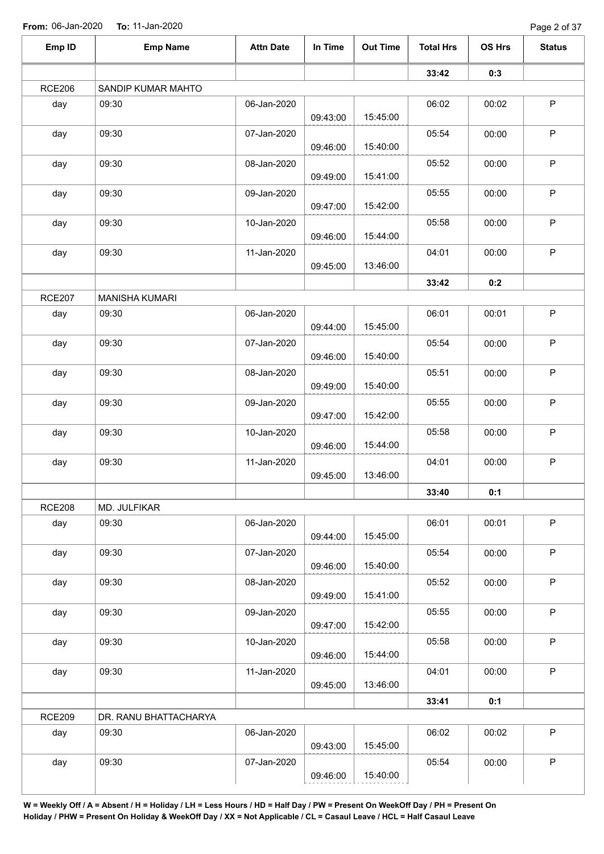Page 2 of 37

| Emp ID        | <b>Emp Name</b>       | <b>Attn Date</b> | In Time  | <b>Out Time</b> | <b>Total Hrs</b> | OS Hrs | <b>Status</b> |
|---------------|-----------------------|------------------|----------|-----------------|------------------|--------|---------------|
|               |                       |                  |          |                 | 33:42            | 0:3    |               |
| <b>RCE206</b> | SANDIP KUMAR MAHTO    |                  |          |                 |                  |        |               |
| day           | 09:30                 | 06-Jan-2020      | 09:43:00 | 15:45:00        | 06:02            | 00:02  | $\sf P$       |
| day           | 09:30                 | 07-Jan-2020      |          |                 | 05:54            | 00:00  | $\mathsf P$   |
| day           | 09:30                 | 08-Jan-2020      | 09:46:00 | 15:40:00        | 05:52            | 00:00  | $\mathsf P$   |
|               |                       |                  | 09:49:00 | 15:41:00        |                  |        |               |
| day           | 09:30                 | 09-Jan-2020      | 09:47:00 | 15:42:00        | 05:55            | 00:00  | $\mathsf P$   |
| day           | 09:30                 | 10-Jan-2020      | 09:46:00 | 15:44:00        | 05:58            | 00:00  | $\sf P$       |
| day           | 09:30                 | 11-Jan-2020      | 09:45:00 | 13:46:00        | 04:01            | 00:00  | $\sf P$       |
|               |                       |                  |          |                 | 33:42            | 0:2    |               |
| <b>RCE207</b> | <b>MANISHA KUMARI</b> |                  |          |                 |                  |        |               |
| day           | 09:30                 | 06-Jan-2020      | 09:44:00 | 15:45:00        | 06:01            | 00:01  | $\sf P$       |
| day           | 09:30                 | 07-Jan-2020      | 09:46:00 | 15:40:00        | 05:54            | 00:00  | P             |
| day           | 09:30                 | 08-Jan-2020      |          | 15:40:00        | 05:51            | 00:00  | $\mathsf P$   |
| day           | 09:30                 | 09-Jan-2020      | 09:49:00 |                 | 05:55            | 00:00  | $\mathsf P$   |
| day           | 09:30                 | 10-Jan-2020      | 09:47:00 | 15:42:00        | 05:58            | 00:00  | $\mathsf P$   |
|               |                       |                  | 09:46:00 | 15:44:00        |                  |        |               |
| day           | 09:30                 | 11-Jan-2020      | 09:45:00 | 13:46:00        | 04:01            | 00:00  | $\mathsf P$   |
|               |                       |                  |          |                 | 33:40            | 0:1    |               |
| <b>RCE208</b> | MD. JULFIKAR          |                  |          |                 |                  |        |               |
| day           | 09:30                 | 06-Jan-2020      | 09:44:00 | 15:45:00        | 06:01            | 00:01  | $\mathsf P$   |
| day           | 09:30                 | 07-Jan-2020      | 09:46:00 | 15:40:00        | 05:54            | 00:00  | $\mathsf P$   |
| day           | 09:30                 | 08-Jan-2020      | 09:49:00 | 15:41:00        | 05:52            | 00:00  | $\mathsf P$   |
| day           | 09:30                 | 09-Jan-2020      |          |                 | 05:55            | 00:00  | $\sf P$       |
| day           | 09:30                 | 10-Jan-2020      | 09:47:00 | 15:42:00        | 05:58            | 00:00  | $\mathsf P$   |
|               |                       |                  | 09:46:00 | 15:44:00        |                  |        |               |
| day           | 09:30                 | 11-Jan-2020      | 09:45:00 | 13:46:00        | 04:01            | 00:00  | $\mathsf P$   |
|               |                       |                  |          |                 | 33:41            | 0:1    |               |
| <b>RCE209</b> | DR. RANU BHATTACHARYA |                  |          |                 |                  |        |               |
| day           | 09:30                 | 06-Jan-2020      | 09:43:00 | 15:45:00        | 06:02            | 00:02  | $\mathsf P$   |
| day           | 09:30                 | 07-Jan-2020      | 09:46:00 | 15:40:00        | 05:54            | 00:00  | $\sf P$       |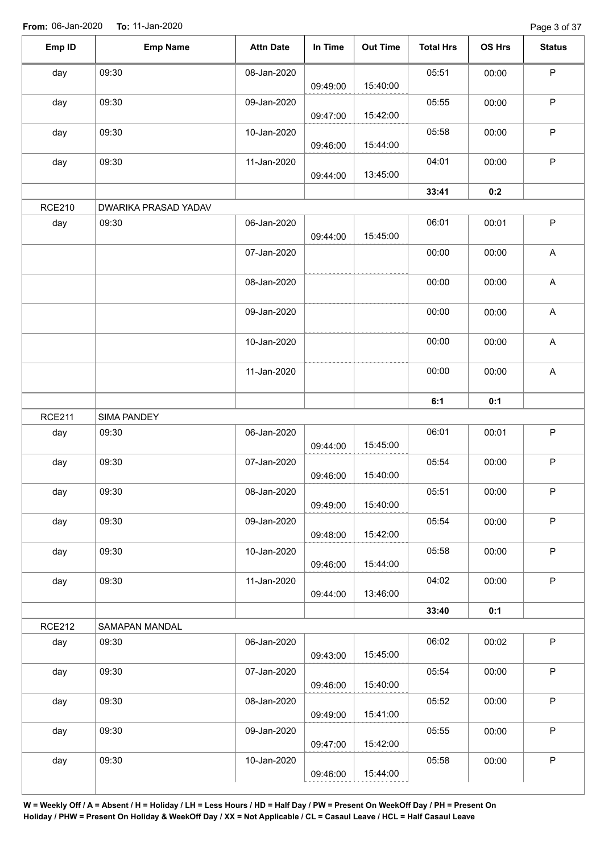Page 3 of 37

| Emp ID        | <b>Emp Name</b>      | <b>Attn Date</b> | In Time  | <b>Out Time</b> | <b>Total Hrs</b> | OS Hrs | <b>Status</b> |
|---------------|----------------------|------------------|----------|-----------------|------------------|--------|---------------|
| day           | 09:30                | 08-Jan-2020      |          |                 | 05:51            | 00:00  | $\sf P$       |
|               |                      |                  | 09:49:00 | 15:40:00        |                  |        |               |
| day           | 09:30                | 09-Jan-2020      |          |                 | 05:55            | 00:00  | $\sf P$       |
|               |                      |                  | 09:47:00 | 15:42:00        |                  |        |               |
| day           | 09:30                | 10-Jan-2020      |          |                 | 05:58            | 00:00  | $\sf P$       |
|               |                      |                  | 09:46:00 | 15:44:00        |                  |        |               |
| day           | 09:30                | 11-Jan-2020      |          |                 | 04:01            | 00:00  | $\sf P$       |
|               |                      |                  | 09:44:00 | 13:45:00        |                  |        |               |
|               |                      |                  |          |                 | 33:41            | 0:2    |               |
| <b>RCE210</b> | DWARIKA PRASAD YADAV |                  |          |                 |                  |        |               |
| day           | 09:30                | 06-Jan-2020      | 09:44:00 | 15:45:00        | 06:01            | 00:01  | $\sf P$       |
|               |                      | 07-Jan-2020      |          |                 | 00:00            | 00:00  | $\mathsf A$   |
|               |                      | 08-Jan-2020      |          |                 | 00:00            | 00:00  | $\mathsf A$   |
|               |                      |                  |          |                 |                  |        |               |
|               |                      | 09-Jan-2020      |          |                 | 00:00            | 00:00  | $\mathsf{A}$  |
|               |                      | 10-Jan-2020      |          |                 | 00:00            | 00:00  | $\mathsf A$   |
|               |                      | 11-Jan-2020      |          |                 | 00:00            | 00:00  | $\mathsf{A}$  |
|               |                      |                  |          |                 |                  |        |               |
|               |                      |                  |          |                 | 6:1              | 0:1    |               |
| <b>RCE211</b> | SIMA PANDEY          |                  |          |                 |                  |        |               |
| day           | 09:30                | 06-Jan-2020      | 09:44:00 | 15:45:00        | 06:01            | 00:01  | $\sf P$       |
|               |                      |                  |          |                 |                  |        | $\sf P$       |
| day           | 09:30                | 07-Jan-2020      | 09:46:00 | 15:40:00        | 05:54            | 00:00  |               |
| day           | 09:30                | 08-Jan-2020      |          |                 | 05:51            | 00:00  | P             |
|               |                      |                  | 09:49:00 | 15:40:00        |                  |        |               |
| day           | 09:30                | 09-Jan-2020      |          |                 | 05:54            | 00:00  | P             |
|               |                      |                  | 09:48:00 | 15:42:00        |                  |        |               |
| day           | 09:30                | 10-Jan-2020      |          |                 | 05:58            | 00:00  | $\mathsf P$   |
|               |                      |                  | 09:46:00 | 15:44:00        |                  |        |               |
| day           | 09:30                | 11-Jan-2020      |          |                 | 04:02            | 00:00  | $\mathsf P$   |
|               |                      |                  | 09:44:00 | 13:46:00        |                  |        |               |
|               |                      |                  |          |                 | 33:40            | 0:1    |               |
| <b>RCE212</b> | SAMAPAN MANDAL       |                  |          |                 |                  |        |               |
| day           | 09:30                | 06-Jan-2020      |          |                 | 06:02            | 00:02  | P             |
|               |                      |                  | 09:43:00 | 15:45:00        |                  |        |               |
| day           | 09:30                | 07-Jan-2020      |          |                 | 05:54            | 00:00  | P             |
|               |                      |                  | 09:46:00 | 15:40:00        |                  |        |               |
| day           | 09:30                | 08-Jan-2020      |          |                 | 05:52            | 00:00  | $\mathsf P$   |
|               |                      |                  | 09:49:00 | 15:41:00        |                  |        |               |
| day           | 09:30                | 09-Jan-2020      |          |                 | 05:55            | 00:00  | $\mathsf{P}$  |
|               |                      |                  | 09:47:00 | 15:42:00        |                  |        |               |
| day           | 09:30                | 10-Jan-2020      |          |                 | 05:58            | 00:00  | $\mathsf P$   |
|               |                      |                  |          |                 |                  |        |               |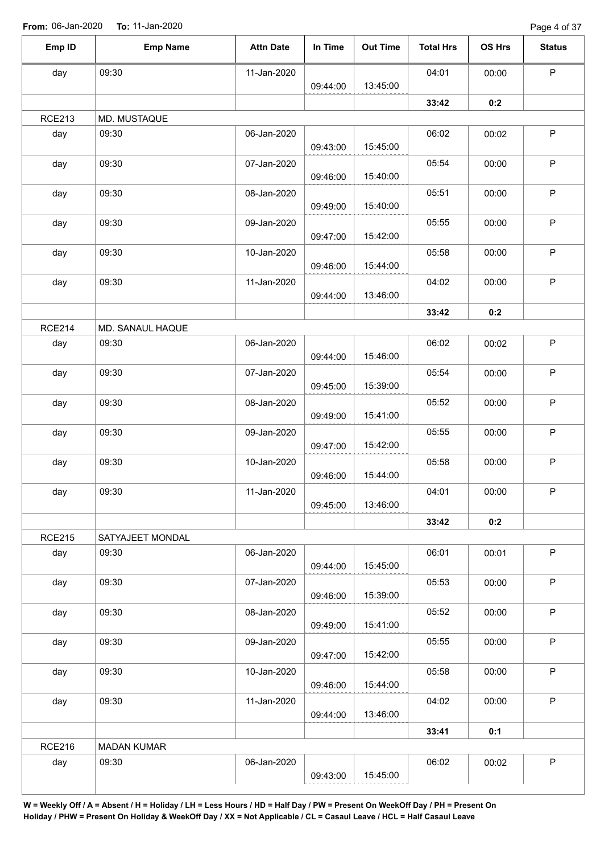Page 4 of 37

| Emp ID        | <b>Emp Name</b>    | <b>Attn Date</b> | In Time  | <b>Out Time</b> | <b>Total Hrs</b> | OS Hrs | <b>Status</b> |
|---------------|--------------------|------------------|----------|-----------------|------------------|--------|---------------|
| day           | 09:30              | 11-Jan-2020      |          |                 | 04:01            | 00:00  | $\mathsf P$   |
|               |                    |                  | 09:44:00 | 13:45:00        |                  |        |               |
|               |                    |                  |          |                 | 33:42            | 0:2    |               |
| <b>RCE213</b> | MD. MUSTAQUE       |                  |          |                 |                  |        |               |
| day           | 09:30              | 06-Jan-2020      | 09:43:00 | 15:45:00        | 06:02            | 00:02  | $\sf P$       |
| day           | 09:30              | 07-Jan-2020      | 09:46:00 | 15:40:00        | 05:54            | 00:00  | $\mathsf P$   |
| day           | 09:30              | 08-Jan-2020      | 09:49:00 | 15:40:00        | 05:51            | 00:00  | $\mathsf P$   |
| day           | 09:30              | 09-Jan-2020      | 09:47:00 | 15:42:00        | 05:55            | 00:00  | $\mathsf P$   |
| day           | 09:30              | 10-Jan-2020      |          |                 | 05:58            | 00:00  | $\mathsf P$   |
| day           | 09:30              | 11-Jan-2020      | 09:46:00 | 15:44:00        | 04:02            | 00:00  | $\mathsf P$   |
|               |                    |                  | 09:44:00 | 13:46:00        | 33:42            | 0:2    |               |
| <b>RCE214</b> | MD. SANAUL HAQUE   |                  |          |                 |                  |        |               |
| day           | 09:30              | 06-Jan-2020      | 09:44:00 | 15:46:00        | 06:02            | 00:02  | $\mathsf P$   |
| day           | 09:30              | 07-Jan-2020      |          |                 | 05:54            | 00:00  | $\mathsf P$   |
| day           | 09:30              | 08-Jan-2020      | 09:45:00 | 15:39:00        | 05:52            | 00:00  | $\sf P$       |
| day           | 09:30              | 09-Jan-2020      | 09:49:00 | 15:41:00        | 05:55            | 00:00  | $\mathsf P$   |
| day           | 09:30              | 10-Jan-2020      | 09:47:00 | 15:42:00        | 05:58            | 00:00  | $\sf P$       |
|               |                    |                  | 09:46:00 | 15:44:00        |                  |        |               |
| day           | 09:30              | 11-Jan-2020      | 09:45:00 | 13:46:00        | 04:01            | 00:00  | P             |
|               |                    |                  |          |                 | 33:42            | 0:2    |               |
| <b>RCE215</b> | SATYAJEET MONDAL   |                  |          |                 |                  |        |               |
| day           | 09:30              | 06-Jan-2020      | 09:44:00 | 15:45:00        | 06:01            | 00:01  | P             |
| day           | 09:30              | 07-Jan-2020      | 09:46:00 | 15:39:00        | 05:53            | 00:00  | P             |
| day           | 09:30              | 08-Jan-2020      | 09:49:00 | 15:41:00        | 05:52            | 00:00  | $\mathsf{P}$  |
| day           | 09:30              | 09-Jan-2020      | 09:47:00 | 15:42:00        | 05:55            | 00:00  | $\mathsf P$   |
| day           | 09:30              | 10-Jan-2020      |          |                 | 05:58            | 00:00  | P             |
| day           | 09:30              | 11-Jan-2020      | 09:46:00 | 15:44:00        | 04:02            | 00:00  | $\mathsf P$   |
|               |                    |                  | 09:44:00 | 13:46:00        | 33:41            | 0:1    |               |
| <b>RCE216</b> | <b>MADAN KUMAR</b> |                  |          |                 |                  |        |               |
| day           | 09:30              | 06-Jan-2020      | 09:43:00 | 15:45:00        | 06:02            | 00:02  | $\mathsf P$   |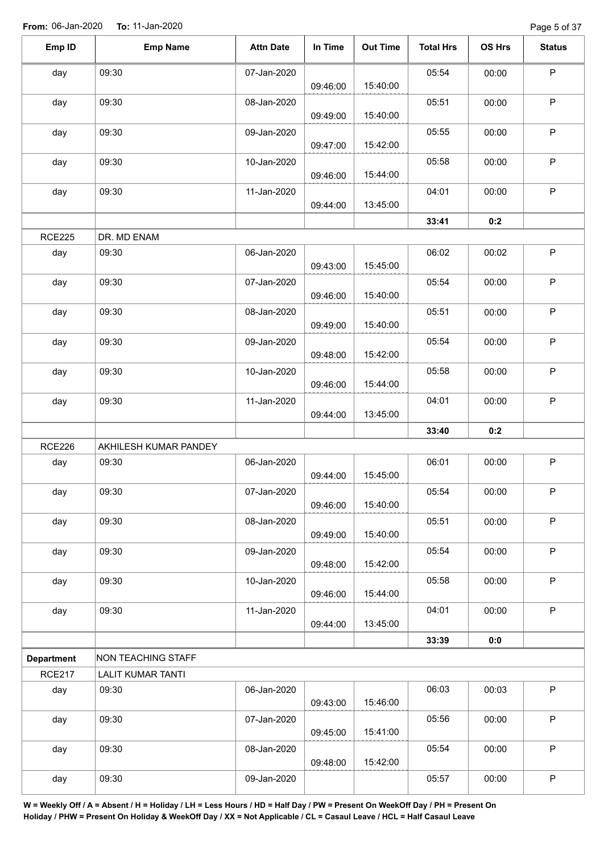| Emp ID            | <b>Emp Name</b>           | <b>Attn Date</b> | In Time  | <b>Out Time</b> | <b>Total Hrs</b> | OS Hrs | <b>Status</b> |
|-------------------|---------------------------|------------------|----------|-----------------|------------------|--------|---------------|
| day               | 09:30                     | 07-Jan-2020      | 09:46:00 | 15:40:00        | 05:54            | 00:00  | $\mathsf P$   |
| day               | 09:30                     | 08-Jan-2020      | 09:49:00 | 15:40:00        | 05:51            | 00:00  | $\sf P$       |
| day               | 09:30                     | 09-Jan-2020      | 09:47:00 | 15:42:00        | 05:55            | 00:00  | $\mathsf{P}$  |
| day               | 09:30                     | 10-Jan-2020      | 09:46:00 | 15:44:00        | 05:58            | 00:00  | P             |
| day               | 09:30                     | 11-Jan-2020      | 09:44:00 | 13:45:00        | 04:01            | 00:00  | P             |
|                   |                           |                  |          |                 | 33:41            | 0:2    |               |
| <b>RCE225</b>     | DR. MD ENAM               |                  |          |                 |                  |        |               |
| day               | 09:30                     | 06-Jan-2020      | 09:43:00 | 15:45:00        | 06:02            | 00:02  | P             |
| day               | 09:30                     | 07-Jan-2020      | 09:46:00 | 15:40:00        | 05:54            | 00:00  | P             |
| day               | 09:30                     | 08-Jan-2020      | 09:49:00 | 15:40:00        | 05:51            | 00:00  | $\sf P$       |
| day               | 09:30                     | 09-Jan-2020      | 09:48:00 | 15:42:00        | 05:54            | 00:00  | $\mathsf P$   |
| day               | 09:30                     | 10-Jan-2020      | 09:46:00 | 15:44:00        | 05:58            | 00:00  | $\mathsf P$   |
| day               | 09:30                     | 11-Jan-2020      | 09:44:00 | 13:45:00        | 04:01            | 00:00  | $\mathsf P$   |
|                   |                           |                  |          |                 | 33:40            | 0:2    |               |
| <b>RCE226</b>     | AKHILESH KUMAR PANDEY     |                  |          |                 |                  |        |               |
| day               | 09:30                     | 06-Jan-2020      | 09:44:00 | 15:45:00        | 06:01            | 00:00  | $\mathsf P$   |
| day               | 09:30                     | 07-Jan-2020      | 09:46:00 | 15:40:00        | 05:54            | 00:00  | P             |
| day               | 09:30                     | 08-Jan-2020      | 09:49:00 | 15:40:00        | 05:51            | 00:00  | $\sf P$       |
| day               | 09:30                     | 09-Jan-2020      | 09:48:00 | 15:42:00        | 05:54            | 00:00  | P             |
| day               | 09:30                     | 10-Jan-2020      | 09:46:00 | 15:44:00        | 05:58            | 00:00  | $\mathsf P$   |
| day               | 09:30                     | 11-Jan-2020      | 09:44:00 | 13:45:00        | 04:01            | 00:00  | $\sf P$       |
|                   |                           |                  |          |                 | 33:39            | 0:0    |               |
| <b>Department</b> | <b>NON TEACHING STAFF</b> |                  |          |                 |                  |        |               |
| <b>RCE217</b>     | <b>LALIT KUMAR TANTI</b>  |                  |          |                 |                  |        |               |
| day               | 09:30                     | 06-Jan-2020      |          |                 | 06:03            | 00:03  | $\mathsf P$   |
| day               | 09:30                     | 07-Jan-2020      | 09:43:00 | 15:46:00        | 05:56            | 00:00  | P             |
| day               | 09:30                     | 08-Jan-2020      | 09:45:00 | 15:41:00        | 05:54            | 00:00  | $\mathsf P$   |
| day               | 09:30                     | 09-Jan-2020      | 09:48:00 | 15:42:00        | 05:57            | 00:00  | $\sf P$       |
|                   |                           |                  |          |                 |                  |        |               |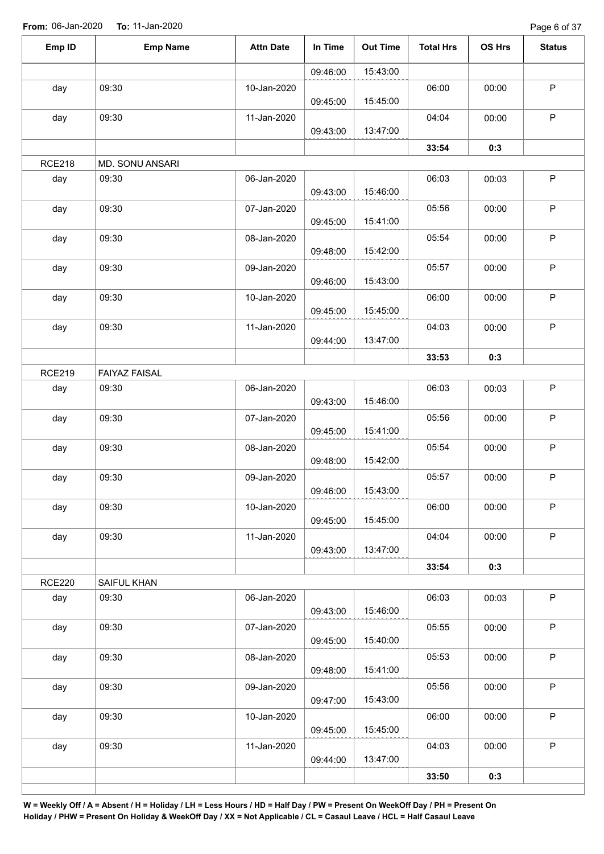Page 6 of 37

| Emp ID        | <b>Emp Name</b>      | <b>Attn Date</b> | In Time  | <b>Out Time</b> | <b>Total Hrs</b> | <b>OS Hrs</b> | <b>Status</b> |
|---------------|----------------------|------------------|----------|-----------------|------------------|---------------|---------------|
|               |                      |                  | 09:46:00 | 15:43:00        |                  |               |               |
| day           | 09:30                | 10-Jan-2020      | 09:45:00 | 15:45:00        | 06:00            | 00:00         | $\mathsf P$   |
| day           | 09:30                | 11-Jan-2020      | 09:43:00 | 13:47:00        | 04:04            | 00:00         | $\mathsf P$   |
|               |                      |                  |          |                 | 33:54            | 0:3           |               |
| <b>RCE218</b> | MD. SONU ANSARI      |                  |          |                 |                  |               |               |
| day           | 09:30                | 06-Jan-2020      | 09:43:00 | 15:46:00        | 06:03            | 00:03         | $\mathsf P$   |
| day           | 09:30                | 07-Jan-2020      | 09:45:00 | 15:41:00        | 05:56            | 00:00         | $\sf P$       |
| day           | 09:30                | 08-Jan-2020      | 09:48:00 | 15:42:00        | 05:54            | 00:00         | $\mathsf P$   |
| day           | 09:30                | 09-Jan-2020      | 09:46:00 | 15:43:00        | 05:57            | 00:00         | $\mathsf P$   |
| day           | 09:30                | 10-Jan-2020      | 09:45:00 | 15:45:00        | 06:00            | 00:00         | $\mathsf P$   |
| day           | 09:30                | 11-Jan-2020      | 09:44:00 | 13:47:00        | 04:03            | 00:00         | $\sf P$       |
|               |                      |                  |          |                 | 33:53            | 0:3           |               |
| <b>RCE219</b> | <b>FAIYAZ FAISAL</b> |                  |          |                 |                  |               |               |
| day           | 09:30                | 06-Jan-2020      | 09:43:00 | 15:46:00        | 06:03            | 00:03         | $\mathsf P$   |
| day           | 09:30                | 07-Jan-2020      | 09:45:00 | 15:41:00        | 05:56            | 00:00         | $\mathsf P$   |
| day           | 09:30                | 08-Jan-2020      | 09:48:00 | 15:42:00        | 05:54            | 00:00         | $\mathsf P$   |
| day           | 09:30                | 09-Jan-2020      | 09:46:00 | 15:43:00        | 05:57            | 00:00         | $\mathsf P$   |
| day           | 09:30                | 10-Jan-2020      | 09:45:00 | 15:45:00        | 06:00            | 00:00         | $\mathsf P$   |
| day           | 09:30                | 11-Jan-2020      | 09:43:00 | 13:47:00        | 04:04            | 00:00         | $\mathsf P$   |
|               |                      |                  |          |                 | 33:54            | 0:3           |               |
| <b>RCE220</b> | SAIFUL KHAN          |                  |          |                 |                  |               |               |
| day           | 09:30                | 06-Jan-2020      | 09:43:00 | 15:46:00        | 06:03            | 00:03         | $\mathsf P$   |
| day           | 09:30                | 07-Jan-2020      | 09:45:00 | 15:40:00        | 05:55            | 00:00         | $\sf P$       |
| day           | 09:30                | 08-Jan-2020      | 09:48:00 | 15:41:00        | 05:53            | 00:00         | $\mathsf P$   |
| day           | 09:30                | 09-Jan-2020      | 09:47:00 | 15:43:00        | 05:56            | 00:00         | $\mathsf P$   |
| day           | 09:30                | 10-Jan-2020      | 09:45:00 | 15:45:00        | 06:00            | 00:00         | $\sf P$       |
| day           | 09:30                | 11-Jan-2020      | 09:44:00 | 13:47:00        | 04:03            | 00:00         | $\mathsf P$   |
|               |                      |                  |          |                 | 33:50            | 0:3           |               |
|               |                      |                  |          |                 |                  |               |               |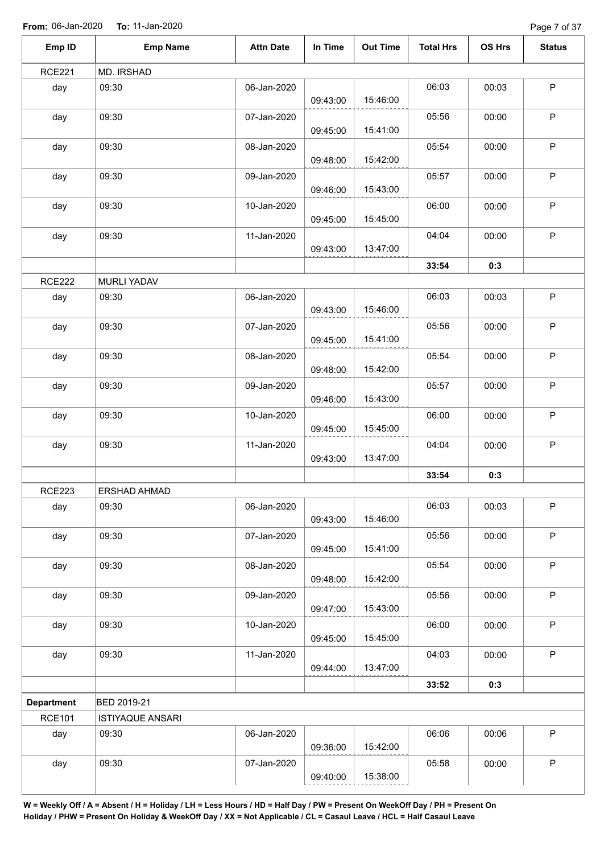| Emp ID            | <b>Emp Name</b>         | <b>Attn Date</b> | In Time  | <b>Out Time</b> | <b>Total Hrs</b> | OS Hrs | <b>Status</b> |
|-------------------|-------------------------|------------------|----------|-----------------|------------------|--------|---------------|
| <b>RCE221</b>     | MD. IRSHAD              |                  |          |                 |                  |        |               |
| day               | 09:30                   | 06-Jan-2020      | 09:43:00 | 15:46:00        | 06:03            | 00:03  | $\mathsf P$   |
| day               | 09:30                   | 07-Jan-2020      | 09:45:00 | 15:41:00        | 05:56            | 00:00  | $\mathsf P$   |
| day               | 09:30                   | 08-Jan-2020      | 09:48:00 | 15:42:00        | 05:54            | 00:00  | $\mathsf P$   |
| day               | 09:30                   | 09-Jan-2020      | 09:46:00 | 15:43:00        | 05:57            | 00:00  | $\mathsf P$   |
| day               | 09:30                   | 10-Jan-2020      | 09:45:00 | 15:45:00        | 06:00            | 00:00  | $\mathsf P$   |
| day               | 09:30                   | 11-Jan-2020      | 09:43:00 | 13:47:00        | 04:04            | 00:00  | $\mathsf P$   |
|                   |                         |                  |          |                 | 33:54            | 0:3    |               |
| <b>RCE222</b>     | MURLI YADAV             |                  |          |                 |                  |        |               |
| day               | 09:30                   | 06-Jan-2020      | 09:43:00 | 15:46:00        | 06:03            | 00:03  | $\mathsf P$   |
| day               | 09:30                   | 07-Jan-2020      | 09:45:00 | 15:41:00        | 05:56            | 00:00  | $\mathsf P$   |
| day               | 09:30                   | 08-Jan-2020      | 09:48:00 | 15:42:00        | 05:54            | 00:00  | $\sf P$       |
| day               | 09:30                   | 09-Jan-2020      | 09:46:00 | 15:43:00        | 05:57            | 00:00  | $\mathsf P$   |
| day               | 09:30                   | 10-Jan-2020      | 09:45:00 | 15:45:00        | 06:00            | 00:00  | $\sf P$       |
| day               | 09:30                   | 11-Jan-2020      | 09:43:00 | 13:47:00        | 04:04            | 00:00  | $\mathsf P$   |
|                   |                         |                  |          |                 | 33:54            | 0:3    |               |
| <b>RCE223</b>     | ERSHAD AHMAD            |                  |          |                 |                  |        |               |
| day               | 09:30                   | 06-Jan-2020      | 09:43:00 | 15:46:00        | 06:03            | 00:03  | $\sf P$       |
| day               | 09:30                   | 07-Jan-2020      | 09:45:00 | 15:41:00        | 05:56            | 00:00  | P             |
| day               | 09:30                   | 08-Jan-2020      | 09:48:00 | 15:42:00        | 05:54            | 00:00  | $\mathsf P$   |
| day               | 09:30                   | 09-Jan-2020      | 09:47:00 | 15:43:00        | 05:56            | 00:00  | $\mathsf P$   |
| day               | 09:30                   | 10-Jan-2020      | 09:45:00 | 15:45:00        | 06:00            | 00:00  | $\mathsf P$   |
| day               | 09:30                   | 11-Jan-2020      | 09:44:00 | 13:47:00        | 04:03            | 00:00  | $\mathsf P$   |
|                   |                         |                  |          |                 | 33:52            | 0:3    |               |
| <b>Department</b> | BED 2019-21             |                  |          |                 |                  |        |               |
| <b>RCE101</b>     | <b>ISTIYAQUE ANSARI</b> |                  |          |                 |                  |        |               |
| day               | 09:30                   | 06-Jan-2020      | 09:36:00 | 15:42:00        | 06:06            | 00:06  | $\mathsf P$   |
| day               | 09:30                   | 07-Jan-2020      | 09:40:00 | 15:38:00        | 05:58            | 00:00  | $\sf P$       |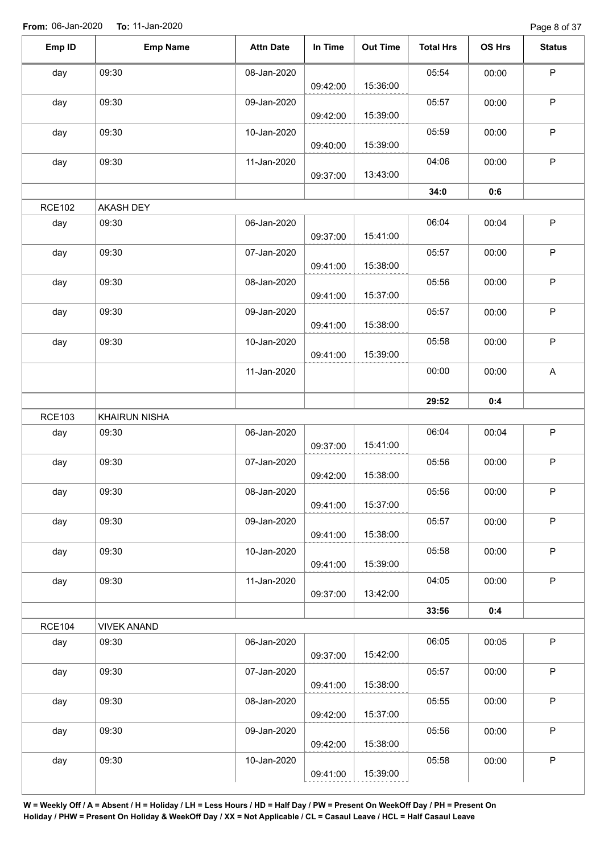Page 8 of 37

| Emp ID        | <b>Emp Name</b>    | <b>Attn Date</b> | In Time  | <b>Out Time</b> | <b>Total Hrs</b> | OS Hrs | <b>Status</b> |
|---------------|--------------------|------------------|----------|-----------------|------------------|--------|---------------|
| day           | 09:30              | 08-Jan-2020      | 09:42:00 | 15:36:00        | 05:54            | 00:00  | $\mathsf P$   |
| day           | 09:30              | 09-Jan-2020      |          |                 | 05:57            | 00:00  | $\mathsf P$   |
|               |                    |                  | 09:42:00 | 15:39:00        |                  |        |               |
| day           | 09:30              | 10-Jan-2020      |          |                 | 05:59            | 00:00  | $\mathsf P$   |
|               |                    |                  | 09:40:00 | 15:39:00        |                  |        |               |
| day           | 09:30              | 11-Jan-2020      | 09:37:00 | 13:43:00        | 04:06            | 00:00  | $\mathsf P$   |
|               |                    |                  |          |                 | 34:0             | 0:6    |               |
| <b>RCE102</b> | AKASH DEY          |                  |          |                 |                  |        |               |
| day           | 09:30              | 06-Jan-2020      |          |                 | 06:04            | 00:04  | $\mathsf P$   |
|               |                    |                  | 09:37:00 | 15:41:00        |                  |        |               |
| day           | 09:30              | 07-Jan-2020      |          |                 | 05:57            | 00:00  | $\mathsf P$   |
|               |                    |                  | 09:41:00 | 15:38:00        |                  |        |               |
| day           | 09:30              | 08-Jan-2020      | 09:41:00 | 15:37:00        | 05:56            | 00:00  | $\mathsf P$   |
| day           | 09:30              | 09-Jan-2020      |          |                 | 05:57            | 00:00  | $\mathsf P$   |
|               |                    |                  | 09:41:00 | 15:38:00        |                  |        |               |
| day           | 09:30              | 10-Jan-2020      |          |                 | 05:58            | 00:00  | $\sf P$       |
|               |                    |                  | 09:41:00 | 15:39:00        |                  |        |               |
|               |                    | 11-Jan-2020      |          |                 | 00:00            | 00:00  | $\mathsf{A}$  |
|               |                    |                  |          |                 | 29:52            | 0:4    |               |
| <b>RCE103</b> | KHAIRUN NISHA      |                  |          |                 |                  |        |               |
| day           | 09:30              | 06-Jan-2020      |          |                 | 06:04            | 00:04  | $\sf P$       |
|               |                    |                  | 09:37:00 | 15:41:00        |                  |        |               |
| day           | 09:30              | 07-Jan-2020      |          |                 | 05:56            | 00:00  | $\sf P$       |
|               |                    |                  | 09:42:00 | 15:38:00        |                  |        |               |
| day           | 09:30              | 08-Jan-2020      | 09:41:00 | 15:37:00        | 05:56            | 00:00  | P             |
| day           | 09:30              | 09-Jan-2020      |          |                 | 05:57            | 00:00  | P             |
|               |                    |                  | 09:41:00 | 15:38:00        |                  |        |               |
| day           | 09:30              | 10-Jan-2020      |          |                 | 05:58            | 00:00  | $\mathsf P$   |
|               |                    |                  | 09:41:00 | 15:39:00        |                  |        |               |
| day           | 09:30              | 11-Jan-2020      |          | 13:42:00        | 04:05            | 00:00  | $\mathsf{P}$  |
|               |                    |                  | 09:37:00 |                 | 33:56            | 0:4    |               |
| <b>RCE104</b> | <b>VIVEK ANAND</b> |                  |          |                 |                  |        |               |
| day           | 09:30              | 06-Jan-2020      |          |                 | 06:05            | 00:05  | $\mathsf P$   |
|               |                    |                  | 09:37:00 | 15:42:00        |                  |        |               |
| day           | 09:30              | 07-Jan-2020      |          |                 | 05:57            | 00:00  | $\mathsf{P}$  |
|               |                    |                  | 09:41:00 | 15:38:00        |                  |        |               |
| day           | 09:30              | 08-Jan-2020      | 09:42:00 | 15:37:00        | 05:55            | 00:00  | $\sf P$       |
| day           | 09:30              | 09-Jan-2020      |          |                 | 05:56            | 00:00  | $\mathsf P$   |
|               |                    |                  | 09:42:00 | 15:38:00        |                  |        |               |
| day           | 09:30              | 10-Jan-2020      |          |                 | 05:58            | 00:00  | $\sf P$       |
|               |                    |                  | 09:41:00 | 15:39:00        |                  |        |               |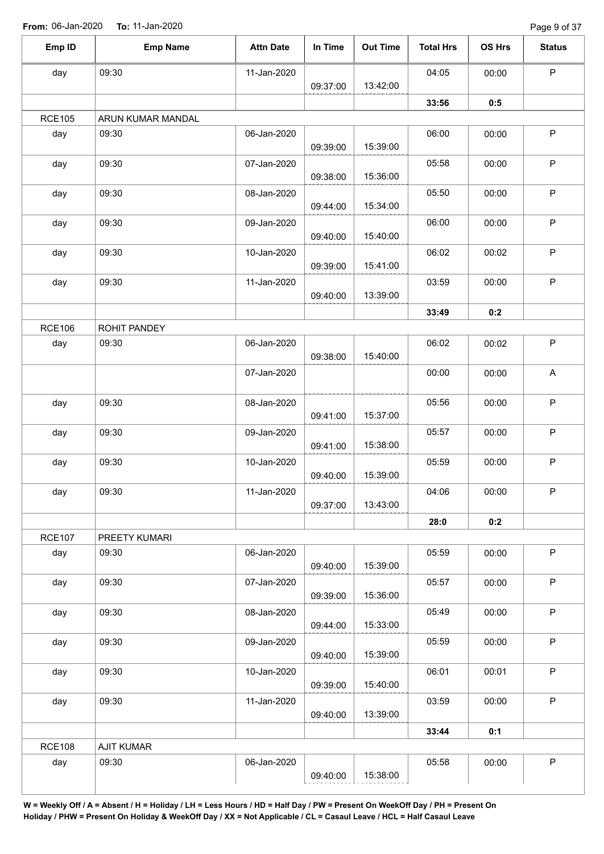Page 9 of 37

| Emp ID        | <b>Emp Name</b>   | <b>Attn Date</b> | In Time  | <b>Out Time</b> | <b>Total Hrs</b> | <b>OS Hrs</b> | <b>Status</b> |
|---------------|-------------------|------------------|----------|-----------------|------------------|---------------|---------------|
| day           | 09:30             | 11-Jan-2020      |          | 13:42:00        | 04:05            | 00:00         | P             |
|               |                   |                  | 09:37:00 |                 | 33:56            | 0:5           |               |
| <b>RCE105</b> | ARUN KUMAR MANDAL |                  |          |                 |                  |               |               |
| day           | 09:30             | 06-Jan-2020      |          |                 | 06:00            | 00:00         | $\mathsf P$   |
|               |                   |                  | 09:39:00 | 15:39:00        |                  |               |               |
| day           | 09:30             | 07-Jan-2020      |          |                 | 05:58            | 00:00         | $\mathsf P$   |
|               |                   |                  | 09:38:00 | 15:36:00        |                  |               |               |
| day           | 09:30             | 08-Jan-2020      |          |                 | 05:50            | 00:00         | $\mathsf P$   |
|               |                   |                  | 09:44:00 | 15:34:00        |                  |               |               |
| day           | 09:30             | 09-Jan-2020      | 09:40:00 | 15:40:00        | 06:00            | 00:00         | $\mathsf P$   |
|               | 09:30             | 10-Jan-2020      |          |                 | 06:02            |               | $\mathsf P$   |
| day           |                   |                  | 09:39:00 | 15:41:00        |                  | 00:02         |               |
| day           | 09:30             | 11-Jan-2020      |          |                 | 03:59            | 00:00         | $\mathsf{P}$  |
|               |                   |                  | 09:40:00 | 13:39:00        |                  |               |               |
|               |                   |                  |          |                 | 33:49            | 0:2           |               |
| <b>RCE106</b> | ROHIT PANDEY      |                  |          |                 |                  |               |               |
| day           | 09:30             | 06-Jan-2020      |          |                 | 06:02            | 00:02         | $\mathsf P$   |
|               |                   |                  | 09:38:00 | 15:40:00        |                  |               |               |
|               |                   | 07-Jan-2020      |          |                 | 00:00            | 00:00         | $\mathsf{A}$  |
| day           | 09:30             | 08-Jan-2020      |          |                 | 05:56            | 00:00         | $\mathsf P$   |
|               |                   |                  | 09:41:00 | 15:37:00        |                  |               |               |
| day           | 09:30             | 09-Jan-2020      |          |                 | 05:57            | 00:00         | $\sf P$       |
|               |                   |                  | 09:41:00 | 15:38:00        |                  |               |               |
| day           | 09:30             | 10-Jan-2020      |          |                 | 05:59            | 00:00         | $\mathsf P$   |
|               |                   |                  | 09:40:00 | 15:39:00        |                  |               |               |
| day           | 09:30             | 11-Jan-2020      |          |                 | 04:06            | 00:00         | P             |
|               |                   |                  | 09:37:00 | 13:43:00        |                  |               |               |
|               |                   |                  |          |                 | 28:0             | 0:2           |               |
| <b>RCE107</b> | PREETY KUMARI     | 06-Jan-2020      |          |                 | 05:59            |               | $\mathsf P$   |
| day           | 09:30             |                  | 09:40:00 | 15:39:00        |                  | 00:00         |               |
| day           | 09:30             | 07-Jan-2020      |          |                 | 05:57            | 00:00         | P             |
|               |                   |                  | 09:39:00 | 15:36:00        |                  |               |               |
| day           | 09:30             | 08-Jan-2020      |          |                 | 05:49            | 00:00         | $\mathsf P$   |
|               |                   |                  | 09:44:00 | 15:33:00        |                  |               |               |
| day           | 09:30             | 09-Jan-2020      |          |                 | 05:59            | 00:00         | P             |
|               |                   |                  | 09:40:00 | 15:39:00        |                  |               |               |
| day           | 09:30             | 10-Jan-2020      |          |                 | 06:01            | 00:01         | $\mathsf P$   |
|               |                   |                  | 09:39:00 | 15:40:00        |                  |               |               |
| day           | 09:30             | 11-Jan-2020      | 09:40:00 | 13:39:00        | 03:59            | 00:00         | P             |
|               |                   |                  |          |                 | 33:44            | 0:1           |               |
| <b>RCE108</b> | <b>AJIT KUMAR</b> |                  |          |                 |                  |               |               |
|               |                   |                  |          |                 |                  |               |               |
| day           | 09:30             | 06-Jan-2020      |          |                 | 05:58            | 00:00         | $\sf P$       |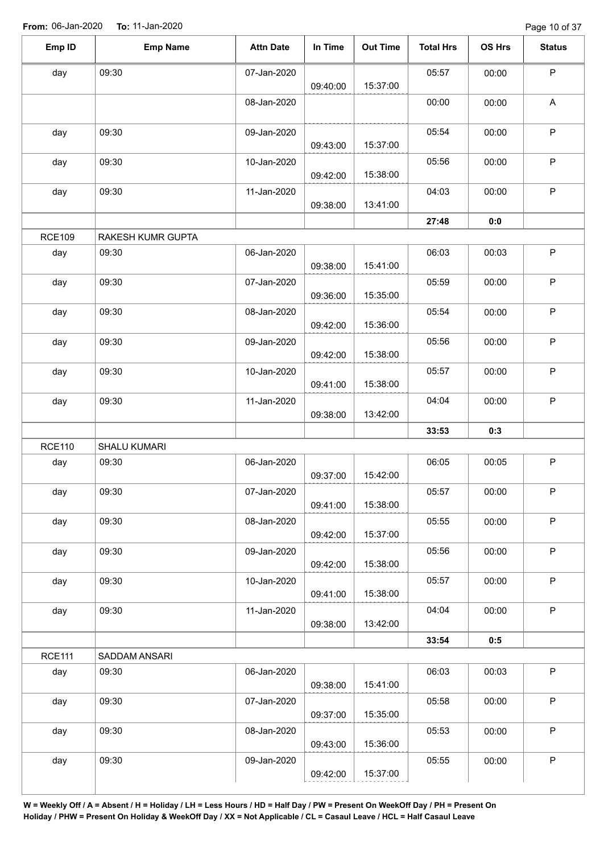| Emp ID        | <b>Emp Name</b>   | <b>Attn Date</b> | In Time  | <b>Out Time</b> | <b>Total Hrs</b> | OS Hrs | <b>Status</b> |
|---------------|-------------------|------------------|----------|-----------------|------------------|--------|---------------|
| day           | 09:30             | 07-Jan-2020      | 09:40:00 | 15:37:00        | 05:57            | 00:00  | P             |
|               |                   | 08-Jan-2020      |          |                 | 00:00            | 00:00  | A             |
| day           | 09:30             | 09-Jan-2020      | 09:43:00 | 15:37:00        | 05:54            | 00:00  | $\mathsf{P}$  |
| day           | 09:30             | 10-Jan-2020      | 09:42:00 | 15:38:00        | 05:56            | 00:00  | $\mathsf P$   |
| day           | 09:30             | 11-Jan-2020      | 09:38:00 | 13:41:00        | 04:03            | 00:00  | $\mathsf{P}$  |
|               |                   |                  |          |                 | 27:48            | 0:0    |               |
| <b>RCE109</b> | RAKESH KUMR GUPTA |                  |          |                 |                  |        |               |
| day           | 09:30             | 06-Jan-2020      | 09:38:00 | 15:41:00        | 06:03            | 00:03  | P             |
| day           | 09:30             | 07-Jan-2020      | 09:36:00 | 15:35:00        | 05:59            | 00:00  | $\sf P$       |
| day           | 09:30             | 08-Jan-2020      | 09:42:00 | 15:36:00        | 05:54            | 00:00  | P             |
| day           | 09:30             | 09-Jan-2020      | 09:42:00 | 15:38:00        | 05:56            | 00:00  | $\mathsf P$   |
| day           | 09:30             | 10-Jan-2020      | 09:41:00 | 15:38:00        | 05:57            | 00:00  | P             |
| day           | 09:30             | 11-Jan-2020      | 09:38:00 | 13:42:00        | 04:04            | 00:00  | $\mathsf P$   |
|               |                   |                  |          |                 | 33:53            | 0:3    |               |
| <b>RCE110</b> | SHALU KUMARI      |                  |          |                 |                  |        |               |
| day           | 09:30             | 06-Jan-2020      | 09:37:00 | 15:42:00        | 06:05            | 00:05  | $\mathsf P$   |
| day           | 09:30             | 07-Jan-2020      | 09:41:00 | 15:38:00        | 05:57            | 00:00  | P             |
| day           | 09:30             | 08-Jan-2020      | 09:42:00 | 15:37:00        | 05:55            | 00:00  | $\mathsf P$   |
| day           | 09:30             | 09-Jan-2020      | 09:42:00 | 15:38:00        | 05:56            | 00:00  | P             |
| day           | 09:30             | 10-Jan-2020      | 09:41:00 | 15:38:00        | 05:57            | 00:00  | $\mathsf P$   |
| day           | 09:30             | 11-Jan-2020      | 09:38:00 | 13:42:00        | 04:04            | 00:00  | P             |
|               |                   |                  |          |                 | 33:54            | 0:5    |               |
| <b>RCE111</b> | SADDAM ANSARI     |                  |          |                 |                  |        |               |
| day           | 09:30             | 06-Jan-2020      | 09:38:00 | 15:41:00        | 06:03            | 00:03  | P             |
| day           | 09:30             | 07-Jan-2020      | 09:37:00 | 15:35:00        | 05:58            | 00:00  | $\mathsf P$   |
| day           | 09:30             | 08-Jan-2020      | 09:43:00 | 15:36:00        | 05:53            | 00:00  | P             |
| day           | 09:30             | 09-Jan-2020      | 09:42:00 | 15:37:00        | 05:55            | 00:00  | $\mathsf P$   |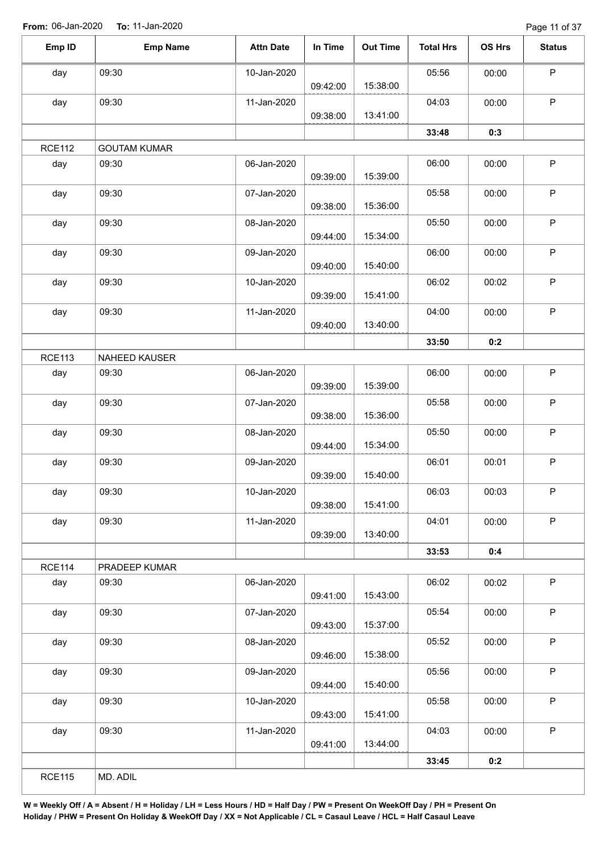Page 11 of 37

| Emp ID        | <b>Emp Name</b>     | <b>Attn Date</b> | In Time  | <b>Out Time</b> | <b>Total Hrs</b> | OS Hrs | <b>Status</b> |
|---------------|---------------------|------------------|----------|-----------------|------------------|--------|---------------|
| day           | 09:30               | 10-Jan-2020      |          |                 | 05:56            | 00:00  | $\sf P$       |
|               |                     |                  | 09:42:00 | 15:38:00        |                  |        |               |
| day           | 09:30               | 11-Jan-2020      |          |                 | 04:03            | 00:00  | $\sf P$       |
|               |                     |                  | 09:38:00 | 13:41:00        |                  |        |               |
|               |                     |                  |          |                 | 33:48            | 0:3    |               |
| <b>RCE112</b> | <b>GOUTAM KUMAR</b> |                  |          |                 |                  |        |               |
| day           | 09:30               | 06-Jan-2020      | 09:39:00 | 15:39:00        | 06:00            | 00:00  | $\sf P$       |
|               |                     |                  |          |                 |                  |        |               |
| day           | 09:30               | 07-Jan-2020      | 09:38:00 | 15:36:00        | 05:58            | 00:00  | $\mathsf P$   |
| day           | 09:30               | 08-Jan-2020      |          |                 | 05:50            | 00:00  | $\mathsf P$   |
|               |                     |                  | 09:44:00 | 15:34:00        |                  |        |               |
| day           | 09:30               | 09-Jan-2020      |          |                 | 06:00            | 00:00  | $\sf P$       |
|               |                     |                  | 09:40:00 | 15:40:00        |                  |        |               |
| day           | 09:30               | 10-Jan-2020      |          |                 | 06:02            | 00:02  | P             |
|               |                     |                  | 09:39:00 | 15:41:00        |                  |        |               |
| day           | 09:30               | 11-Jan-2020      |          |                 | 04:00            | 00:00  | $\mathsf P$   |
|               |                     |                  | 09:40:00 | 13:40:00        |                  |        |               |
|               |                     |                  |          |                 | 33:50            | 0:2    |               |
| <b>RCE113</b> | NAHEED KAUSER       |                  |          |                 |                  |        |               |
| day           | 09:30               | 06-Jan-2020      |          |                 | 06:00            | 00:00  | P             |
|               |                     |                  | 09:39:00 | 15:39:00        |                  |        |               |
| day           | 09:30               | 07-Jan-2020      |          |                 | 05:58            | 00:00  | $\sf P$       |
|               |                     |                  | 09:38:00 | 15:36:00        |                  |        |               |
| day           | 09:30               | 08-Jan-2020      |          |                 | 05:50            | 00:00  | $\mathsf P$   |
|               |                     |                  | 09:44:00 | 15:34:00        |                  |        |               |
| day           | 09:30               | 09-Jan-2020      |          |                 | 06:01            | 00:01  | $\sf P$       |
|               |                     |                  | 09:39:00 | 15:40:00        |                  |        |               |
| day           | 09:30               | 10-Jan-2020      |          |                 | 06:03            | 00:03  | P             |
|               |                     |                  | 09:38:00 | 15:41:00        |                  |        |               |
| day           | 09:30               | 11-Jan-2020      |          |                 | 04:01            | 00:00  | P             |
|               |                     |                  | 09:39:00 | 13:40:00        |                  |        |               |
|               |                     |                  |          |                 | 33:53            | 0:4    |               |
| <b>RCE114</b> | PRADEEP KUMAR       |                  |          |                 |                  |        |               |
| day           | 09:30               | 06-Jan-2020      |          |                 | 06:02            | 00:02  | P             |
|               |                     |                  | 09:41:00 | 15:43:00        |                  |        |               |
| day           | 09:30               | 07-Jan-2020      |          |                 | 05:54            | 00:00  | P             |
|               |                     |                  | 09:43:00 | 15:37:00        |                  |        |               |
| day           | 09:30               | 08-Jan-2020      |          |                 | 05:52            | 00:00  | P             |
|               |                     |                  | 09:46:00 | 15:38:00        |                  |        |               |
| day           | 09:30               | 09-Jan-2020      |          |                 | 05:56            | 00:00  | P             |
|               |                     |                  | 09:44:00 | 15:40:00        |                  |        |               |
| day           | 09:30               | 10-Jan-2020      |          |                 | 05:58            | 00:00  | P             |
|               |                     |                  | 09:43:00 | 15:41:00        |                  |        |               |
| day           | 09:30               | 11-Jan-2020      |          |                 | 04:03            | 00:00  | $\mathsf{P}$  |
|               |                     |                  | 09:41:00 | 13:44:00        |                  |        |               |
|               |                     |                  |          |                 | 33:45            | 0:2    |               |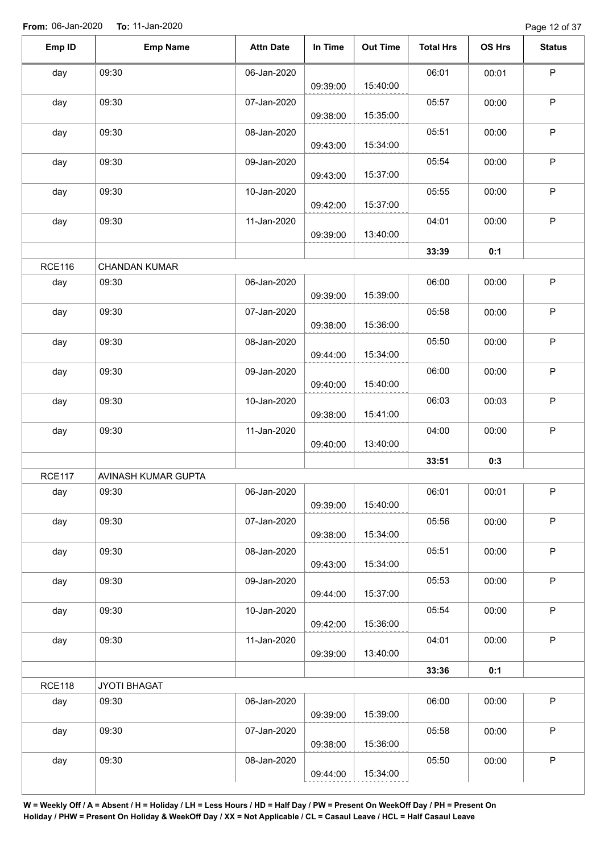Page 12 of 37

| Emp ID        | <b>Emp Name</b>      | <b>Attn Date</b> | In Time  | <b>Out Time</b> | <b>Total Hrs</b> | OS Hrs | <b>Status</b> |
|---------------|----------------------|------------------|----------|-----------------|------------------|--------|---------------|
| day           | 09:30                | 06-Jan-2020      |          |                 | 06:01            | 00:01  | $\mathsf P$   |
|               |                      |                  | 09:39:00 | 15:40:00        |                  |        |               |
| day           | 09:30                | 07-Jan-2020      | 09:38:00 | 15:35:00        | 05:57            | 00:00  | $\sf P$       |
| day           | 09:30                | 08-Jan-2020      | 09:43:00 | 15:34:00        | 05:51            | 00:00  | $\sf P$       |
| day           | 09:30                | 09-Jan-2020      | 09:43:00 | 15:37:00        | 05:54            | 00:00  | ${\sf P}$     |
| day           | 09:30                | 10-Jan-2020      | 09:42:00 | 15:37:00        | 05:55            | 00:00  | $\mathsf P$   |
| day           | 09:30                | 11-Jan-2020      | 09:39:00 | 13:40:00        | 04:01            | 00:00  | $\mathsf P$   |
|               |                      |                  |          |                 | 33:39            | 0:1    |               |
| <b>RCE116</b> | <b>CHANDAN KUMAR</b> |                  |          |                 |                  |        |               |
| day           | 09:30                | 06-Jan-2020      | 09:39:00 | 15:39:00        | 06:00            | 00:00  | $\sf P$       |
| day           | 09:30                | 07-Jan-2020      | 09:38:00 | 15:36:00        | 05:58            | 00:00  | $\mathsf P$   |
| day           | 09:30                | 08-Jan-2020      |          |                 | 05:50            | 00:00  | $\mathsf P$   |
|               |                      |                  | 09:44:00 | 15:34:00        |                  |        |               |
| day           | 09:30                | 09-Jan-2020      | 09:40:00 | 15:40:00        | 06:00            | 00:00  | $\mathsf P$   |
| day           | 09:30                | 10-Jan-2020      | 09:38:00 | 15:41:00        | 06:03            | 00:03  | $\sf P$       |
| day           | 09:30                | 11-Jan-2020      | 09:40:00 | 13:40:00        | 04:00            | 00:00  | $\sf P$       |
|               |                      |                  |          |                 | 33:51            | 0:3    |               |
| <b>RCE117</b> | AVINASH KUMAR GUPTA  |                  |          |                 |                  |        |               |
| day           | 09:30                | 06-Jan-2020      | 09:39:00 | 15:40:00        | 06:01            | 00:01  | P.            |
| day           | 09:30                | 07-Jan-2020      | 09:38:00 | 15:34:00        | 05:56            | 00:00  | $\mathsf P$   |
| day           | 09:30                | 08-Jan-2020      |          |                 | 05:51            | 00:00  | $\mathsf P$   |
| day           | 09:30                | 09-Jan-2020      | 09:43:00 | 15:34:00        | 05:53            | 00:00  | $\sf P$       |
| day           | 09:30                | 10-Jan-2020      | 09:44:00 | 15:37:00        | 05:54            | 00:00  | $\mathsf P$   |
|               |                      |                  | 09:42:00 | 15:36:00        |                  |        |               |
| day           | 09:30                | 11-Jan-2020      | 09:39:00 | 13:40:00        | 04:01            | 00:00  | $\mathsf P$   |
|               |                      |                  |          |                 | 33:36            | 0:1    |               |
| <b>RCE118</b> | JYOTI BHAGAT         |                  |          |                 |                  |        |               |
| day           | 09:30                | 06-Jan-2020      | 09:39:00 | 15:39:00        | 06:00            | 00:00  | $\sf P$       |
| day           | 09:30                | 07-Jan-2020      | 09:38:00 | 15:36:00        | 05:58            | 00:00  | $\mathsf P$   |
| day           | 09:30                | 08-Jan-2020      | 09:44:00 | 15:34:00        | 05:50            | 00:00  | $\sf P$       |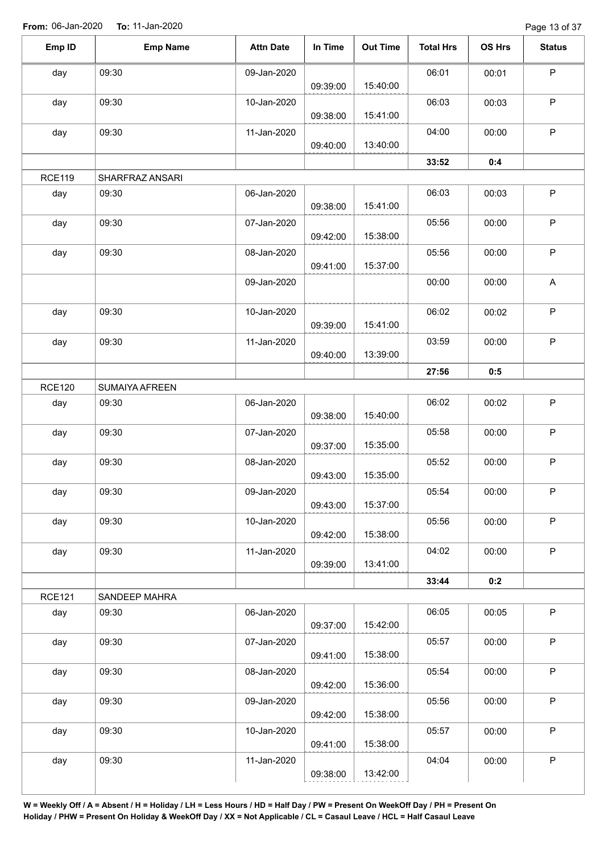Page 13 of 37

| Emp ID        | <b>Emp Name</b> | <b>Attn Date</b> | In Time  | <b>Out Time</b> | <b>Total Hrs</b> | OS Hrs | <b>Status</b> |
|---------------|-----------------|------------------|----------|-----------------|------------------|--------|---------------|
| day           | 09:30           | 09-Jan-2020      |          |                 | 06:01            | 00:01  | $\mathsf P$   |
|               |                 |                  | 09:39:00 | 15:40:00        |                  |        |               |
| day           | 09:30           | 10-Jan-2020      | 09:38:00 | 15:41:00        | 06:03            | 00:03  | $\mathsf P$   |
| day           | 09:30           | 11-Jan-2020      | 09:40:00 | 13:40:00        | 04:00            | 00:00  | P             |
|               |                 |                  |          |                 | 33:52            | 0:4    |               |
| <b>RCE119</b> |                 |                  |          |                 |                  |        |               |
|               | SHARFRAZ ANSARI |                  |          |                 |                  |        |               |
| day           | 09:30           | 06-Jan-2020      | 09:38:00 | 15:41:00        | 06:03            | 00:03  | P             |
| day           | 09:30           | 07-Jan-2020      | 09:42:00 | 15:38:00        | 05:56            | 00:00  | P             |
| day           | 09:30           | 08-Jan-2020      | 09:41:00 | 15:37:00        | 05:56            | 00:00  | $\mathsf P$   |
|               |                 | 09-Jan-2020      |          |                 | 00:00            | 00:00  | A             |
|               |                 |                  |          |                 |                  |        |               |
| day           | 09:30           | 10-Jan-2020      | 09:39:00 | 15:41:00        | 06:02            | 00:02  | $\sf P$       |
| day           | 09:30           | 11-Jan-2020      |          |                 | 03:59            | 00:00  | $\mathsf P$   |
|               |                 |                  | 09:40:00 | 13:39:00        |                  |        |               |
|               |                 |                  |          |                 | 27:56            | 0:5    |               |
| <b>RCE120</b> | SUMAIYA AFREEN  |                  |          |                 |                  |        |               |
| day           | 09:30           | 06-Jan-2020      |          |                 | 06:02            | 00:02  | $\mathsf P$   |
|               |                 |                  | 09:38:00 | 15:40:00        |                  |        |               |
| day           | 09:30           | 07-Jan-2020      | 09:37:00 | 15:35:00        | 05:58            | 00:00  | $\mathsf P$   |
| day           | 09:30           | 08-Jan-2020      |          |                 | 05:52            | 00:00  | $\mathsf P$   |
|               |                 |                  | 09:43:00 | 15:35:00        |                  |        |               |
| day           | 09:30           | 09-Jan-2020      | 09:43:00 | 15:37:00        | 05:54            | 00:00  | $\mathsf P$   |
| day           | 09:30           | 10-Jan-2020      |          |                 | 05:56            | 00:00  | $\mathsf P$   |
|               |                 |                  | 09:42:00 | 15:38:00        |                  |        |               |
| day           | 09:30           | 11-Jan-2020      | 09:39:00 | 13:41:00        | 04:02            | 00:00  | $\mathsf P$   |
|               |                 |                  |          |                 | 33:44            | 0:2    |               |
| <b>RCE121</b> | SANDEEP MAHRA   |                  |          |                 |                  |        |               |
| day           | 09:30           | 06-Jan-2020      | 09:37:00 | 15:42:00        | 06:05            | 00:05  | $\mathsf P$   |
| day           | 09:30           | 07-Jan-2020      |          |                 | 05:57            | 00:00  | $\sf P$       |
|               |                 |                  | 09:41:00 | 15:38:00        |                  |        |               |
| day           | 09:30           | 08-Jan-2020      | 09:42:00 | 15:36:00        | 05:54            | 00:00  | $\mathsf P$   |
| day           | 09:30           | 09-Jan-2020      |          |                 | 05:56            | 00:00  | $\sf P$       |
|               |                 |                  | 09:42:00 | 15:38:00        |                  |        |               |
| day           | 09:30           | 10-Jan-2020      |          |                 | 05:57            | 00:00  | P             |
|               |                 |                  | 09:41:00 | 15:38:00        |                  |        |               |
| day           | 09:30           | 11-Jan-2020      |          |                 | 04:04            | 00:00  | $\sf P$       |
|               |                 |                  | 09:38:00 | 13:42:00        |                  |        |               |
|               |                 |                  |          |                 |                  |        |               |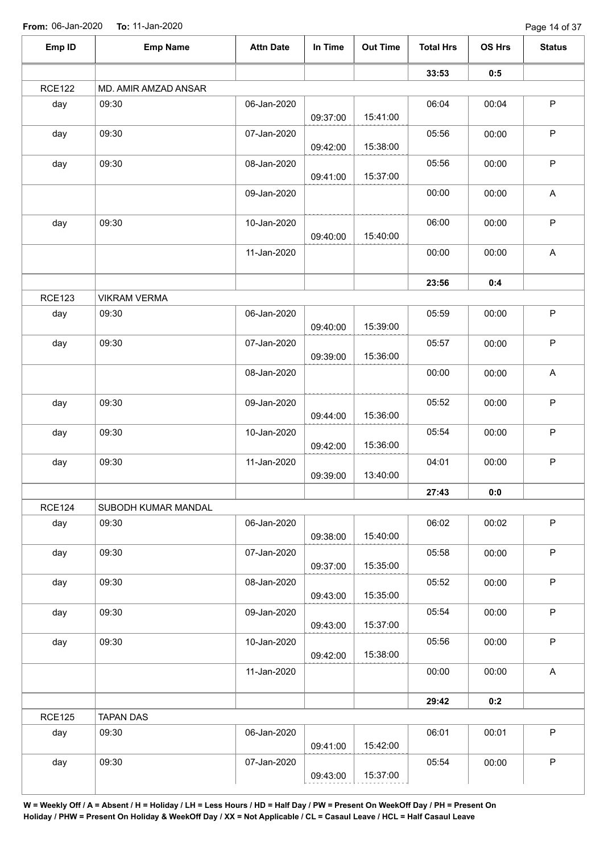Page 14 of 37

| Emp ID        | <b>Emp Name</b>      | <b>Attn Date</b> | In Time  | <b>Out Time</b> | <b>Total Hrs</b> | OS Hrs | <b>Status</b>             |
|---------------|----------------------|------------------|----------|-----------------|------------------|--------|---------------------------|
|               |                      |                  |          |                 | 33:53            | 0:5    |                           |
| <b>RCE122</b> | MD. AMIR AMZAD ANSAR |                  |          |                 |                  |        |                           |
| day           | 09:30                | 06-Jan-2020      | 09:37:00 | 15:41:00        | 06:04            | 00:04  | P                         |
| day           | 09:30                | 07-Jan-2020      | 09:42:00 | 15:38:00        | 05:56            | 00:00  | $\mathsf P$               |
| day           | 09:30                | 08-Jan-2020      | 09:41:00 | 15:37:00        | 05:56            | 00:00  | $\mathsf P$               |
|               |                      | 09-Jan-2020      |          |                 | 00:00            | 00:00  | A                         |
| day           | 09:30                | 10-Jan-2020      | 09:40:00 | 15:40:00        | 06:00            | 00:00  | $\mathsf P$               |
|               |                      | 11-Jan-2020      |          |                 | 00:00            | 00:00  | $\mathsf A$               |
|               |                      |                  |          |                 | 23:56            | 0:4    |                           |
| <b>RCE123</b> | <b>VIKRAM VERMA</b>  |                  |          |                 |                  |        |                           |
| day           | 09:30                | 06-Jan-2020      | 09:40:00 | 15:39:00        | 05:59            | 00:00  | $\mathsf P$               |
| day           | 09:30                | 07-Jan-2020      | 09:39:00 | 15:36:00        | 05:57            | 00:00  | $\mathsf P$               |
|               |                      | 08-Jan-2020      |          |                 | 00:00            | 00:00  | A                         |
| day           | 09:30                | 09-Jan-2020      | 09:44:00 | 15:36:00        | 05:52            | 00:00  | $\mathsf P$               |
| day           | 09:30                | 10-Jan-2020      | 09:42:00 | 15:36:00        | 05:54            | 00:00  | $\mathsf P$               |
| day           | 09:30                | 11-Jan-2020      | 09:39:00 | 13:40:00        | 04:01            | 00:00  | $\mathsf P$               |
|               |                      |                  |          |                 | 27:43            | 0:0    |                           |
| <b>RCE124</b> | SUBODH KUMAR MANDAL  |                  |          |                 |                  |        |                           |
| day           | 09:30                | 06-Jan-2020      | 09:38:00 | 15:40:00        | 06:02            | 00:02  | $\mathsf P$               |
| day           | 09:30                | 07-Jan-2020      | 09:37:00 | 15:35:00        | 05:58            | 00:00  | $\sf P$                   |
| day           | 09:30                | 08-Jan-2020      | 09:43:00 | 15:35:00        | 05:52            | 00:00  | $\mathsf P$               |
| day           | 09:30                | 09-Jan-2020      | 09:43:00 | 15:37:00        | 05:54            | 00:00  | $\mathsf P$               |
| day           | 09:30                | 10-Jan-2020      | 09:42:00 | 15:38:00        | 05:56            | 00:00  | P                         |
|               |                      | 11-Jan-2020      |          |                 | 00:00            | 00:00  | $\boldsymbol{\mathsf{A}}$ |
|               |                      |                  |          |                 | 29:42            | 0:2    |                           |
| <b>RCE125</b> | <b>TAPAN DAS</b>     |                  |          |                 |                  |        |                           |
| day           | 09:30                | 06-Jan-2020      | 09:41:00 | 15:42:00        | 06:01            | 00:01  | $\mathsf P$               |
| day           | 09:30                | 07-Jan-2020      | 09:43:00 | 15:37:00        | 05:54            | 00:00  | $\mathsf P$               |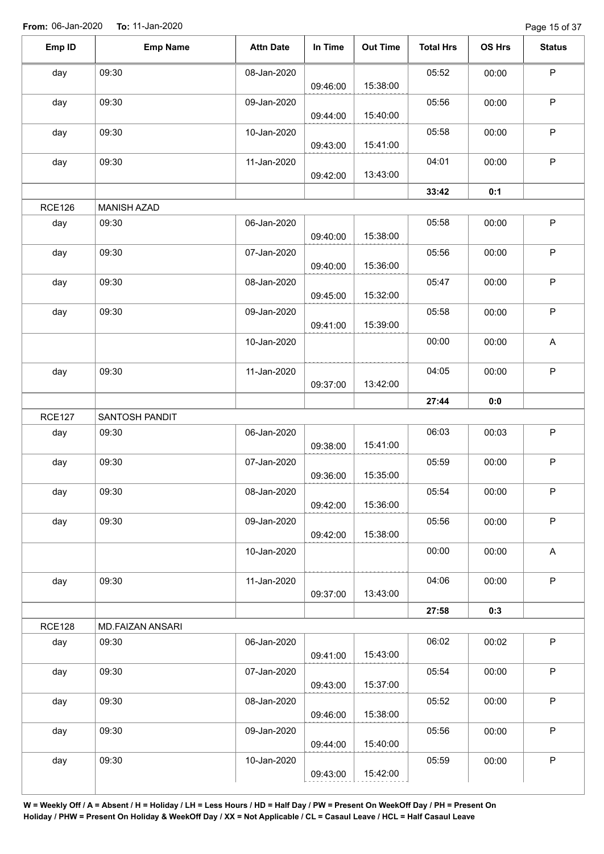Page 15 of 37

| Emp ID        | <b>Emp Name</b>    | <b>Attn Date</b> | In Time  | <b>Out Time</b> | <b>Total Hrs</b> | OS Hrs | <b>Status</b> |
|---------------|--------------------|------------------|----------|-----------------|------------------|--------|---------------|
| day           | 09:30              | 08-Jan-2020      |          |                 | 05:52            | 00:00  | $\sf P$       |
|               |                    |                  | 09:46:00 | 15:38:00        |                  |        |               |
| day           | 09:30              | 09-Jan-2020      |          |                 | 05:56            | 00:00  | P             |
|               |                    |                  | 09:44:00 | 15:40:00        |                  |        |               |
| day           | 09:30              | 10-Jan-2020      |          |                 | 05:58            | 00:00  | $\sf P$       |
|               |                    |                  | 09:43:00 | 15:41:00        |                  |        |               |
| day           | 09:30              | 11-Jan-2020      |          |                 | 04:01            | 00:00  | P             |
|               |                    |                  | 09:42:00 | 13:43:00        |                  |        |               |
|               |                    |                  |          |                 | 33:42            | 0:1    |               |
| <b>RCE126</b> | <b>MANISH AZAD</b> |                  |          |                 |                  |        |               |
| day           | 09:30              | 06-Jan-2020      |          |                 | 05:58            | 00:00  | P             |
|               |                    |                  | 09:40:00 | 15:38:00        |                  |        |               |
| day           | 09:30              | 07-Jan-2020      |          |                 | 05:56            | 00:00  | $\mathsf P$   |
|               |                    |                  | 09:40:00 | 15:36:00        |                  |        |               |
| day           | 09:30              | 08-Jan-2020      |          |                 | 05:47            | 00:00  | P             |
|               |                    |                  | 09:45:00 | 15:32:00        |                  |        |               |
| day           | 09:30              | 09-Jan-2020      |          |                 | 05:58            | 00:00  | P             |
|               |                    |                  | 09:41:00 | 15:39:00        |                  |        |               |
|               |                    | 10-Jan-2020      |          |                 | 00:00            | 00:00  | A             |
| day           | 09:30              | 11-Jan-2020      |          |                 | 04:05            | 00:00  | $\sf P$       |
|               |                    |                  | 09:37:00 | 13:42:00        |                  |        |               |
|               |                    |                  |          |                 | 27:44            | 0:0    |               |
| <b>RCE127</b> | SANTOSH PANDIT     |                  |          |                 |                  |        |               |
| day           | 09:30              | 06-Jan-2020      |          |                 | 06:03            | 00:03  | $\mathsf P$   |
|               |                    |                  | 09:38:00 | 15:41:00        |                  |        |               |
| day           | 09:30              | 07-Jan-2020      |          |                 | 05:59            | 00:00  | $\mathsf P$   |
|               |                    |                  | 09:36:00 | 15:35:00        |                  |        |               |
| day           | 09:30              | 08-Jan-2020      |          |                 | 05:54            | 00:00  | P             |
|               |                    |                  | 09:42:00 | 15:36:00        |                  |        |               |
| day           | 09:30              | 09-Jan-2020      |          |                 | 05:56            | 00:00  | $\mathsf P$   |
|               |                    |                  | 09:42:00 | 15:38:00        |                  |        |               |
|               |                    | 10-Jan-2020      |          |                 | 00:00            | 00:00  | A             |
|               |                    |                  |          |                 |                  |        |               |
| day           | 09:30              | 11-Jan-2020      |          |                 | 04:06            | 00:00  | P             |
|               |                    |                  | 09:37:00 | 13:43:00        |                  |        |               |
|               |                    |                  |          |                 | 27:58            | 0:3    |               |
| <b>RCE128</b> | MD.FAIZAN ANSARI   |                  |          |                 |                  |        |               |
| day           | 09:30              | 06-Jan-2020      |          |                 | 06:02            | 00:02  | P             |
|               |                    |                  | 09:41:00 | 15:43:00        |                  |        |               |
| day           | 09:30              | 07-Jan-2020      |          |                 | 05:54            | 00:00  | P             |
|               |                    |                  | 09:43:00 | 15:37:00        |                  |        |               |
| day           | 09:30              | 08-Jan-2020      |          |                 | 05:52            | 00:00  | P             |
|               |                    |                  | 09:46:00 | 15:38:00        |                  |        |               |
| day           | 09:30              | 09-Jan-2020      |          |                 | 05:56            | 00:00  | $\mathsf P$   |
|               |                    |                  | 09:44:00 | 15:40:00        |                  |        |               |
|               |                    |                  |          |                 |                  |        |               |
| day           | 09:30              | 10-Jan-2020      |          |                 | 05:59            | 00:00  | $\mathsf P$   |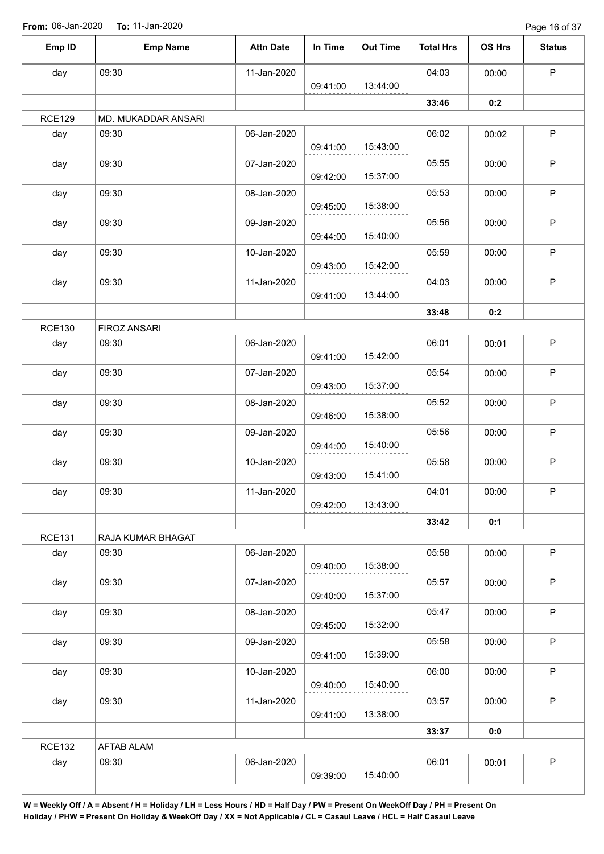Page 16 of 37

|               |                     |                  |          |                 |                  |        | $1$ ago 10 01 07 |
|---------------|---------------------|------------------|----------|-----------------|------------------|--------|------------------|
| Emp ID        | <b>Emp Name</b>     | <b>Attn Date</b> | In Time  | <b>Out Time</b> | <b>Total Hrs</b> | OS Hrs | <b>Status</b>    |
| day           | 09:30               | 11-Jan-2020      | 09:41:00 | 13:44:00        | 04:03            | 00:00  | P                |
|               |                     |                  |          |                 | 33:46            | 0:2    |                  |
| <b>RCE129</b> | MD. MUKADDAR ANSARI |                  |          |                 |                  |        |                  |
| day           | 09:30               | 06-Jan-2020      | 09:41:00 | 15:43:00        | 06:02            | 00:02  | P                |
| day           | 09:30               | 07-Jan-2020      | 09:42:00 | 15:37:00        | 05:55            | 00:00  | P                |
| day           | 09:30               | 08-Jan-2020      | 09:45:00 | 15:38:00        | 05:53            | 00:00  | P                |
| day           | 09:30               | 09-Jan-2020      | 09:44:00 | 15:40:00        | 05:56            | 00:00  | P                |
| day           | 09:30               | 10-Jan-2020      | 09:43:00 | 15:42:00        | 05:59            | 00:00  | $\sf P$          |
| day           | 09:30               | 11-Jan-2020      | 09:41:00 | 13:44:00        | 04:03            | 00:00  | $\mathsf{P}$     |
|               |                     |                  |          |                 | 33:48            | 0:2    |                  |
| <b>RCE130</b> | FIROZ ANSARI        |                  |          |                 |                  |        |                  |
| day           | 09:30               | 06-Jan-2020      | 09:41:00 | 15:42:00        | 06:01            | 00:01  | $\mathsf P$      |
| day           | 09:30               | 07-Jan-2020      | 09:43:00 | 15:37:00        | 05:54            | 00:00  | $\mathsf P$      |
| day           | 09:30               | 08-Jan-2020      | 09:46:00 | 15:38:00        | 05:52            | 00:00  | P                |
| day           | 09:30               | 09-Jan-2020      | 09:44:00 | 15:40:00        | 05:56            | 00:00  | P                |
| day           | 09:30               | 10-Jan-2020      | 09:43:00 | 15:41:00        | 05:58            | 00:00  | P                |
| day           | 09:30               | 11-Jan-2020      | 09:42:00 | 13:43:00        | 04:01            | 00:00  | P                |
|               |                     |                  |          |                 | 33:42            | 0:1    |                  |
| <b>RCE131</b> | RAJA KUMAR BHAGAT   |                  |          |                 |                  |        |                  |
| day           | 09:30               | 06-Jan-2020      | 09:40:00 | 15:38:00        | 05:58            | 00:00  | P                |
| day           | 09:30               | 07-Jan-2020      | 09:40:00 | 15:37:00        | 05:57            | 00:00  | P                |
| day           | 09:30               | 08-Jan-2020      | 09:45:00 | 15:32:00        | 05:47            | 00:00  | $\sf P$          |
| day           | 09:30               | 09-Jan-2020      | 09:41:00 | 15:39:00        | 05:58            | 00:00  | $\mathsf P$      |
| day           | 09:30               | 10-Jan-2020      | 09:40:00 | 15:40:00        | 06:00            | 00:00  | $\sf P$          |
| day           | 09:30               | 11-Jan-2020      | 09:41:00 | 13:38:00        | 03:57            | 00:00  | P                |
|               |                     |                  |          |                 | 33:37            | 0:0    |                  |
| <b>RCE132</b> | AFTAB ALAM          |                  |          |                 |                  |        |                  |
| day           | 09:30               | 06-Jan-2020      | 09:39:00 | 15:40:00        | 06:01            | 00:01  | P                |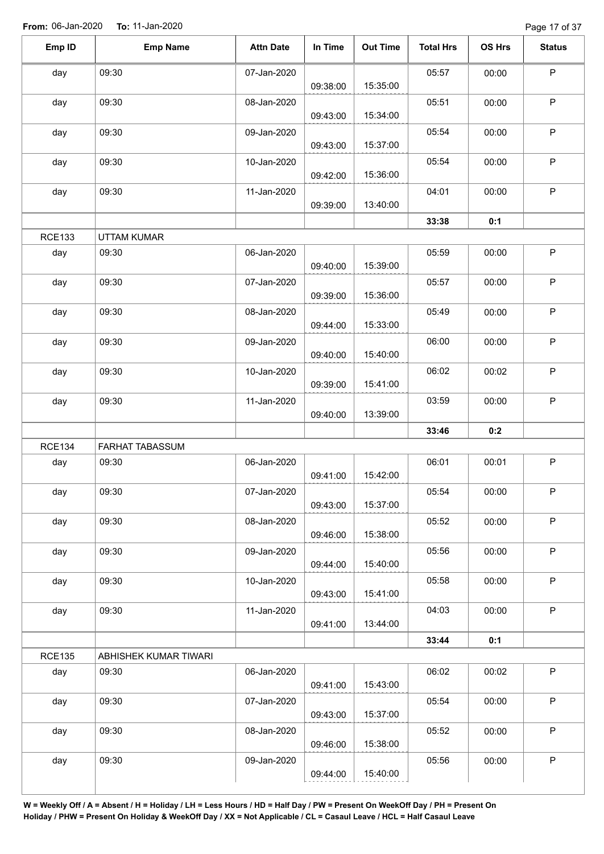Page 17 of 37

| Emp ID        | <b>Emp Name</b>       | <b>Attn Date</b> | In Time  | <b>Out Time</b> | <b>Total Hrs</b> | OS Hrs | <b>Status</b> |
|---------------|-----------------------|------------------|----------|-----------------|------------------|--------|---------------|
| day           | 09:30                 | 07-Jan-2020      | 09:38:00 | 15:35:00        | 05:57            | 00:00  | $\mathsf P$   |
| day           | 09:30                 | 08-Jan-2020      | 09:43:00 | 15:34:00        | 05:51            | 00:00  | $\sf P$       |
| day           | 09:30                 | 09-Jan-2020      | 09:43:00 | 15:37:00        | 05:54            | 00:00  | $\sf P$       |
| day           | 09:30                 | 10-Jan-2020      | 09:42:00 | 15:36:00        | 05:54            | 00:00  | $\mathsf P$   |
| day           | 09:30                 | 11-Jan-2020      | 09:39:00 | 13:40:00        | 04:01            | 00:00  | $\mathsf P$   |
|               |                       |                  |          |                 | 33:38            | 0:1    |               |
| <b>RCE133</b> | <b>UTTAM KUMAR</b>    |                  |          |                 |                  |        |               |
| day           | 09:30                 | 06-Jan-2020      | 09:40:00 | 15:39:00        | 05:59            | 00:00  | $\mathsf P$   |
| day           | 09:30                 | 07-Jan-2020      | 09:39:00 | 15:36:00        | 05:57            | 00:00  | $\mathsf P$   |
| day           | 09:30                 | 08-Jan-2020      | 09:44:00 | 15:33:00        | 05:49            | 00:00  | $\mathsf P$   |
| day           | 09:30                 | 09-Jan-2020      | 09:40:00 | 15:40:00        | 06:00            | 00:00  | $\mathsf P$   |
| day           | 09:30                 | 10-Jan-2020      | 09:39:00 | 15:41:00        | 06:02            | 00:02  | $\sf P$       |
| day           | 09:30                 | 11-Jan-2020      | 09:40:00 | 13:39:00        | 03:59            | 00:00  | $\mathsf P$   |
|               |                       |                  |          |                 | 33:46            | 0:2    |               |
| <b>RCE134</b> | FARHAT TABASSUM       |                  |          |                 |                  |        |               |
| day           | 09:30                 | 06-Jan-2020      | 09:41:00 | 15:42:00        | 06:01            | 00:01  | $\sf P$       |
| day           | 09:30                 | 07-Jan-2020      | 09:43:00 | 15:37:00        | 05:54            | 00:00  | P             |
| day           | 09:30                 | 08-Jan-2020      | 09:46:00 | 15:38:00        | 05:52            | 00:00  | $\mathsf P$   |
| day           | 09:30                 | 09-Jan-2020      | 09:44:00 | 15:40:00        | 05:56            | 00:00  | $\mathsf P$   |
| day           | 09:30                 | 10-Jan-2020      | 09:43:00 | 15:41:00        | 05:58            | 00:00  | $\sf P$       |
| day           | 09:30                 | 11-Jan-2020      | 09:41:00 | 13:44:00        | 04:03            | 00:00  | $\mathsf P$   |
|               |                       |                  |          |                 | 33:44            | 0:1    |               |
| <b>RCE135</b> | ABHISHEK KUMAR TIWARI |                  |          |                 |                  |        |               |
| day           | 09:30                 | 06-Jan-2020      | 09:41:00 | 15:43:00        | 06:02            | 00:02  | $\mathsf P$   |
| day           | 09:30                 | 07-Jan-2020      | 09:43:00 | 15:37:00        | 05:54            | 00:00  | $\mathsf P$   |
| day           | 09:30                 | 08-Jan-2020      | 09:46:00 | 15:38:00        | 05:52            | 00:00  | $\mathsf P$   |
| day           | 09:30                 | 09-Jan-2020      | 09:44:00 | 15:40:00        | 05:56            | 00:00  | $\mathsf P$   |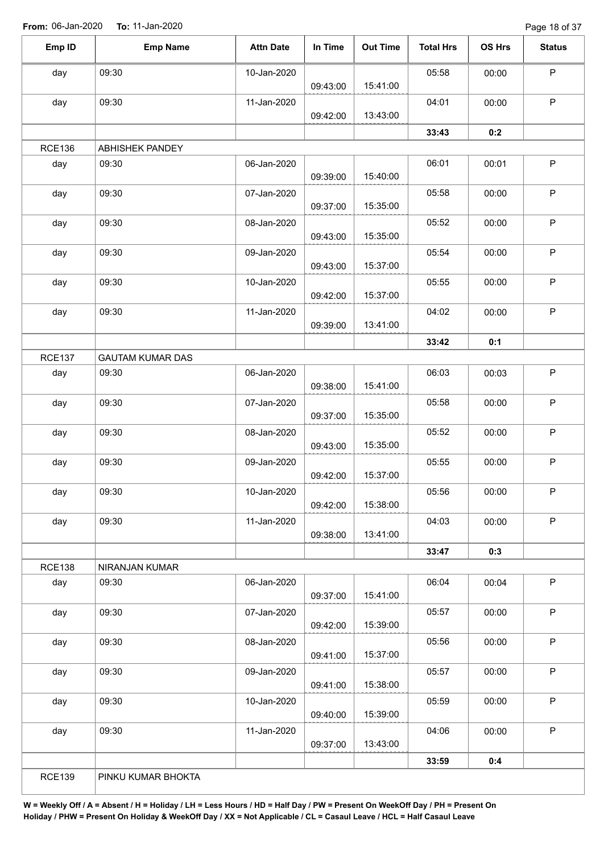Page 18 of 37

| Emp ID        | <b>Emp Name</b>         | <b>Attn Date</b> | In Time  | <b>Out Time</b> | <b>Total Hrs</b> | <b>OS Hrs</b> | <b>Status</b> |
|---------------|-------------------------|------------------|----------|-----------------|------------------|---------------|---------------|
| day           | 09:30                   | 10-Jan-2020      |          |                 | 05:58            | 00:00         | $\mathsf P$   |
|               |                         |                  | 09:43:00 | 15:41:00        |                  |               |               |
| day           | 09:30                   | 11-Jan-2020      |          |                 | 04:01            | 00:00         | $\mathsf P$   |
|               |                         |                  | 09:42:00 | 13:43:00        |                  |               |               |
|               |                         |                  |          |                 | 33:43            | 0:2           |               |
| <b>RCE136</b> | ABHISHEK PANDEY         |                  |          |                 |                  |               |               |
| day           | 09:30                   | 06-Jan-2020      | 09:39:00 | 15:40:00        | 06:01            | 00:01         | $\mathsf P$   |
| day           | 09:30                   | 07-Jan-2020      | 09:37:00 | 15:35:00        | 05:58            | 00:00         | P             |
| day           | 09:30                   | 08-Jan-2020      | 09:43:00 | 15:35:00        | 05:52            | 00:00         | $\mathsf P$   |
| day           | 09:30                   | 09-Jan-2020      | 09:43:00 | 15:37:00        | 05:54            | 00:00         | $\mathsf P$   |
| day           | 09:30                   | 10-Jan-2020      |          |                 | 05:55            | 00:00         | $\mathsf P$   |
|               |                         |                  | 09:42:00 | 15:37:00        |                  |               |               |
| day           | 09:30                   | 11-Jan-2020      | 09:39:00 | 13:41:00        | 04:02            | 00:00         | $\mathsf P$   |
|               |                         |                  |          |                 | 33:42            | 0:1           |               |
| <b>RCE137</b> | <b>GAUTAM KUMAR DAS</b> |                  |          |                 |                  |               |               |
| day           | 09:30                   | 06-Jan-2020      |          |                 | 06:03            | 00:03         | P             |
|               |                         |                  | 09:38:00 | 15:41:00        |                  |               |               |
| day           | 09:30                   | 07-Jan-2020      | 09:37:00 | 15:35:00        | 05:58            | 00:00         | P             |
| day           | 09:30                   | 08-Jan-2020      |          |                 | 05:52            | 00:00         | $\mathsf P$   |
|               |                         |                  | 09:43:00 | 15:35:00        |                  |               |               |
| day           | 09:30                   | 09-Jan-2020      | 09:42:00 | 15:37:00        | 05:55            | 00:00         | $\mathsf P$   |
| day           | 09:30                   | 10-Jan-2020      |          |                 | 05:56            | 00:00         | P             |
|               |                         |                  | 09:42:00 | 15:38:00        |                  |               |               |
| day           | 09:30                   | 11-Jan-2020      | 09:38:00 | 13:41:00        | 04:03            | 00:00         | $\mathsf P$   |
|               |                         |                  |          |                 | 33:47            | 0:3           |               |
| <b>RCE138</b> | NIRANJAN KUMAR          |                  |          |                 |                  |               |               |
| day           | 09:30                   | 06-Jan-2020      | 09:37:00 | 15:41:00        | 06:04            | 00:04         | $\mathsf P$   |
| day           | 09:30                   | 07-Jan-2020      | 09:42:00 | 15:39:00        | 05:57            | 00:00         | $\mathsf P$   |
| day           | 09:30                   | 08-Jan-2020      |          |                 | 05:56            | 00:00         | $\mathsf P$   |
|               |                         |                  | 09:41:00 | 15:37:00        |                  |               |               |
| day           | 09:30                   | 09-Jan-2020      |          |                 | 05:57            | 00:00         | $\sf P$       |
|               |                         |                  | 09:41:00 | 15:38:00        |                  |               |               |
| day           | 09:30                   | 10-Jan-2020      |          |                 | 05:59            | 00:00         | $\mathsf P$   |
|               |                         |                  | 09:40:00 | 15:39:00        |                  |               |               |
| day           | 09:30                   | 11-Jan-2020      |          |                 | 04:06            | 00:00         | $\mathsf P$   |
|               |                         |                  | 09:37:00 | 13:43:00        |                  |               |               |
|               |                         |                  |          |                 | 33:59            | 0:4           |               |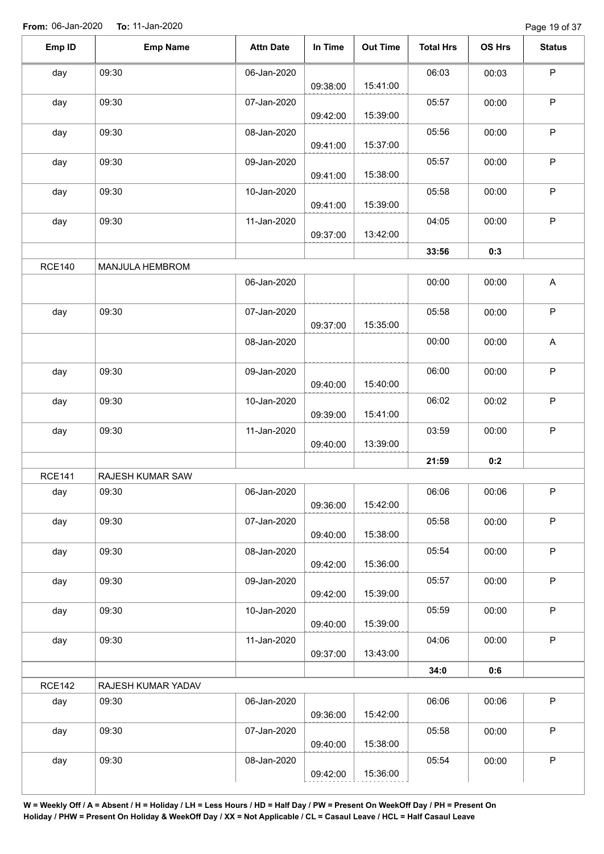Page 19 of 37

| Emp ID        | <b>Emp Name</b>    | <b>Attn Date</b> | In Time  | <b>Out Time</b> | <b>Total Hrs</b> | OS Hrs | <b>Status</b>             |
|---------------|--------------------|------------------|----------|-----------------|------------------|--------|---------------------------|
| day           | 09:30              | 06-Jan-2020      | 09:38:00 | 15:41:00        | 06:03            | 00:03  | $\mathsf P$               |
| day           | 09:30              | 07-Jan-2020      | 09:42:00 | 15:39:00        | 05:57            | 00:00  | $\mathsf P$               |
| day           | 09:30              | 08-Jan-2020      |          | 15:37:00        | 05:56            | 00:00  | $\mathsf P$               |
| day           | 09:30              | 09-Jan-2020      | 09:41:00 |                 | 05:57            | 00:00  | $\sf P$                   |
| day           | 09:30              | 10-Jan-2020      | 09:41:00 | 15:38:00        | 05:58            | 00:00  | $\mathsf P$               |
| day           | 09:30              | 11-Jan-2020      | 09:41:00 | 15:39:00        | 04:05            | 00:00  | $\sf P$                   |
|               |                    |                  | 09:37:00 | 13:42:00        | 33:56            | 0:3    |                           |
| <b>RCE140</b> | MANJULA HEMBROM    |                  |          |                 |                  |        |                           |
|               |                    | 06-Jan-2020      |          |                 | 00:00            | 00:00  | $\boldsymbol{\mathsf{A}}$ |
| day           | 09:30              | 07-Jan-2020      | 09:37:00 | 15:35:00        | 05:58            | 00:00  | $\mathsf P$               |
|               |                    | 08-Jan-2020      |          |                 | 00:00            | 00:00  | $\boldsymbol{\mathsf{A}}$ |
| day           | 09:30              | 09-Jan-2020      | 09:40:00 | 15:40:00        | 06:00            | 00:00  | $\sf P$                   |
| day           | 09:30              | 10-Jan-2020      | 09:39:00 | 15:41:00        | 06:02            | 00:02  | $\mathsf P$               |
| day           | 09:30              | 11-Jan-2020      | 09:40:00 | 13:39:00        | 03:59            | 00:00  | $\sf P$                   |
|               |                    |                  |          |                 | 21:59            | 0:2    |                           |
| <b>RCE141</b> | RAJESH KUMAR SAW   |                  |          |                 |                  |        |                           |
| day           | 09:30              | 06-Jan-2020      | 09:36:00 | 15:42:00        | 06:06            | 00:06  | P.                        |
| day           | 09:30              | 07-Jan-2020      | 09:40:00 | 15:38:00        | 05:58            | 00:00  | $\mathsf P$               |
| day           | 09:30              | 08-Jan-2020      | 09:42:00 | 15:36:00        | 05:54            | 00:00  | $\sf P$                   |
| day           | 09:30              | 09-Jan-2020      | 09:42:00 | 15:39:00        | 05:57            | 00:00  | $\mathsf P$               |
| day           | 09:30              | 10-Jan-2020      | 09:40:00 | 15:39:00        | 05:59            | 00:00  | $\mathsf P$               |
| day           | 09:30              | 11-Jan-2020      | 09:37:00 | 13:43:00        | 04:06            | 00:00  | $\mathsf P$               |
|               |                    |                  |          |                 | 34:0             | 0:6    |                           |
| <b>RCE142</b> | RAJESH KUMAR YADAV |                  |          |                 |                  |        |                           |
| day           | 09:30              | 06-Jan-2020      | 09:36:00 | 15:42:00        | 06:06            | 00:06  | $\mathsf P$               |
| day           | 09:30              | 07-Jan-2020      | 09:40:00 | 15:38:00        | 05:58            | 00:00  | $\sf P$                   |
| day           | 09:30              | 08-Jan-2020      | 09:42:00 | 15:36:00        | 05:54            | 00:00  | $\mathsf P$               |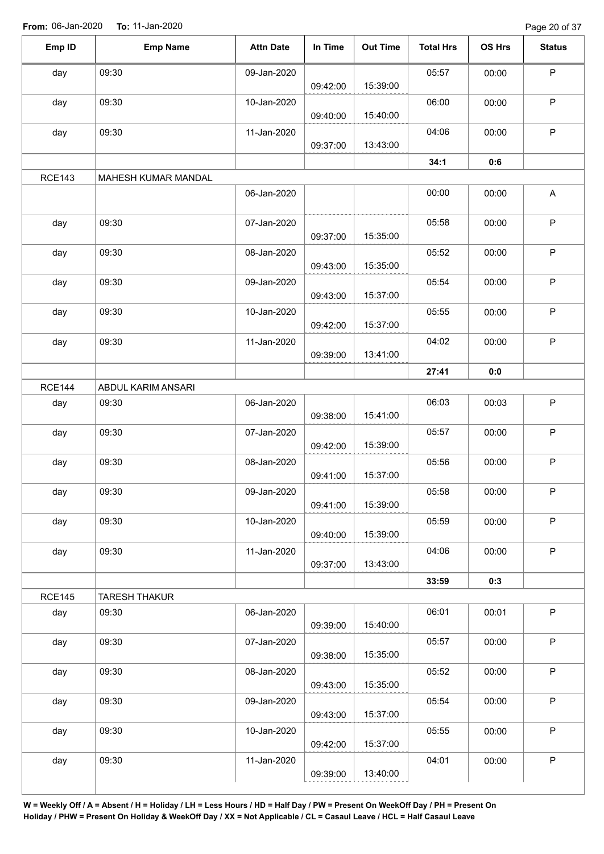Page 20 of 37

| Emp ID        | <b>Emp Name</b>      | <b>Attn Date</b> | In Time  | <b>Out Time</b> | <b>Total Hrs</b> | OS Hrs | <b>Status</b> |
|---------------|----------------------|------------------|----------|-----------------|------------------|--------|---------------|
| day           | 09:30                | 09-Jan-2020      |          |                 | 05:57            | 00:00  | $\mathsf P$   |
|               |                      |                  | 09:42:00 | 15:39:00        |                  |        |               |
| day           | 09:30                | 10-Jan-2020      | 09:40:00 | 15:40:00        | 06:00            | 00:00  | $\mathsf P$   |
| day           | 09:30                | 11-Jan-2020      | 09:37:00 | 13:43:00        | 04:06            | 00:00  | P             |
|               |                      |                  |          |                 | 34:1             | 0:6    |               |
|               |                      |                  |          |                 |                  |        |               |
| <b>RCE143</b> | MAHESH KUMAR MANDAL  |                  |          |                 |                  |        |               |
|               |                      | 06-Jan-2020      |          |                 | 00:00            | 00:00  | A             |
| day           | 09:30                | 07-Jan-2020      |          |                 | 05:58            | 00:00  | $\mathsf P$   |
|               |                      |                  | 09:37:00 | 15:35:00        |                  |        |               |
| day           | 09:30                | 08-Jan-2020      | 09:43:00 | 15:35:00        | 05:52            | 00:00  | $\mathsf P$   |
| day           | 09:30                | 09-Jan-2020      |          |                 | 05:54            | 00:00  | $\mathsf P$   |
|               |                      |                  | 09:43:00 | 15:37:00        |                  |        |               |
| day           | 09:30                | 10-Jan-2020      |          |                 | 05:55            | 00:00  | $\mathsf P$   |
|               |                      |                  | 09:42:00 | 15:37:00        |                  |        |               |
| day           | 09:30                | 11-Jan-2020      |          |                 | 04:02            | 00:00  | $\mathsf P$   |
|               |                      |                  | 09:39:00 | 13:41:00        |                  |        |               |
|               |                      |                  |          |                 | 27:41            | 0:0    |               |
| <b>RCE144</b> | ABDUL KARIM ANSARI   |                  |          |                 |                  |        |               |
| day           | 09:30                | 06-Jan-2020      |          |                 | 06:03            | 00:03  | $\mathsf P$   |
|               |                      |                  | 09:38:00 | 15:41:00        |                  |        |               |
| day           | 09:30                | 07-Jan-2020      |          |                 | 05:57            | 00:00  | $\mathsf P$   |
|               |                      |                  | 09:42:00 | 15:39:00        |                  |        |               |
| day           | 09:30                | 08-Jan-2020      |          |                 | 05:56            | 00:00  | $\mathsf P$   |
|               |                      |                  | 09:41:00 | 15:37:00        |                  |        |               |
| day           | 09:30                | 09-Jan-2020      |          |                 | 05:58            | 00:00  | P             |
|               |                      |                  | 09:41:00 | 15:39:00        |                  |        |               |
| day           | 09:30                | 10-Jan-2020      |          |                 | 05:59            | 00:00  | $\mathsf P$   |
|               |                      |                  | 09:40:00 | 15:39:00        |                  |        |               |
| day           | 09:30                | 11-Jan-2020      |          |                 | 04:06            | 00:00  | $\mathsf P$   |
|               |                      |                  | 09:37:00 | 13:43:00        |                  |        |               |
|               |                      |                  |          |                 | 33:59            | 0:3    |               |
| <b>RCE145</b> | <b>TARESH THAKUR</b> |                  |          |                 |                  |        |               |
| day           | 09:30                | 06-Jan-2020      |          |                 | 06:01            | 00:01  | $\sf P$       |
|               |                      |                  | 09:39:00 | 15:40:00        |                  |        |               |
| day           | 09:30                | 07-Jan-2020      |          |                 | 05:57            | 00:00  | $\sf P$       |
|               |                      |                  | 09:38:00 | 15:35:00        |                  |        |               |
| day           | 09:30                | 08-Jan-2020      |          |                 | 05:52            | 00:00  | $\mathsf P$   |
|               |                      |                  | 09:43:00 | 15:35:00        |                  |        |               |
| day           | 09:30                | 09-Jan-2020      |          |                 | 05:54            | 00:00  | $\sf P$       |
|               |                      |                  | 09:43:00 | 15:37:00        |                  |        |               |
| day           | 09:30                | 10-Jan-2020      |          |                 | 05:55            | 00:00  | P             |
|               |                      |                  | 09:42:00 | 15:37:00        |                  |        |               |
| day           | 09:30                | 11-Jan-2020      |          |                 | 04:01            | 00:00  | $\sf P$       |
|               |                      |                  | 09:39:00 | 13:40:00        |                  |        |               |
|               |                      |                  |          |                 |                  |        |               |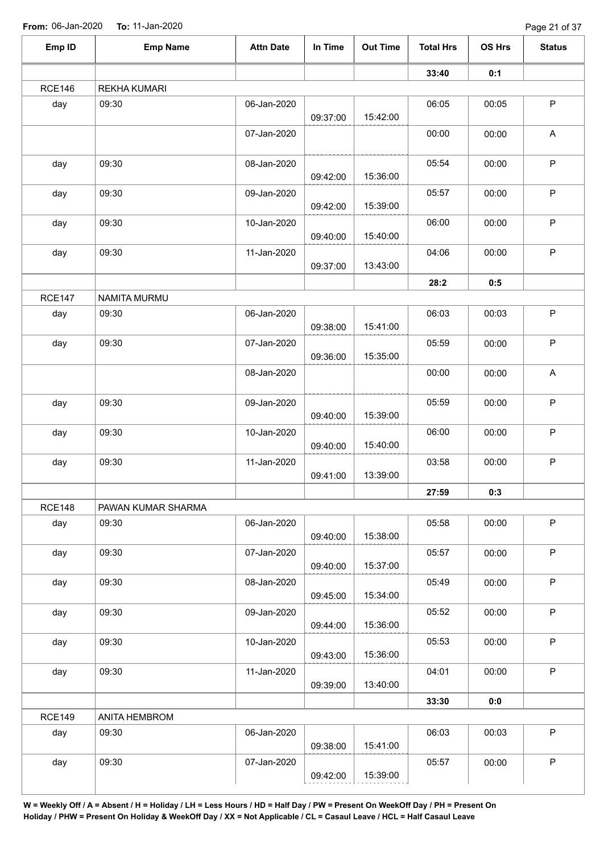Page 21 of 37

| Emp ID        | <b>Emp Name</b>     | <b>Attn Date</b> | In Time  | <b>Out Time</b> | <b>Total Hrs</b> | OS Hrs | <b>Status</b> |
|---------------|---------------------|------------------|----------|-----------------|------------------|--------|---------------|
|               |                     |                  |          |                 | 33:40            | 0:1    |               |
| <b>RCE146</b> | <b>REKHA KUMARI</b> |                  |          |                 |                  |        |               |
| day           | 09:30               | 06-Jan-2020      | 09:37:00 | 15:42:00        | 06:05            | 00:05  | $\sf P$       |
|               |                     | 07-Jan-2020      |          |                 | 00:00            | 00:00  | A             |
| day           | 09:30               | 08-Jan-2020      | 09:42:00 | 15:36:00        | 05:54            | 00:00  | $\sf P$       |
| day           | 09:30               | 09-Jan-2020      | 09:42:00 | 15:39:00        | 05:57            | 00:00  | $\mathsf P$   |
| day           | 09:30               | 10-Jan-2020      | 09:40:00 | 15:40:00        | 06:00            | 00:00  | $\sf P$       |
| day           | 09:30               | 11-Jan-2020      | 09:37:00 | 13:43:00        | 04:06            | 00:00  | $\sf P$       |
|               |                     |                  |          |                 | 28:2             | 0:5    |               |
| <b>RCE147</b> | NAMITA MURMU        |                  |          |                 |                  |        |               |
| day           | 09:30               | 06-Jan-2020      | 09:38:00 | 15:41:00        | 06:03            | 00:03  | $\mathsf P$   |
| day           | 09:30               | 07-Jan-2020      | 09:36:00 | 15:35:00        | 05:59            | 00:00  | $\sf P$       |
|               |                     | 08-Jan-2020      |          |                 | 00:00            | 00:00  | A             |
| day           | 09:30               | 09-Jan-2020      | 09:40:00 | 15:39:00        | 05:59            | 00:00  | $\mathsf P$   |
| day           | 09:30               | 10-Jan-2020      | 09:40:00 | 15:40:00        | 06:00            | 00:00  | $\mathsf P$   |
| day           | 09:30               | 11-Jan-2020      | 09:41:00 | 13:39:00        | 03:58            | 00:00  | $\sf P$       |
|               |                     |                  |          |                 | 27:59            | 0:3    |               |
| <b>RCE148</b> | PAWAN KUMAR SHARMA  |                  |          |                 |                  |        |               |
| day           | 09:30               | 06-Jan-2020      | 09:40:00 | 15:38:00        | 05:58            | 00:00  | $\mathsf P$   |
| day           | 09:30               | 07-Jan-2020      | 09:40:00 | 15:37:00        | 05:57            | 00:00  | $\sf P$       |
| day           | 09:30               | 08-Jan-2020      | 09:45:00 | 15:34:00        | 05:49            | 00:00  | $\mathsf P$   |
| day           | 09:30               | 09-Jan-2020      | 09:44:00 | 15:36:00        | 05:52            | 00:00  | $\sf P$       |
| day           | 09:30               | 10-Jan-2020      | 09:43:00 | 15:36:00        | 05:53            | 00:00  | P             |
| day           | 09:30               | 11-Jan-2020      | 09:39:00 | 13:40:00        | 04:01            | 00:00  | $\mathsf P$   |
|               |                     |                  |          |                 | 33:30            | 0:0    |               |
| <b>RCE149</b> | ANITA HEMBROM       |                  |          |                 |                  |        |               |
| day           | 09:30               | 06-Jan-2020      | 09:38:00 | 15:41:00        | 06:03            | 00:03  | $\sf P$       |
| day           | 09:30               | 07-Jan-2020      | 09:42:00 | 15:39:00        | 05:57            | 00:00  | $\mathsf P$   |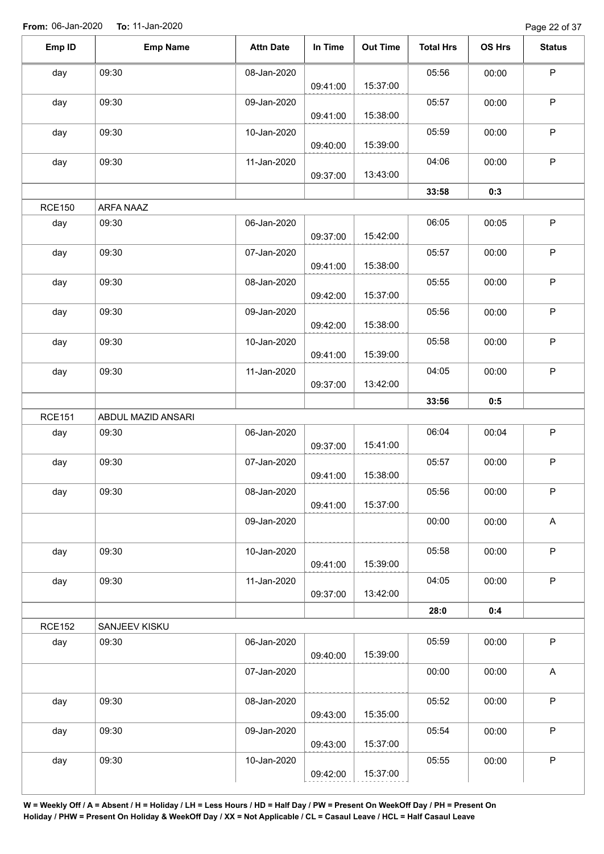Page 22 of 37

| Emp ID<br><b>Emp Name</b><br><b>Attn Date</b><br>In Time<br><b>Out Time</b><br><b>Total Hrs</b><br>OS Hrs<br>$\sf P$<br>05:56<br>09:30<br>08-Jan-2020<br>day<br>00:00<br>15:37:00<br>09:41:00<br>$\mathsf P$<br>05:57<br>09:30<br>09-Jan-2020<br>00:00<br>day<br>15:38:00<br>09:41:00<br>$\sf P$<br>05:59<br>day<br>09:30<br>10-Jan-2020<br>00:00<br>15:39:00<br>09:40:00<br>$\sf P$<br>09:30<br>11-Jan-2020<br>04:06<br>00:00<br>day<br>13:43:00<br>09:37:00<br>33:58<br>0:3<br><b>RCE150</b><br>ARFA NAAZ<br>$\mathsf P$<br>day<br>09:30<br>06-Jan-2020<br>06:05<br>00:05<br>15:42:00<br>09:37:00<br>$\sf P$<br>09:30<br>day<br>07-Jan-2020<br>05:57<br>00:00<br>15:38:00<br>09:41:00<br>$\sf P$<br>09:30<br>08-Jan-2020<br>05:55<br>00:00<br>day<br>15:37:00<br>09:42:00<br>$\sf P$<br>09:30<br>day<br>09-Jan-2020<br>05:56<br>00:00<br>15:38:00<br>09:42:00<br>$\mathsf P$<br>09:30<br>10-Jan-2020<br>05:58<br>day<br>00:00<br>15:39:00<br>09:41:00<br>$\sf P$<br>09:30<br>11-Jan-2020<br>04:05<br>day<br>00:00<br>13:42:00<br>09:37:00<br>0:5<br>33:56<br><b>RCE151</b><br>ABDUL MAZID ANSARI<br>$\sf P$<br>06-Jan-2020<br>06:04<br>09:30<br>day<br>00:04<br>15:41:00<br>09:37:00<br>$\mathsf P$<br>09:30<br>07-Jan-2020<br>05:57<br>day<br>00:00<br>15:38:00<br>09:41:00<br>09:30<br>08-Jan-2020<br>05:56<br>P<br>00:00<br>day<br>15:37:00<br>09:41:00<br>A<br>09-Jan-2020<br>00:00<br>00:00<br>$\sf P$<br>09:30<br>10-Jan-2020<br>05:58<br>day<br>00:00<br>15:39:00<br>09:41:00<br>$\mathsf P$<br>09:30<br>11-Jan-2020<br>day<br>04:05<br>00:00<br>13:42:00<br>09:37:00<br>28:0<br>0:4<br><b>RCE152</b><br>SANJEEV KISKU<br>$\sf P$<br>09:30<br>06-Jan-2020<br>05:59<br>00:00<br>day<br>15:39:00<br>09:40:00<br>$\boldsymbol{\mathsf{A}}$<br>00:00<br>07-Jan-2020<br>00:00<br>$\sf P$<br>09:30<br>08-Jan-2020<br>05:52<br>00:00<br>day<br>15:35:00<br>09:43:00<br>$\mathsf P$<br>05:54<br>09:30<br>day<br>09-Jan-2020<br>00:00<br>15:37:00<br>09:43:00<br>$\sf P$<br>09:30<br>10-Jan-2020<br>05:55<br>00:00<br>day<br>15:37:00<br>09:42:00 |  |  |  |               |
|---------------------------------------------------------------------------------------------------------------------------------------------------------------------------------------------------------------------------------------------------------------------------------------------------------------------------------------------------------------------------------------------------------------------------------------------------------------------------------------------------------------------------------------------------------------------------------------------------------------------------------------------------------------------------------------------------------------------------------------------------------------------------------------------------------------------------------------------------------------------------------------------------------------------------------------------------------------------------------------------------------------------------------------------------------------------------------------------------------------------------------------------------------------------------------------------------------------------------------------------------------------------------------------------------------------------------------------------------------------------------------------------------------------------------------------------------------------------------------------------------------------------------------------------------------------------------------------------------------------------------------------------------------------------------------------------------------------------------------------------------------------------------------------------------------------------------------------------------------------------------------------------------------------------------------------------------------------------------------------------------------------------------------------------------|--|--|--|---------------|
|                                                                                                                                                                                                                                                                                                                                                                                                                                                                                                                                                                                                                                                                                                                                                                                                                                                                                                                                                                                                                                                                                                                                                                                                                                                                                                                                                                                                                                                                                                                                                                                                                                                                                                                                                                                                                                                                                                                                                                                                                                                   |  |  |  | <b>Status</b> |
|                                                                                                                                                                                                                                                                                                                                                                                                                                                                                                                                                                                                                                                                                                                                                                                                                                                                                                                                                                                                                                                                                                                                                                                                                                                                                                                                                                                                                                                                                                                                                                                                                                                                                                                                                                                                                                                                                                                                                                                                                                                   |  |  |  |               |
|                                                                                                                                                                                                                                                                                                                                                                                                                                                                                                                                                                                                                                                                                                                                                                                                                                                                                                                                                                                                                                                                                                                                                                                                                                                                                                                                                                                                                                                                                                                                                                                                                                                                                                                                                                                                                                                                                                                                                                                                                                                   |  |  |  |               |
|                                                                                                                                                                                                                                                                                                                                                                                                                                                                                                                                                                                                                                                                                                                                                                                                                                                                                                                                                                                                                                                                                                                                                                                                                                                                                                                                                                                                                                                                                                                                                                                                                                                                                                                                                                                                                                                                                                                                                                                                                                                   |  |  |  |               |
|                                                                                                                                                                                                                                                                                                                                                                                                                                                                                                                                                                                                                                                                                                                                                                                                                                                                                                                                                                                                                                                                                                                                                                                                                                                                                                                                                                                                                                                                                                                                                                                                                                                                                                                                                                                                                                                                                                                                                                                                                                                   |  |  |  |               |
|                                                                                                                                                                                                                                                                                                                                                                                                                                                                                                                                                                                                                                                                                                                                                                                                                                                                                                                                                                                                                                                                                                                                                                                                                                                                                                                                                                                                                                                                                                                                                                                                                                                                                                                                                                                                                                                                                                                                                                                                                                                   |  |  |  |               |
|                                                                                                                                                                                                                                                                                                                                                                                                                                                                                                                                                                                                                                                                                                                                                                                                                                                                                                                                                                                                                                                                                                                                                                                                                                                                                                                                                                                                                                                                                                                                                                                                                                                                                                                                                                                                                                                                                                                                                                                                                                                   |  |  |  |               |
|                                                                                                                                                                                                                                                                                                                                                                                                                                                                                                                                                                                                                                                                                                                                                                                                                                                                                                                                                                                                                                                                                                                                                                                                                                                                                                                                                                                                                                                                                                                                                                                                                                                                                                                                                                                                                                                                                                                                                                                                                                                   |  |  |  |               |
|                                                                                                                                                                                                                                                                                                                                                                                                                                                                                                                                                                                                                                                                                                                                                                                                                                                                                                                                                                                                                                                                                                                                                                                                                                                                                                                                                                                                                                                                                                                                                                                                                                                                                                                                                                                                                                                                                                                                                                                                                                                   |  |  |  |               |
|                                                                                                                                                                                                                                                                                                                                                                                                                                                                                                                                                                                                                                                                                                                                                                                                                                                                                                                                                                                                                                                                                                                                                                                                                                                                                                                                                                                                                                                                                                                                                                                                                                                                                                                                                                                                                                                                                                                                                                                                                                                   |  |  |  |               |
|                                                                                                                                                                                                                                                                                                                                                                                                                                                                                                                                                                                                                                                                                                                                                                                                                                                                                                                                                                                                                                                                                                                                                                                                                                                                                                                                                                                                                                                                                                                                                                                                                                                                                                                                                                                                                                                                                                                                                                                                                                                   |  |  |  |               |
|                                                                                                                                                                                                                                                                                                                                                                                                                                                                                                                                                                                                                                                                                                                                                                                                                                                                                                                                                                                                                                                                                                                                                                                                                                                                                                                                                                                                                                                                                                                                                                                                                                                                                                                                                                                                                                                                                                                                                                                                                                                   |  |  |  |               |
|                                                                                                                                                                                                                                                                                                                                                                                                                                                                                                                                                                                                                                                                                                                                                                                                                                                                                                                                                                                                                                                                                                                                                                                                                                                                                                                                                                                                                                                                                                                                                                                                                                                                                                                                                                                                                                                                                                                                                                                                                                                   |  |  |  |               |
|                                                                                                                                                                                                                                                                                                                                                                                                                                                                                                                                                                                                                                                                                                                                                                                                                                                                                                                                                                                                                                                                                                                                                                                                                                                                                                                                                                                                                                                                                                                                                                                                                                                                                                                                                                                                                                                                                                                                                                                                                                                   |  |  |  |               |
|                                                                                                                                                                                                                                                                                                                                                                                                                                                                                                                                                                                                                                                                                                                                                                                                                                                                                                                                                                                                                                                                                                                                                                                                                                                                                                                                                                                                                                                                                                                                                                                                                                                                                                                                                                                                                                                                                                                                                                                                                                                   |  |  |  |               |
|                                                                                                                                                                                                                                                                                                                                                                                                                                                                                                                                                                                                                                                                                                                                                                                                                                                                                                                                                                                                                                                                                                                                                                                                                                                                                                                                                                                                                                                                                                                                                                                                                                                                                                                                                                                                                                                                                                                                                                                                                                                   |  |  |  |               |
|                                                                                                                                                                                                                                                                                                                                                                                                                                                                                                                                                                                                                                                                                                                                                                                                                                                                                                                                                                                                                                                                                                                                                                                                                                                                                                                                                                                                                                                                                                                                                                                                                                                                                                                                                                                                                                                                                                                                                                                                                                                   |  |  |  |               |
|                                                                                                                                                                                                                                                                                                                                                                                                                                                                                                                                                                                                                                                                                                                                                                                                                                                                                                                                                                                                                                                                                                                                                                                                                                                                                                                                                                                                                                                                                                                                                                                                                                                                                                                                                                                                                                                                                                                                                                                                                                                   |  |  |  |               |
|                                                                                                                                                                                                                                                                                                                                                                                                                                                                                                                                                                                                                                                                                                                                                                                                                                                                                                                                                                                                                                                                                                                                                                                                                                                                                                                                                                                                                                                                                                                                                                                                                                                                                                                                                                                                                                                                                                                                                                                                                                                   |  |  |  |               |
|                                                                                                                                                                                                                                                                                                                                                                                                                                                                                                                                                                                                                                                                                                                                                                                                                                                                                                                                                                                                                                                                                                                                                                                                                                                                                                                                                                                                                                                                                                                                                                                                                                                                                                                                                                                                                                                                                                                                                                                                                                                   |  |  |  |               |
|                                                                                                                                                                                                                                                                                                                                                                                                                                                                                                                                                                                                                                                                                                                                                                                                                                                                                                                                                                                                                                                                                                                                                                                                                                                                                                                                                                                                                                                                                                                                                                                                                                                                                                                                                                                                                                                                                                                                                                                                                                                   |  |  |  |               |
|                                                                                                                                                                                                                                                                                                                                                                                                                                                                                                                                                                                                                                                                                                                                                                                                                                                                                                                                                                                                                                                                                                                                                                                                                                                                                                                                                                                                                                                                                                                                                                                                                                                                                                                                                                                                                                                                                                                                                                                                                                                   |  |  |  |               |
|                                                                                                                                                                                                                                                                                                                                                                                                                                                                                                                                                                                                                                                                                                                                                                                                                                                                                                                                                                                                                                                                                                                                                                                                                                                                                                                                                                                                                                                                                                                                                                                                                                                                                                                                                                                                                                                                                                                                                                                                                                                   |  |  |  |               |
|                                                                                                                                                                                                                                                                                                                                                                                                                                                                                                                                                                                                                                                                                                                                                                                                                                                                                                                                                                                                                                                                                                                                                                                                                                                                                                                                                                                                                                                                                                                                                                                                                                                                                                                                                                                                                                                                                                                                                                                                                                                   |  |  |  |               |
|                                                                                                                                                                                                                                                                                                                                                                                                                                                                                                                                                                                                                                                                                                                                                                                                                                                                                                                                                                                                                                                                                                                                                                                                                                                                                                                                                                                                                                                                                                                                                                                                                                                                                                                                                                                                                                                                                                                                                                                                                                                   |  |  |  |               |
|                                                                                                                                                                                                                                                                                                                                                                                                                                                                                                                                                                                                                                                                                                                                                                                                                                                                                                                                                                                                                                                                                                                                                                                                                                                                                                                                                                                                                                                                                                                                                                                                                                                                                                                                                                                                                                                                                                                                                                                                                                                   |  |  |  |               |
|                                                                                                                                                                                                                                                                                                                                                                                                                                                                                                                                                                                                                                                                                                                                                                                                                                                                                                                                                                                                                                                                                                                                                                                                                                                                                                                                                                                                                                                                                                                                                                                                                                                                                                                                                                                                                                                                                                                                                                                                                                                   |  |  |  |               |
|                                                                                                                                                                                                                                                                                                                                                                                                                                                                                                                                                                                                                                                                                                                                                                                                                                                                                                                                                                                                                                                                                                                                                                                                                                                                                                                                                                                                                                                                                                                                                                                                                                                                                                                                                                                                                                                                                                                                                                                                                                                   |  |  |  |               |
|                                                                                                                                                                                                                                                                                                                                                                                                                                                                                                                                                                                                                                                                                                                                                                                                                                                                                                                                                                                                                                                                                                                                                                                                                                                                                                                                                                                                                                                                                                                                                                                                                                                                                                                                                                                                                                                                                                                                                                                                                                                   |  |  |  |               |
|                                                                                                                                                                                                                                                                                                                                                                                                                                                                                                                                                                                                                                                                                                                                                                                                                                                                                                                                                                                                                                                                                                                                                                                                                                                                                                                                                                                                                                                                                                                                                                                                                                                                                                                                                                                                                                                                                                                                                                                                                                                   |  |  |  |               |
|                                                                                                                                                                                                                                                                                                                                                                                                                                                                                                                                                                                                                                                                                                                                                                                                                                                                                                                                                                                                                                                                                                                                                                                                                                                                                                                                                                                                                                                                                                                                                                                                                                                                                                                                                                                                                                                                                                                                                                                                                                                   |  |  |  |               |
|                                                                                                                                                                                                                                                                                                                                                                                                                                                                                                                                                                                                                                                                                                                                                                                                                                                                                                                                                                                                                                                                                                                                                                                                                                                                                                                                                                                                                                                                                                                                                                                                                                                                                                                                                                                                                                                                                                                                                                                                                                                   |  |  |  |               |
|                                                                                                                                                                                                                                                                                                                                                                                                                                                                                                                                                                                                                                                                                                                                                                                                                                                                                                                                                                                                                                                                                                                                                                                                                                                                                                                                                                                                                                                                                                                                                                                                                                                                                                                                                                                                                                                                                                                                                                                                                                                   |  |  |  |               |
|                                                                                                                                                                                                                                                                                                                                                                                                                                                                                                                                                                                                                                                                                                                                                                                                                                                                                                                                                                                                                                                                                                                                                                                                                                                                                                                                                                                                                                                                                                                                                                                                                                                                                                                                                                                                                                                                                                                                                                                                                                                   |  |  |  |               |
|                                                                                                                                                                                                                                                                                                                                                                                                                                                                                                                                                                                                                                                                                                                                                                                                                                                                                                                                                                                                                                                                                                                                                                                                                                                                                                                                                                                                                                                                                                                                                                                                                                                                                                                                                                                                                                                                                                                                                                                                                                                   |  |  |  |               |
|                                                                                                                                                                                                                                                                                                                                                                                                                                                                                                                                                                                                                                                                                                                                                                                                                                                                                                                                                                                                                                                                                                                                                                                                                                                                                                                                                                                                                                                                                                                                                                                                                                                                                                                                                                                                                                                                                                                                                                                                                                                   |  |  |  |               |
|                                                                                                                                                                                                                                                                                                                                                                                                                                                                                                                                                                                                                                                                                                                                                                                                                                                                                                                                                                                                                                                                                                                                                                                                                                                                                                                                                                                                                                                                                                                                                                                                                                                                                                                                                                                                                                                                                                                                                                                                                                                   |  |  |  |               |
|                                                                                                                                                                                                                                                                                                                                                                                                                                                                                                                                                                                                                                                                                                                                                                                                                                                                                                                                                                                                                                                                                                                                                                                                                                                                                                                                                                                                                                                                                                                                                                                                                                                                                                                                                                                                                                                                                                                                                                                                                                                   |  |  |  |               |
|                                                                                                                                                                                                                                                                                                                                                                                                                                                                                                                                                                                                                                                                                                                                                                                                                                                                                                                                                                                                                                                                                                                                                                                                                                                                                                                                                                                                                                                                                                                                                                                                                                                                                                                                                                                                                                                                                                                                                                                                                                                   |  |  |  |               |
|                                                                                                                                                                                                                                                                                                                                                                                                                                                                                                                                                                                                                                                                                                                                                                                                                                                                                                                                                                                                                                                                                                                                                                                                                                                                                                                                                                                                                                                                                                                                                                                                                                                                                                                                                                                                                                                                                                                                                                                                                                                   |  |  |  |               |
|                                                                                                                                                                                                                                                                                                                                                                                                                                                                                                                                                                                                                                                                                                                                                                                                                                                                                                                                                                                                                                                                                                                                                                                                                                                                                                                                                                                                                                                                                                                                                                                                                                                                                                                                                                                                                                                                                                                                                                                                                                                   |  |  |  |               |
|                                                                                                                                                                                                                                                                                                                                                                                                                                                                                                                                                                                                                                                                                                                                                                                                                                                                                                                                                                                                                                                                                                                                                                                                                                                                                                                                                                                                                                                                                                                                                                                                                                                                                                                                                                                                                                                                                                                                                                                                                                                   |  |  |  |               |
|                                                                                                                                                                                                                                                                                                                                                                                                                                                                                                                                                                                                                                                                                                                                                                                                                                                                                                                                                                                                                                                                                                                                                                                                                                                                                                                                                                                                                                                                                                                                                                                                                                                                                                                                                                                                                                                                                                                                                                                                                                                   |  |  |  |               |
|                                                                                                                                                                                                                                                                                                                                                                                                                                                                                                                                                                                                                                                                                                                                                                                                                                                                                                                                                                                                                                                                                                                                                                                                                                                                                                                                                                                                                                                                                                                                                                                                                                                                                                                                                                                                                                                                                                                                                                                                                                                   |  |  |  |               |
|                                                                                                                                                                                                                                                                                                                                                                                                                                                                                                                                                                                                                                                                                                                                                                                                                                                                                                                                                                                                                                                                                                                                                                                                                                                                                                                                                                                                                                                                                                                                                                                                                                                                                                                                                                                                                                                                                                                                                                                                                                                   |  |  |  |               |
|                                                                                                                                                                                                                                                                                                                                                                                                                                                                                                                                                                                                                                                                                                                                                                                                                                                                                                                                                                                                                                                                                                                                                                                                                                                                                                                                                                                                                                                                                                                                                                                                                                                                                                                                                                                                                                                                                                                                                                                                                                                   |  |  |  |               |
|                                                                                                                                                                                                                                                                                                                                                                                                                                                                                                                                                                                                                                                                                                                                                                                                                                                                                                                                                                                                                                                                                                                                                                                                                                                                                                                                                                                                                                                                                                                                                                                                                                                                                                                                                                                                                                                                                                                                                                                                                                                   |  |  |  |               |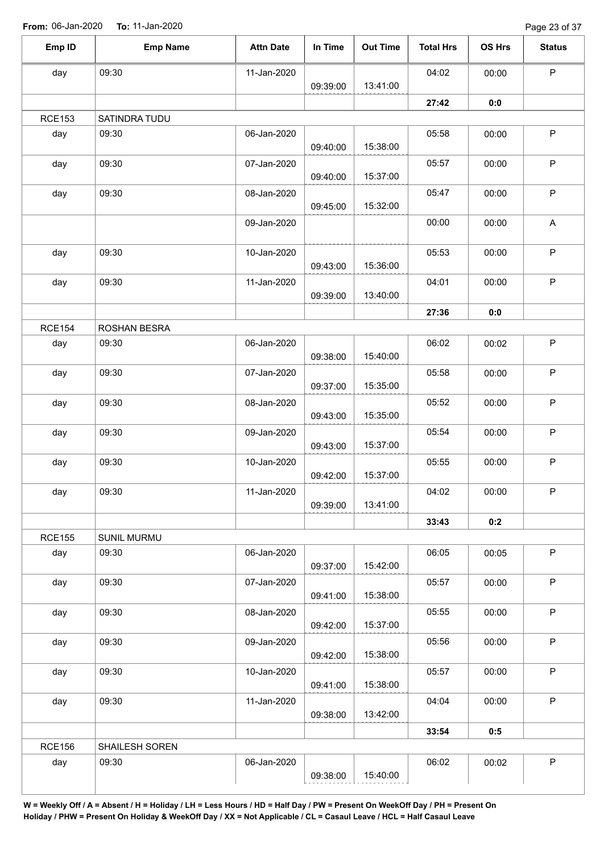Page 23 of 37

| Emp ID        | <b>Emp Name</b> | <b>Attn Date</b> | In Time  | <b>Out Time</b> | <b>Total Hrs</b> | OS Hrs | <b>Status</b> |
|---------------|-----------------|------------------|----------|-----------------|------------------|--------|---------------|
| day           | 09:30           | 11-Jan-2020      |          |                 | 04:02            | 00:00  | P             |
|               |                 |                  | 09:39:00 | 13:41:00        |                  |        |               |
| <b>RCE153</b> | SATINDRA TUDU   |                  |          |                 | 27:42            | 0:0    |               |
| day           | 09:30           | 06-Jan-2020      |          |                 | 05:58            | 00:00  | P             |
|               |                 |                  | 09:40:00 | 15:38:00        |                  |        |               |
| day           | 09:30           | 07-Jan-2020      |          |                 | 05:57            | 00:00  | P             |
|               |                 |                  | 09:40:00 | 15:37:00        |                  |        |               |
| day           | 09:30           | 08-Jan-2020      |          |                 | 05:47            | 00:00  | $\mathsf P$   |
|               |                 |                  | 09:45:00 | 15:32:00        |                  |        |               |
|               |                 | 09-Jan-2020      |          |                 | 00:00            | 00:00  | $\mathsf{A}$  |
| day           | 09:30           | 10-Jan-2020      |          |                 | 05:53            | 00:00  | $\sf P$       |
|               |                 |                  | 09:43:00 | 15:36:00        |                  |        |               |
| day           | 09:30           | 11-Jan-2020      |          |                 | 04:01            | 00:00  | P             |
|               |                 |                  | 09:39:00 | 13:40:00        |                  |        |               |
|               |                 |                  |          |                 | 27:36            | 0:0    |               |
| <b>RCE154</b> | ROSHAN BESRA    |                  |          |                 |                  |        |               |
| day           | 09:30           | 06-Jan-2020      |          |                 | 06:02            | 00:02  | $\mathsf P$   |
|               |                 |                  | 09:38:00 | 15:40:00        |                  |        |               |
| day           | 09:30           | 07-Jan-2020      | 09:37:00 | 15:35:00        | 05:58            | 00:00  | $\sf P$       |
| day           | 09:30           | 08-Jan-2020      |          |                 | 05:52            | 00:00  | P             |
|               |                 |                  | 09:43:00 | 15:35:00        |                  |        |               |
| day           | 09:30           | 09-Jan-2020      |          |                 | 05:54            | 00:00  | P             |
|               |                 |                  | 09:43:00 | 15:37:00        |                  |        |               |
| day           | 09:30           | 10-Jan-2020      |          |                 | 05:55            | 00:00  | $\mathsf P$   |
|               |                 |                  | 09:42:00 | 15:37:00        |                  |        |               |
| day           | 09:30           | 11-Jan-2020      |          | 13:41:00        | 04:02            | 00:00  | P             |
|               |                 |                  | 09:39:00 |                 | 33:43            | 0:2    |               |
| <b>RCE155</b> | SUNIL MURMU     |                  |          |                 |                  |        |               |
| day           | 09:30           | 06-Jan-2020      |          |                 | 06:05            | 00:05  | $\sf P$       |
|               |                 |                  | 09:37:00 | 15:42:00        |                  |        |               |
| day           | 09:30           | 07-Jan-2020      |          |                 | 05:57            | 00:00  | $\mathsf P$   |
|               |                 |                  | 09:41:00 | 15:38:00        |                  |        |               |
| day           | 09:30           | 08-Jan-2020      |          |                 | 05:55            | 00:00  | $\sf P$       |
|               |                 |                  | 09:42:00 | 15:37:00        |                  |        |               |
| day           | 09:30           | 09-Jan-2020      | 09:42:00 | 15:38:00        | 05:56            | 00:00  | P             |
| day           | 09:30           | 10-Jan-2020      |          |                 | 05:57            | 00:00  | $\mathsf P$   |
|               |                 |                  | 09:41:00 | 15:38:00        |                  |        |               |
| day           | 09:30           | 11-Jan-2020      |          |                 | 04:04            | 00:00  | P             |
|               |                 |                  | 09:38:00 | 13:42:00        |                  |        |               |
|               |                 |                  |          |                 | 33:54            | 0:5    |               |
| <b>RCE156</b> | SHAILESH SOREN  |                  |          |                 |                  |        |               |
| day           | 09:30           | 06-Jan-2020      |          |                 | 06:02            | 00:02  | P             |
|               |                 |                  | 09:38:00 | 15:40:00        |                  |        |               |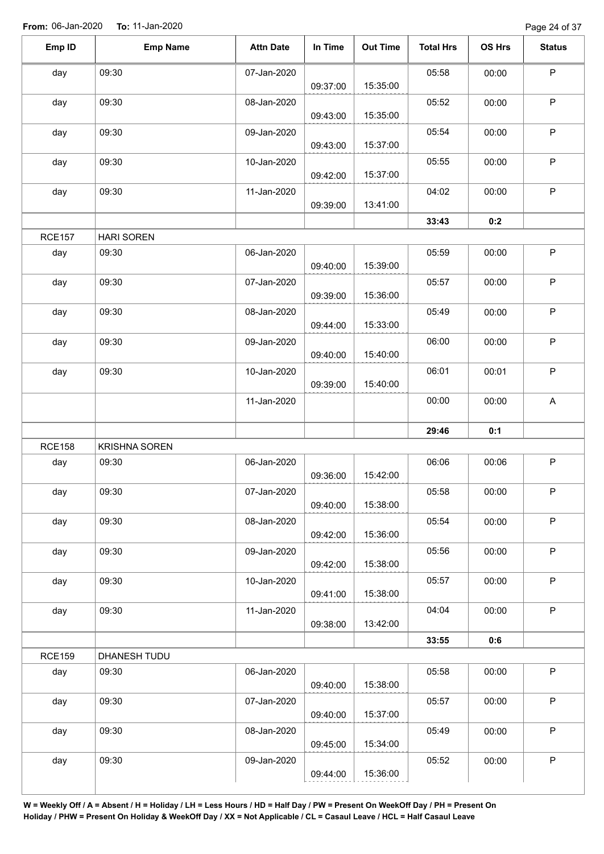Page 24 of 37

| Emp ID        | <b>Emp Name</b>      | <b>Attn Date</b> | In Time  | <b>Out Time</b> | <b>Total Hrs</b> | OS Hrs | <b>Status</b> |
|---------------|----------------------|------------------|----------|-----------------|------------------|--------|---------------|
| day           | 09:30                | 07-Jan-2020      | 09:37:00 | 15:35:00        | 05:58            | 00:00  | $\sf P$       |
| day           | 09:30                | 08-Jan-2020      | 09:43:00 | 15:35:00        | 05:52            | 00:00  | $\mathsf P$   |
| day           | 09:30                | 09-Jan-2020      |          |                 | 05:54            | 00:00  | $\sf P$       |
| day           | 09:30                | 10-Jan-2020      | 09:43:00 | 15:37:00        | 05:55            | 00:00  | $\sf P$       |
| day           | 09:30                | 11-Jan-2020      | 09:42:00 | 15:37:00        | 04:02            | 00:00  | $\mathsf P$   |
|               |                      |                  | 09:39:00 | 13:41:00        | 33:43            | 0:2    |               |
| <b>RCE157</b> | <b>HARI SOREN</b>    |                  |          |                 |                  |        |               |
| day           | 09:30                | 06-Jan-2020      | 09:40:00 | 15:39:00        | 05:59            | 00:00  | $\mathsf P$   |
| day           | 09:30                | 07-Jan-2020      | 09:39:00 | 15:36:00        | 05:57            | 00:00  | $\mathsf P$   |
| day           | 09:30                | 08-Jan-2020      | 09:44:00 | 15:33:00        | 05:49            | 00:00  | $\sf P$       |
| day           | 09:30                | 09-Jan-2020      | 09:40:00 | 15:40:00        | 06:00            | 00:00  | $\mathsf P$   |
| day           | 09:30                | 10-Jan-2020      | 09:39:00 | 15:40:00        | 06:01            | 00:01  | $\sf P$       |
|               |                      | 11-Jan-2020      |          |                 | 00:00            | 00:00  | A             |
|               |                      |                  |          |                 | 29:46            | 0:1    |               |
| <b>RCE158</b> | <b>KRISHNA SOREN</b> |                  |          |                 |                  |        |               |
| day           | 09:30                | 06-Jan-2020      | 09:36:00 | 15:42:00        | 06:06            | 00:06  | $\mathsf P$   |
| day           | 09:30                | 07-Jan-2020      | 09:40:00 | 15:38:00        | 05:58            | 00:00  | P.            |
| day           | 09:30                | 08-Jan-2020      | 09:42:00 | 15:36:00        | 05:54            | 00:00  | $\mathsf P$   |
| day           | 09:30                | 09-Jan-2020      | 09:42:00 | 15:38:00        | 05:56            | 00:00  | $\sf P$       |
| day           | 09:30                | 10-Jan-2020      | 09:41:00 | 15:38:00        | 05:57            | 00:00  | $\mathsf P$   |
| day           | 09:30                | 11-Jan-2020      | 09:38:00 | 13:42:00        | 04:04            | 00:00  | $\mathsf P$   |
|               |                      |                  |          |                 | 33:55            | 0:6    |               |
| <b>RCE159</b> | DHANESH TUDU         |                  |          |                 |                  |        |               |
| day           | 09:30                | 06-Jan-2020      | 09:40:00 | 15:38:00        | 05:58            | 00:00  | $\sf P$       |
| day           | 09:30                | 07-Jan-2020      | 09:40:00 | 15:37:00        | 05:57            | 00:00  | $\mathsf P$   |
| day           | 09:30                | 08-Jan-2020      | 09:45:00 | 15:34:00        | 05:49            | 00:00  | $\mathsf P$   |
| day           | 09:30                | 09-Jan-2020      | 09:44:00 | 15:36:00        | 05:52            | 00:00  | $\sf P$       |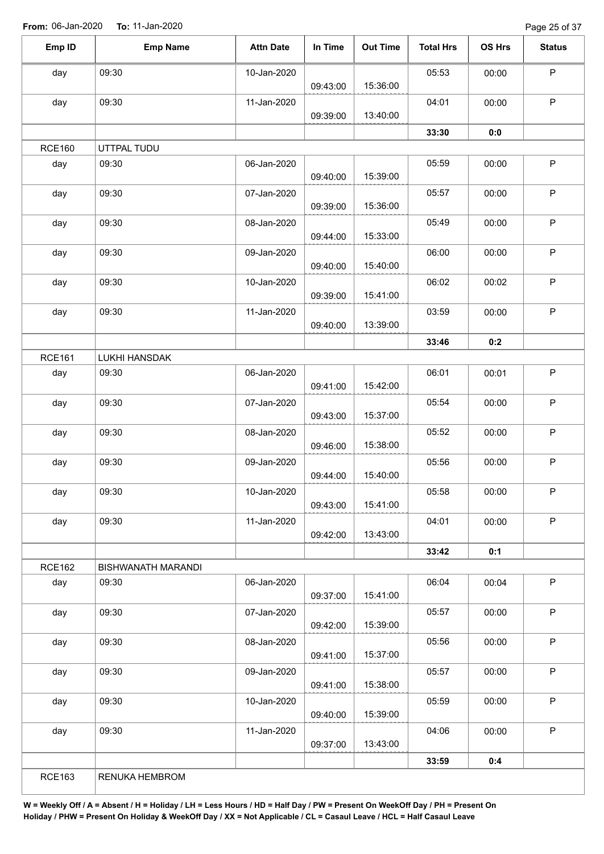Page 25 of 37

| Emp ID        | <b>Emp Name</b>    | <b>Attn Date</b> | In Time  | <b>Out Time</b> | <b>Total Hrs</b> | OS Hrs | <b>Status</b> |
|---------------|--------------------|------------------|----------|-----------------|------------------|--------|---------------|
|               |                    |                  |          |                 |                  |        |               |
| day           | 09:30              | 10-Jan-2020      | 09:43:00 | 15:36:00        | 05:53            | 00:00  | $\sf P$       |
| day           | 09:30              | 11-Jan-2020      |          |                 | 04:01            | 00:00  | P             |
|               |                    |                  | 09:39:00 | 13:40:00        |                  |        |               |
|               |                    |                  |          |                 | 33:30            | 0:0    |               |
| <b>RCE160</b> | UTTPAL TUDU        |                  |          |                 |                  |        |               |
| day           | 09:30              | 06-Jan-2020      | 09:40:00 | 15:39:00        | 05:59            | 00:00  | $\sf P$       |
| day           | 09:30              | 07-Jan-2020      | 09:39:00 | 15:36:00        | 05:57            | 00:00  | $\sf P$       |
| day           | 09:30              | 08-Jan-2020      | 09:44:00 | 15:33:00        | 05:49            | 00:00  | P             |
| day           | 09:30              | 09-Jan-2020      | 09:40:00 | 15:40:00        | 06:00            | 00:00  | $\mathsf P$   |
| day           | 09:30              | 10-Jan-2020      | 09:39:00 | 15:41:00        | 06:02            | 00:02  | P             |
| day           | 09:30              | 11-Jan-2020      | 09:40:00 | 13:39:00        | 03:59            | 00:00  | $\sf P$       |
|               |                    |                  |          |                 | 33:46            | 0:2    |               |
| <b>RCE161</b> | LUKHI HANSDAK      |                  |          |                 |                  |        |               |
| day           | 09:30              | 06-Jan-2020      | 09:41:00 | 15:42:00        | 06:01            | 00:01  | P             |
| day           | 09:30              | 07-Jan-2020      | 09:43:00 | 15:37:00        | 05:54            | 00:00  | P             |
| day           | 09:30              | 08-Jan-2020      | 09:46:00 | 15:38:00        | 05:52            | 00:00  | $\sf P$       |
| day           | 09:30              | 09-Jan-2020      | 09:44:00 | 15:40:00        | 05:56            | 00:00  | $\mathsf P$   |
| day           | 09:30              | 10-Jan-2020      | 09:43:00 | 15:41:00        | 05:58            | 00:00  | P             |
| day           | 09:30              | 11-Jan-2020      | 09:42:00 | 13:43:00        | 04:01            | 00:00  | $\mathsf{P}$  |
|               |                    |                  |          |                 | 33:42            | 0:1    |               |
| <b>RCE162</b> | BISHWANATH MARANDI |                  |          |                 |                  |        |               |
| day           | 09:30              | 06-Jan-2020      | 09:37:00 | 15:41:00        | 06:04            | 00:04  | P             |
| day           | 09:30              | 07-Jan-2020      | 09:42:00 | 15:39:00        | 05:57            | 00:00  | $\sf P$       |
| day           | 09:30              | 08-Jan-2020      | 09:41:00 | 15:37:00        | 05:56            | 00:00  | P             |
| day           | 09:30              | 09-Jan-2020      | 09:41:00 | 15:38:00        | 05:57            | 00:00  | $\mathsf P$   |
| day           | 09:30              | 10-Jan-2020      | 09:40:00 | 15:39:00        | 05:59            | 00:00  | P             |
| day           | 09:30              | 11-Jan-2020      | 09:37:00 | 13:43:00        | 04:06            | 00:00  | $\mathsf P$   |
|               |                    |                  |          |                 |                  |        |               |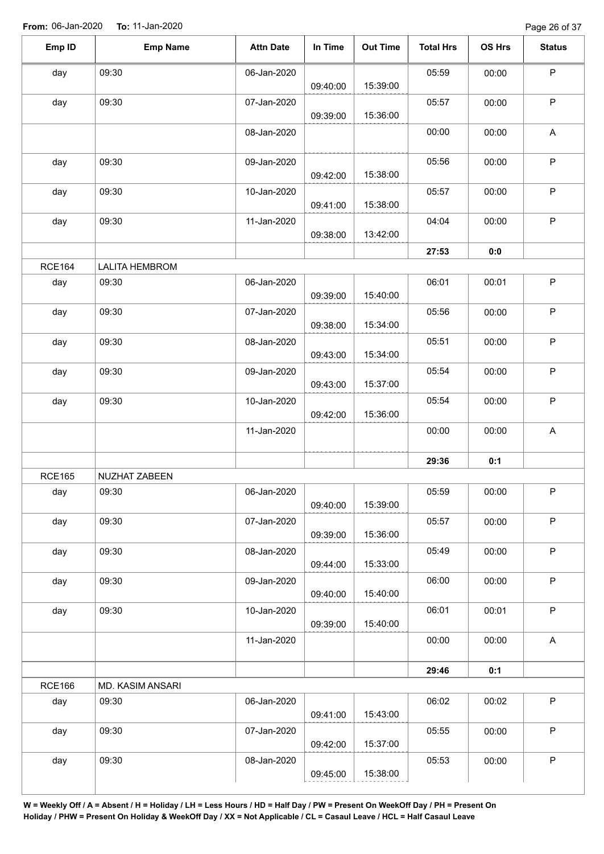| Emp ID        | <b>Emp Name</b>           | <b>Attn Date</b> | In Time  | <b>Out Time</b> | <b>Total Hrs</b> | OS Hrs | <b>Status</b> |
|---------------|---------------------------|------------------|----------|-----------------|------------------|--------|---------------|
| day           | 09:30                     | 06-Jan-2020      |          |                 | 05:59            | 00:00  | $\mathsf P$   |
| day           | 09:30                     | 07-Jan-2020      | 09:40:00 | 15:39:00        | 05:57            | 00:00  | $\sf P$       |
|               |                           | 08-Jan-2020      | 09:39:00 | 15:36:00        | 00:00            | 00:00  | A             |
|               |                           |                  |          |                 |                  |        |               |
| day           | 09:30                     | 09-Jan-2020      | 09:42:00 | 15:38:00        | 05:56            | 00:00  | $\mathsf P$   |
| day           | 09:30                     | 10-Jan-2020      | 09:41:00 | 15:38:00        | 05:57            | 00:00  | $\mathsf P$   |
| day           | 09:30                     | 11-Jan-2020      | 09:38:00 | 13:42:00        | 04:04            | 00:00  | $\mathsf P$   |
|               |                           |                  |          |                 | 27:53            | 0:0    |               |
| <b>RCE164</b> | <b>LALITA HEMBROM</b>     |                  |          |                 |                  |        |               |
| day           | 09:30                     | 06-Jan-2020      | 09:39:00 | 15:40:00        | 06:01            | 00:01  | $\mathsf P$   |
| day           | 09:30                     | 07-Jan-2020      | 09:38:00 | 15:34:00        | 05:56            | 00:00  | $\mathsf P$   |
| day           | 09:30                     | 08-Jan-2020      | 09:43:00 | 15:34:00        | 05:51            | 00:00  | $\mathsf P$   |
| day           | 09:30                     | 09-Jan-2020      |          |                 | 05:54            | 00:00  | $\sf P$       |
| day           | 09:30                     | 10-Jan-2020      | 09:43:00 | 15:37:00        | 05:54            | 00:00  | $\mathsf P$   |
|               |                           | 11-Jan-2020      | 09:42:00 | 15:36:00        | 00:00            | 00:00  | $\mathsf A$   |
|               |                           |                  |          |                 | 29:36            | 0:1    |               |
| <b>RCE165</b> | NUZHAT ZABEEN             |                  |          |                 |                  |        |               |
| day           | 09:30                     | 06-Jan-2020      | 09:40:00 | 15:39:00        | 05:59            | 00:00  | P             |
| day           | 09:30                     | 07-Jan-2020      | 09:39:00 | 15:36:00        | 05:57            | 00:00  | $\sf P$       |
| day           | 09:30                     | 08-Jan-2020      |          | 15:33:00        | 05:49            | 00:00  | $\mathsf P$   |
| day           | 09:30                     | 09-Jan-2020      | 09:44:00 |                 | 06:00            | 00:00  | $\mathsf P$   |
| day           | 09:30                     | 10-Jan-2020      | 09:40:00 | 15:40:00        | 06:01            | 00:01  | P             |
|               |                           | 11-Jan-2020      | 09:39:00 | 15:40:00        | 00:00            | 00:00  | A             |
|               |                           |                  |          |                 |                  |        |               |
|               |                           |                  |          |                 | 29:46            | 0:1    |               |
| <b>RCE166</b> | MD. KASIM ANSARI<br>09:30 | 06-Jan-2020      |          |                 | 06:02            | 00:02  | $\mathsf P$   |
| day           |                           |                  | 09:41:00 | 15:43:00        |                  |        |               |
|               |                           |                  |          |                 |                  |        |               |
| day           | 09:30                     | 07-Jan-2020      | 09:42:00 | 15:37:00        | 05:55            | 00:00  | P             |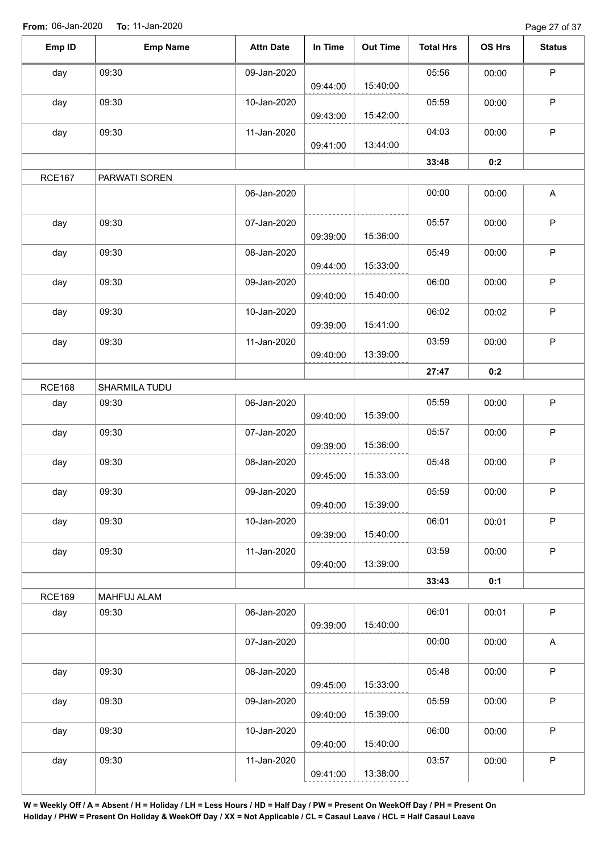Page 27 of 37

| Emp ID        | <b>Emp Name</b> | <b>Attn Date</b> | In Time  | <b>Out Time</b> | <b>Total Hrs</b> | OS Hrs | <b>Status</b>             |
|---------------|-----------------|------------------|----------|-----------------|------------------|--------|---------------------------|
| day           | 09:30           | 09-Jan-2020      |          |                 | 05:56            | 00:00  | $\mathsf P$               |
|               |                 |                  | 09:44:00 | 15:40:00        |                  |        |                           |
| day           | 09:30           | 10-Jan-2020      | 09:43:00 | 15:42:00        | 05:59            | 00:00  | $\mathsf P$               |
| day           | 09:30           | 11-Jan-2020      | 09:41:00 | 13:44:00        | 04:03            | 00:00  | P                         |
|               |                 |                  |          |                 | 33:48            | 0:2    |                           |
| <b>RCE167</b> |                 |                  |          |                 |                  |        |                           |
|               | PARWATI SOREN   | 06-Jan-2020      |          |                 | 00:00            | 00:00  | A                         |
| day           | 09:30           | 07-Jan-2020      | 09:39:00 | 15:36:00        | 05:57            | 00:00  | $\mathsf P$               |
| day           | 09:30           | 08-Jan-2020      | 09:44:00 | 15:33:00        | 05:49            | 00:00  | $\mathsf P$               |
| day           | 09:30           | 09-Jan-2020      | 09:40:00 | 15:40:00        | 06:00            | 00:00  | $\mathsf P$               |
| day           | 09:30           | 10-Jan-2020      | 09:39:00 | 15:41:00        | 06:02            | 00:02  | $\sf P$                   |
| day           | 09:30           | 11-Jan-2020      | 09:40:00 | 13:39:00        | 03:59            | 00:00  | $\mathsf P$               |
|               |                 |                  |          |                 |                  |        |                           |
| <b>RCE168</b> |                 |                  |          |                 | 27:47            | 0:2    |                           |
|               | SHARMILA TUDU   |                  |          |                 |                  |        | $\mathsf P$               |
| day           | 09:30           | 06-Jan-2020      | 09:40:00 | 15:39:00        | 05:59            | 00:00  |                           |
| day           | 09:30           | 07-Jan-2020      | 09:39:00 | 15:36:00        | 05:57            | 00:00  | $\mathsf P$               |
| day           | 09:30           | 08-Jan-2020      | 09:45:00 | 15:33:00        | 05:48            | 00:00  | $\sf P$                   |
| day           | 09:30           | 09-Jan-2020      | 09:40:00 | 15:39:00        | 05:59            | 00:00  | $\mathsf P$               |
| day           | 09:30           | 10-Jan-2020      | 09:39:00 | 15:40:00        | 06:01            | 00:01  | $\mathsf P$               |
| day           | 09:30           | 11-Jan-2020      | 09:40:00 | 13:39:00        | 03:59            | 00:00  | $\mathsf P$               |
|               |                 |                  |          |                 | 33:43            | 0:1    |                           |
| <b>RCE169</b> | MAHFUJ ALAM     |                  |          |                 |                  |        |                           |
| day           | 09:30           | 06-Jan-2020      | 09:39:00 | 15:40:00        | 06:01            | 00:01  | $\sf P$                   |
|               |                 | 07-Jan-2020      |          |                 | 00:00            | 00:00  | $\boldsymbol{\mathsf{A}}$ |
| day           | 09:30           | 08-Jan-2020      | 09:45:00 | 15:33:00        | 05:48            | 00:00  | $\mathsf P$               |
|               |                 |                  |          |                 |                  |        |                           |
| day           | 09:30           | 09-Jan-2020      | 09:40:00 | 15:39:00        | 05:59            | 00:00  | $\sf P$                   |
| day           | 09:30           | 10-Jan-2020      | 09:40:00 | 15:40:00        | 06:00            | 00:00  | $\mathsf P$               |
| day           | 09:30           | 11-Jan-2020      |          |                 | 03:57            | 00:00  | $\sf P$                   |
|               |                 |                  | 09:41:00 | 13:38:00        |                  |        |                           |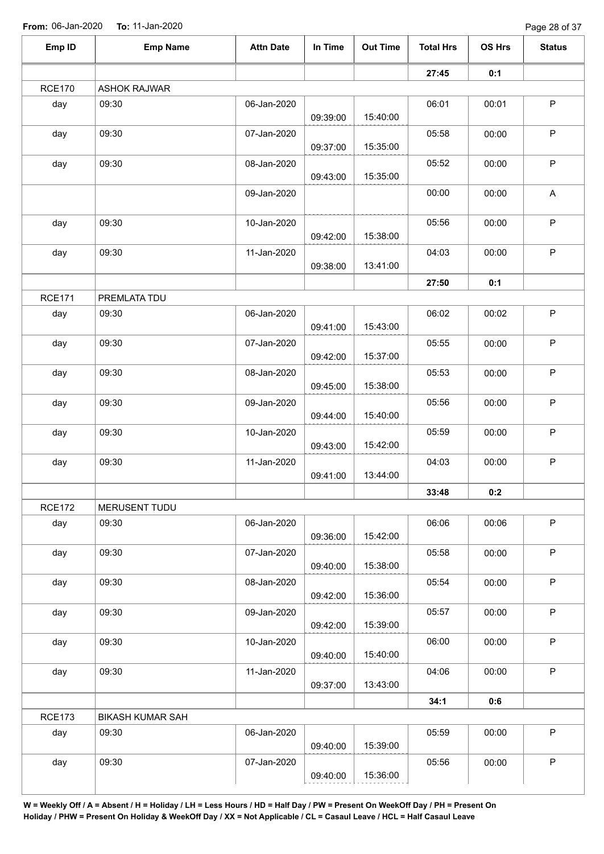Page 28 of 37

| Emp ID        | <b>Emp Name</b>         | <b>Attn Date</b> | In Time  | <b>Out Time</b> | <b>Total Hrs</b> | OS Hrs | <b>Status</b> |
|---------------|-------------------------|------------------|----------|-----------------|------------------|--------|---------------|
|               |                         |                  |          |                 | 27:45            | 0:1    |               |
| <b>RCE170</b> | <b>ASHOK RAJWAR</b>     |                  |          |                 |                  |        |               |
| day           | 09:30                   | 06-Jan-2020      |          |                 | 06:01            | 00:01  | $\sf P$       |
|               |                         |                  | 09:39:00 | 15:40:00        |                  |        |               |
| day           | 09:30                   | 07-Jan-2020      |          |                 | 05:58            | 00:00  | P             |
|               |                         |                  | 09:37:00 | 15:35:00        |                  |        |               |
| day           | 09:30                   | 08-Jan-2020      |          |                 | 05:52            | 00:00  | $\mathsf P$   |
|               |                         |                  | 09:43:00 | 15:35:00        |                  |        |               |
|               |                         | 09-Jan-2020      |          |                 | 00:00            | 00:00  | A             |
| day           | 09:30                   | 10-Jan-2020      |          |                 | 05:56            | 00:00  | $\mathsf P$   |
|               |                         |                  | 09:42:00 | 15:38:00        |                  |        |               |
| day           | 09:30                   | 11-Jan-2020      |          |                 | 04:03            | 00:00  | $\sf P$       |
|               |                         |                  | 09:38:00 | 13:41:00        |                  |        |               |
|               |                         |                  |          |                 | 27:50            | 0:1    |               |
| <b>RCE171</b> | PREMLATA TDU            |                  |          |                 |                  |        |               |
| day           | 09:30                   | 06-Jan-2020      |          |                 | 06:02            | 00:02  | $\sf P$       |
|               |                         |                  | 09:41:00 | 15:43:00        |                  |        |               |
| day           | 09:30                   | 07-Jan-2020      |          |                 | 05:55            | 00:00  | $\mathsf P$   |
|               |                         |                  | 09:42:00 | 15:37:00        |                  |        |               |
| day           | 09:30                   | 08-Jan-2020      |          |                 | 05:53            | 00:00  | $\mathsf P$   |
|               |                         |                  | 09:45:00 | 15:38:00        |                  |        |               |
| day           | 09:30                   | 09-Jan-2020      | 09:44:00 | 15:40:00        | 05:56            | 00:00  | $\mathsf P$   |
|               | 09:30                   | 10-Jan-2020      |          |                 |                  |        | $\mathsf P$   |
| day           |                         |                  | 09:43:00 | 15:42:00        | 05:59            | 00:00  |               |
| day           | 09:30                   | 11-Jan-2020      |          |                 | 04:03            | 00:00  | $\mathsf P$   |
|               |                         |                  | 09:41:00 | 13:44:00        |                  |        |               |
|               |                         |                  |          |                 | 33:48            | 0:2    |               |
| <b>RCE172</b> | MERUSENT TUDU           |                  |          |                 |                  |        |               |
| day           | 09:30                   | 06-Jan-2020      |          |                 | 06:06            | 00:06  | $\sf P$       |
|               |                         |                  | 09:36:00 | 15:42:00        |                  |        |               |
| day           | 09:30                   | 07-Jan-2020      |          |                 | 05:58            | 00:00  | $\mathsf P$   |
|               |                         |                  | 09:40:00 | 15:38:00        |                  |        |               |
| day           | 09:30                   | 08-Jan-2020      |          |                 | 05:54            | 00:00  | $\mathsf P$   |
|               |                         |                  | 09:42:00 | 15:36:00        |                  |        |               |
| day           | 09:30                   | 09-Jan-2020      |          |                 | 05:57            | 00:00  | $\mathsf P$   |
|               |                         |                  | 09:42:00 | 15:39:00        |                  |        |               |
| day           | 09:30                   | 10-Jan-2020      |          |                 | 06:00            | 00:00  | $\mathsf P$   |
|               |                         |                  | 09:40:00 | 15:40:00        |                  |        |               |
| day           | 09:30                   | 11-Jan-2020      |          |                 | 04:06            | 00:00  | $\mathsf P$   |
|               |                         |                  | 09:37:00 | 13:43:00        |                  |        |               |
|               |                         |                  |          |                 | 34:1             | 0:6    |               |
| <b>RCE173</b> | <b>BIKASH KUMAR SAH</b> |                  |          |                 |                  |        |               |
| day           | 09:30                   | 06-Jan-2020      | 09:40:00 | 15:39:00        | 05:59            | 00:00  | P             |
| day           | 09:30                   | 07-Jan-2020      |          |                 | 05:56            | 00:00  | $\mathsf P$   |
|               |                         |                  |          |                 |                  |        |               |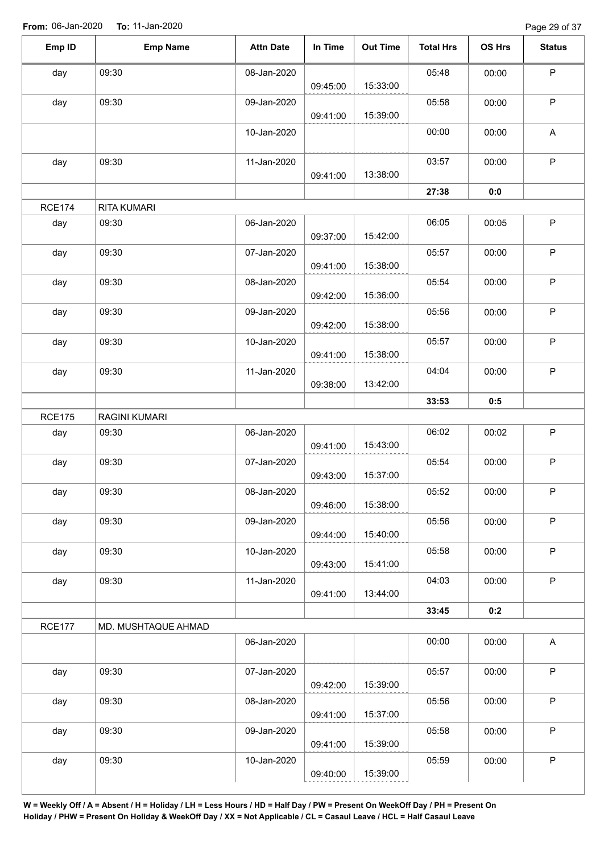Page 29 of 37

| Emp ID        | <b>Emp Name</b>     | <b>Attn Date</b> | In Time  | <b>Out Time</b> | <b>Total Hrs</b> | OS Hrs | <b>Status</b> |
|---------------|---------------------|------------------|----------|-----------------|------------------|--------|---------------|
| day           | 09:30               | 08-Jan-2020      |          |                 | 05:48            | 00:00  | $\mathsf P$   |
|               |                     |                  | 09:45:00 | 15:33:00        |                  |        |               |
| day           | 09:30               | 09-Jan-2020      |          |                 | 05:58            | 00:00  | $\mathsf P$   |
|               |                     |                  | 09:41:00 | 15:39:00        |                  |        |               |
|               |                     | 10-Jan-2020      |          |                 | 00:00            | 00:00  | A             |
| day           | 09:30               | 11-Jan-2020      |          |                 | 03:57            | 00:00  | $\mathsf P$   |
|               |                     |                  | 09:41:00 | 13:38:00        |                  |        |               |
|               |                     |                  |          |                 | 27:38            | 0:0    |               |
| <b>RCE174</b> | RITA KUMARI         |                  |          |                 |                  |        |               |
| day           | 09:30               | 06-Jan-2020      |          |                 | 06:05            | 00:05  | $\mathsf P$   |
|               |                     |                  | 09:37:00 | 15:42:00        |                  |        |               |
| day           | 09:30               | 07-Jan-2020      |          |                 | 05:57            | 00:00  | $\mathsf P$   |
|               |                     |                  | 09:41:00 | 15:38:00        |                  |        |               |
| day           | 09:30               | 08-Jan-2020      |          |                 | 05:54            | 00:00  | $\mathsf P$   |
|               |                     |                  | 09:42:00 | 15:36:00        |                  |        |               |
| day           | 09:30               | 09-Jan-2020      |          |                 | 05:56            | 00:00  | $\mathsf P$   |
|               |                     |                  | 09:42:00 | 15:38:00        |                  |        |               |
| day           | 09:30               | 10-Jan-2020      |          |                 | 05:57            | 00:00  | $\sf P$       |
|               |                     |                  | 09:41:00 | 15:38:00        |                  |        |               |
| day           | 09:30               | 11-Jan-2020      |          |                 | 04:04            | 00:00  | $\mathsf P$   |
|               |                     |                  | 09:38:00 | 13:42:00        |                  |        |               |
|               |                     |                  |          |                 | 33:53            | 0:5    |               |
| <b>RCE175</b> | RAGINI KUMARI       |                  |          |                 |                  |        |               |
|               | 09:30               | 06-Jan-2020      |          |                 | 06:02            |        | $\sf P$       |
| day           |                     |                  | 09:41:00 | 15:43:00        |                  | 00:02  |               |
|               | 09:30               | 07-Jan-2020      |          |                 | 05:54            |        | $\sf P$       |
| day           |                     |                  | 09:43:00 | 15:37:00        |                  | 00:00  |               |
|               |                     |                  |          |                 |                  |        |               |
| day           | 09:30               | 08-Jan-2020      | 09:46:00 | 15:38:00        | 05:52            | 00:00  | P             |
|               |                     |                  |          |                 |                  |        | $\mathsf P$   |
| day           | 09:30               | 09-Jan-2020      | 09:44:00 | 15:40:00        | 05:56            | 00:00  |               |
|               |                     |                  |          |                 |                  |        | $\mathsf P$   |
| day           | 09:30               | 10-Jan-2020      | 09:43:00 | 15:41:00        | 05:58            | 00:00  |               |
|               | 09:30               | 11-Jan-2020      |          |                 | 04:03            |        | $\mathsf{P}$  |
| day           |                     |                  | 09:41:00 | 13:44:00        |                  | 00:00  |               |
|               |                     |                  |          |                 | 33:45            | 0:2    |               |
|               |                     |                  |          |                 |                  |        |               |
| <b>RCE177</b> | MD. MUSHTAQUE AHMAD |                  |          |                 |                  |        |               |
|               |                     | 06-Jan-2020      |          |                 | 00:00            | 00:00  | $\mathsf A$   |
| day           | 09:30               | 07-Jan-2020      |          |                 | 05:57            | 00:00  | $\mathsf P$   |
|               |                     |                  | 09:42:00 | 15:39:00        |                  |        |               |
| day           | 09:30               | 08-Jan-2020      |          |                 | 05:56            | 00:00  | $\sf P$       |
|               |                     |                  | 09:41:00 | 15:37:00        |                  |        |               |
|               | 09:30               | 09-Jan-2020      |          |                 | 05:58            | 00:00  | $\mathsf P$   |
|               |                     |                  |          |                 |                  |        |               |
| day           |                     |                  |          |                 |                  |        |               |
| day           | 09:30               | 10-Jan-2020      | 09:41:00 | 15:39:00        | 05:59            | 00:00  | $\sf P$       |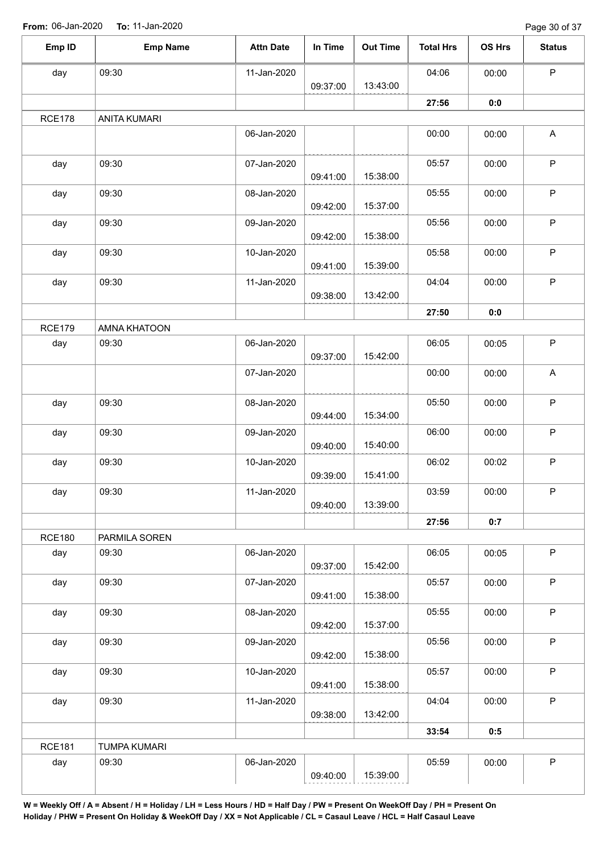Page 30 of 37

| <b>Emp Name</b><br>In Time<br><b>Attn Date</b><br><b>Out Time</b><br><b>Total Hrs</b><br>OS Hrs<br>$\mathsf P$<br>04:06<br>09:30<br>11-Jan-2020<br>00:00<br>13:43:00<br>09:37:00<br>27:56<br>0:0<br><b>ANITA KUMARI</b><br>$\boldsymbol{\mathsf{A}}$<br>06-Jan-2020<br>00:00<br>00:00<br>$\sf P$<br>09:30<br>07-Jan-2020<br>05:57<br>00:00<br>15:38:00<br>09:41:00<br>${\sf P}$<br>09:30<br>08-Jan-2020<br>05:55<br>00:00<br>15:37:00<br>09:42:00<br>$\sf P$<br>09:30<br>09-Jan-2020<br>05:56<br>00:00<br>15:38:00<br>09:42:00<br>$\sf P$<br>09:30<br>10-Jan-2020<br>05:58<br>00:00<br>15:39:00<br>09:41:00<br>$\mathsf P$<br>09:30<br>11-Jan-2020<br>04:04<br>00:00<br>13:42:00<br>09:38:00<br>27:50<br>0:0<br>AMNA KHATOON<br>$\mathsf P$<br>09:30<br>06-Jan-2020<br>06:05<br>00:05<br>15:42:00<br>09:37:00<br>$\mathsf A$<br>07-Jan-2020<br>00:00<br>00:00<br>P<br>09:30<br>08-Jan-2020<br>05:50<br>00:00<br>15:34:00<br>09:44:00<br>P<br>09:30<br>09-Jan-2020<br>06:00<br>00:00<br>15:40:00<br>09:40:00<br>$\sf P$<br>09:30<br>10-Jan-2020<br>06:02<br>00:02<br>15:41:00<br>09:39:00<br>09:30<br>11-Jan-2020<br>03:59<br>P<br>00:00<br>13:39:00<br>09:40:00<br>0:7<br>27:56<br>PARMILA SOREN<br>$\sf P$<br>06:05<br>09:30<br>06-Jan-2020<br>00:05<br>15:42:00<br>09:37:00<br>P<br>05:57<br>09:30<br>07-Jan-2020<br>00:00<br>15:38:00<br>09:41:00<br>$\sf P$<br>05:55<br>09:30<br>08-Jan-2020<br>00:00<br>15:37:00<br>09:42:00<br>P<br>09:30<br>09-Jan-2020<br>05:56<br>00:00<br>15:38:00<br>09:42:00<br>P<br>05:57<br>09:30<br>10-Jan-2020<br>00:00<br>15:38:00<br>09:41:00<br>$\mathsf{P}$<br>09:30<br>11-Jan-2020<br>04:04<br>00:00<br>13:42:00<br>09:38:00<br>33:54<br>0:5<br><b>TUMPA KUMARI</b><br>$\sf P$<br>09:30<br>06-Jan-2020<br>05:59<br>00:00<br>15:39:00<br>09:40:00 |               |  |  |  |               |
|---------------------------------------------------------------------------------------------------------------------------------------------------------------------------------------------------------------------------------------------------------------------------------------------------------------------------------------------------------------------------------------------------------------------------------------------------------------------------------------------------------------------------------------------------------------------------------------------------------------------------------------------------------------------------------------------------------------------------------------------------------------------------------------------------------------------------------------------------------------------------------------------------------------------------------------------------------------------------------------------------------------------------------------------------------------------------------------------------------------------------------------------------------------------------------------------------------------------------------------------------------------------------------------------------------------------------------------------------------------------------------------------------------------------------------------------------------------------------------------------------------------------------------------------------------------------------------------------------------------------------------------------------------------------------------------------------------------------------------------------------------------------------------------|---------------|--|--|--|---------------|
|                                                                                                                                                                                                                                                                                                                                                                                                                                                                                                                                                                                                                                                                                                                                                                                                                                                                                                                                                                                                                                                                                                                                                                                                                                                                                                                                                                                                                                                                                                                                                                                                                                                                                                                                                                                       | Emp ID        |  |  |  | <b>Status</b> |
|                                                                                                                                                                                                                                                                                                                                                                                                                                                                                                                                                                                                                                                                                                                                                                                                                                                                                                                                                                                                                                                                                                                                                                                                                                                                                                                                                                                                                                                                                                                                                                                                                                                                                                                                                                                       | day           |  |  |  |               |
|                                                                                                                                                                                                                                                                                                                                                                                                                                                                                                                                                                                                                                                                                                                                                                                                                                                                                                                                                                                                                                                                                                                                                                                                                                                                                                                                                                                                                                                                                                                                                                                                                                                                                                                                                                                       |               |  |  |  |               |
|                                                                                                                                                                                                                                                                                                                                                                                                                                                                                                                                                                                                                                                                                                                                                                                                                                                                                                                                                                                                                                                                                                                                                                                                                                                                                                                                                                                                                                                                                                                                                                                                                                                                                                                                                                                       | <b>RCE178</b> |  |  |  |               |
|                                                                                                                                                                                                                                                                                                                                                                                                                                                                                                                                                                                                                                                                                                                                                                                                                                                                                                                                                                                                                                                                                                                                                                                                                                                                                                                                                                                                                                                                                                                                                                                                                                                                                                                                                                                       |               |  |  |  |               |
|                                                                                                                                                                                                                                                                                                                                                                                                                                                                                                                                                                                                                                                                                                                                                                                                                                                                                                                                                                                                                                                                                                                                                                                                                                                                                                                                                                                                                                                                                                                                                                                                                                                                                                                                                                                       | day           |  |  |  |               |
|                                                                                                                                                                                                                                                                                                                                                                                                                                                                                                                                                                                                                                                                                                                                                                                                                                                                                                                                                                                                                                                                                                                                                                                                                                                                                                                                                                                                                                                                                                                                                                                                                                                                                                                                                                                       | day           |  |  |  |               |
|                                                                                                                                                                                                                                                                                                                                                                                                                                                                                                                                                                                                                                                                                                                                                                                                                                                                                                                                                                                                                                                                                                                                                                                                                                                                                                                                                                                                                                                                                                                                                                                                                                                                                                                                                                                       | day           |  |  |  |               |
|                                                                                                                                                                                                                                                                                                                                                                                                                                                                                                                                                                                                                                                                                                                                                                                                                                                                                                                                                                                                                                                                                                                                                                                                                                                                                                                                                                                                                                                                                                                                                                                                                                                                                                                                                                                       | day           |  |  |  |               |
|                                                                                                                                                                                                                                                                                                                                                                                                                                                                                                                                                                                                                                                                                                                                                                                                                                                                                                                                                                                                                                                                                                                                                                                                                                                                                                                                                                                                                                                                                                                                                                                                                                                                                                                                                                                       | day           |  |  |  |               |
|                                                                                                                                                                                                                                                                                                                                                                                                                                                                                                                                                                                                                                                                                                                                                                                                                                                                                                                                                                                                                                                                                                                                                                                                                                                                                                                                                                                                                                                                                                                                                                                                                                                                                                                                                                                       |               |  |  |  |               |
|                                                                                                                                                                                                                                                                                                                                                                                                                                                                                                                                                                                                                                                                                                                                                                                                                                                                                                                                                                                                                                                                                                                                                                                                                                                                                                                                                                                                                                                                                                                                                                                                                                                                                                                                                                                       | <b>RCE179</b> |  |  |  |               |
|                                                                                                                                                                                                                                                                                                                                                                                                                                                                                                                                                                                                                                                                                                                                                                                                                                                                                                                                                                                                                                                                                                                                                                                                                                                                                                                                                                                                                                                                                                                                                                                                                                                                                                                                                                                       | day           |  |  |  |               |
|                                                                                                                                                                                                                                                                                                                                                                                                                                                                                                                                                                                                                                                                                                                                                                                                                                                                                                                                                                                                                                                                                                                                                                                                                                                                                                                                                                                                                                                                                                                                                                                                                                                                                                                                                                                       |               |  |  |  |               |
|                                                                                                                                                                                                                                                                                                                                                                                                                                                                                                                                                                                                                                                                                                                                                                                                                                                                                                                                                                                                                                                                                                                                                                                                                                                                                                                                                                                                                                                                                                                                                                                                                                                                                                                                                                                       | day           |  |  |  |               |
|                                                                                                                                                                                                                                                                                                                                                                                                                                                                                                                                                                                                                                                                                                                                                                                                                                                                                                                                                                                                                                                                                                                                                                                                                                                                                                                                                                                                                                                                                                                                                                                                                                                                                                                                                                                       | day           |  |  |  |               |
|                                                                                                                                                                                                                                                                                                                                                                                                                                                                                                                                                                                                                                                                                                                                                                                                                                                                                                                                                                                                                                                                                                                                                                                                                                                                                                                                                                                                                                                                                                                                                                                                                                                                                                                                                                                       | day           |  |  |  |               |
|                                                                                                                                                                                                                                                                                                                                                                                                                                                                                                                                                                                                                                                                                                                                                                                                                                                                                                                                                                                                                                                                                                                                                                                                                                                                                                                                                                                                                                                                                                                                                                                                                                                                                                                                                                                       | day           |  |  |  |               |
|                                                                                                                                                                                                                                                                                                                                                                                                                                                                                                                                                                                                                                                                                                                                                                                                                                                                                                                                                                                                                                                                                                                                                                                                                                                                                                                                                                                                                                                                                                                                                                                                                                                                                                                                                                                       |               |  |  |  |               |
|                                                                                                                                                                                                                                                                                                                                                                                                                                                                                                                                                                                                                                                                                                                                                                                                                                                                                                                                                                                                                                                                                                                                                                                                                                                                                                                                                                                                                                                                                                                                                                                                                                                                                                                                                                                       | <b>RCE180</b> |  |  |  |               |
|                                                                                                                                                                                                                                                                                                                                                                                                                                                                                                                                                                                                                                                                                                                                                                                                                                                                                                                                                                                                                                                                                                                                                                                                                                                                                                                                                                                                                                                                                                                                                                                                                                                                                                                                                                                       | day           |  |  |  |               |
|                                                                                                                                                                                                                                                                                                                                                                                                                                                                                                                                                                                                                                                                                                                                                                                                                                                                                                                                                                                                                                                                                                                                                                                                                                                                                                                                                                                                                                                                                                                                                                                                                                                                                                                                                                                       | day           |  |  |  |               |
|                                                                                                                                                                                                                                                                                                                                                                                                                                                                                                                                                                                                                                                                                                                                                                                                                                                                                                                                                                                                                                                                                                                                                                                                                                                                                                                                                                                                                                                                                                                                                                                                                                                                                                                                                                                       | day           |  |  |  |               |
|                                                                                                                                                                                                                                                                                                                                                                                                                                                                                                                                                                                                                                                                                                                                                                                                                                                                                                                                                                                                                                                                                                                                                                                                                                                                                                                                                                                                                                                                                                                                                                                                                                                                                                                                                                                       | day           |  |  |  |               |
|                                                                                                                                                                                                                                                                                                                                                                                                                                                                                                                                                                                                                                                                                                                                                                                                                                                                                                                                                                                                                                                                                                                                                                                                                                                                                                                                                                                                                                                                                                                                                                                                                                                                                                                                                                                       | day           |  |  |  |               |
|                                                                                                                                                                                                                                                                                                                                                                                                                                                                                                                                                                                                                                                                                                                                                                                                                                                                                                                                                                                                                                                                                                                                                                                                                                                                                                                                                                                                                                                                                                                                                                                                                                                                                                                                                                                       | day           |  |  |  |               |
|                                                                                                                                                                                                                                                                                                                                                                                                                                                                                                                                                                                                                                                                                                                                                                                                                                                                                                                                                                                                                                                                                                                                                                                                                                                                                                                                                                                                                                                                                                                                                                                                                                                                                                                                                                                       |               |  |  |  |               |
|                                                                                                                                                                                                                                                                                                                                                                                                                                                                                                                                                                                                                                                                                                                                                                                                                                                                                                                                                                                                                                                                                                                                                                                                                                                                                                                                                                                                                                                                                                                                                                                                                                                                                                                                                                                       | <b>RCE181</b> |  |  |  |               |
|                                                                                                                                                                                                                                                                                                                                                                                                                                                                                                                                                                                                                                                                                                                                                                                                                                                                                                                                                                                                                                                                                                                                                                                                                                                                                                                                                                                                                                                                                                                                                                                                                                                                                                                                                                                       | day           |  |  |  |               |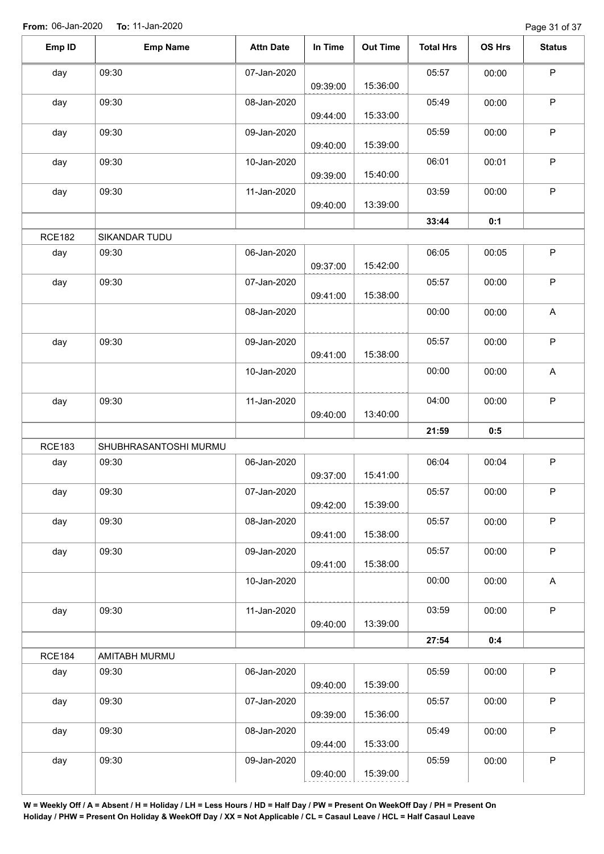Page 31 of 37

| Emp ID        | <b>Emp Name</b>       | <b>Attn Date</b> | In Time  | <b>Out Time</b> | <b>Total Hrs</b> | <b>OS Hrs</b> | <b>Status</b> |
|---------------|-----------------------|------------------|----------|-----------------|------------------|---------------|---------------|
| day           | 09:30                 | 07-Jan-2020      | 09:39:00 | 15:36:00        | 05:57            | 00:00         | $\mathsf P$   |
| day           | 09:30                 | 08-Jan-2020      | 09:44:00 | 15:33:00        | 05:49            | 00:00         | $\sf P$       |
| day           | 09:30                 | 09-Jan-2020      | 09:40:00 | 15:39:00        | 05:59            | 00:00         | $\mathsf P$   |
| day           | 09:30                 | 10-Jan-2020      | 09:39:00 | 15:40:00        | 06:01            | 00:01         | P             |
| day           | 09:30                 | 11-Jan-2020      | 09:40:00 | 13:39:00        | 03:59            | 00:00         | $\mathsf P$   |
|               |                       |                  |          |                 | 33:44            | 0:1           |               |
| <b>RCE182</b> | SIKANDAR TUDU         |                  |          |                 |                  |               |               |
| day           | 09:30                 | 06-Jan-2020      | 09:37:00 | 15:42:00        | 06:05            | 00:05         | $\mathsf P$   |
| day           | 09:30                 | 07-Jan-2020      | 09:41:00 | 15:38:00        | 05:57            | 00:00         | $\mathsf P$   |
|               |                       | 08-Jan-2020      |          |                 | 00:00            | 00:00         | A             |
| day           | 09:30                 | 09-Jan-2020      | 09:41:00 | 15:38:00        | 05:57            | 00:00         | $\mathsf P$   |
|               |                       | 10-Jan-2020      |          |                 | 00:00            | 00:00         | A             |
| day           | 09:30                 | 11-Jan-2020      | 09:40:00 | 13:40:00        | 04:00            | 00:00         | $\mathsf P$   |
|               |                       |                  |          |                 | 21:59            | 0:5           |               |
| <b>RCE183</b> | SHUBHRASANTOSHI MURMU |                  |          |                 |                  |               |               |
| day           | 09:30                 | 06-Jan-2020      | 09:37:00 | 15:41:00        | 06:04            | 00:04         | $\sf P$       |
| day           | 09:30                 | 07-Jan-2020      | 09:42:00 | 15:39:00        | 05:57            | 00:00         | P             |
| day           | 09:30                 | 08-Jan-2020      | 09:41:00 | 15:38:00        | 05:57            | 00:00         | $\mathsf P$   |
| day           | 09:30                 | 09-Jan-2020      | 09:41:00 | 15:38:00        | 05:57            | 00:00         | $\mathsf P$   |
|               |                       | 10-Jan-2020      |          |                 | 00:00            | 00:00         | $\mathsf A$   |
| day           | 09:30                 | 11-Jan-2020      | 09:40:00 | 13:39:00        | 03:59            | 00:00         | $\mathsf P$   |
|               |                       |                  |          |                 | 27:54            | 0:4           |               |
| <b>RCE184</b> | AMITABH MURMU         |                  |          |                 |                  |               |               |
| day           | 09:30                 | 06-Jan-2020      | 09:40:00 | 15:39:00        | 05:59            | 00:00         | $\mathsf P$   |
| day           | 09:30                 | 07-Jan-2020      | 09:39:00 | 15:36:00        | 05:57            | 00:00         | $\mathsf P$   |
| day           | 09:30                 | 08-Jan-2020      | 09:44:00 | 15:33:00        | 05:49            | 00:00         | $\mathsf P$   |
| day           | 09:30                 | 09-Jan-2020      | 09:40:00 | 15:39:00        | 05:59            | 00:00         | $\mathsf P$   |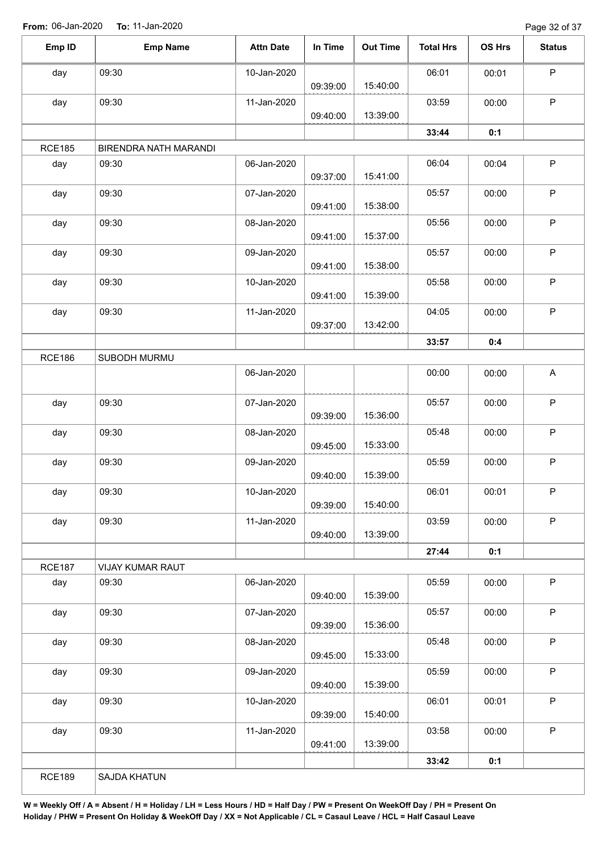Page 32 of 37

| Emp ID        | <b>Emp Name</b>       | <b>Attn Date</b> | In Time  | <b>Out Time</b> | <b>Total Hrs</b> | OS Hrs | <b>Status</b> |
|---------------|-----------------------|------------------|----------|-----------------|------------------|--------|---------------|
|               |                       |                  |          |                 |                  |        |               |
| day           | 09:30                 | 10-Jan-2020      | 09:39:00 | 15:40:00        | 06:01            | 00:01  | $\sf P$       |
| day           | 09:30                 | 11-Jan-2020      |          |                 | 03:59            | 00:00  | P             |
|               |                       |                  | 09:40:00 | 13:39:00        |                  |        |               |
|               |                       |                  |          |                 | 33:44            | 0:1    |               |
| <b>RCE185</b> | BIRENDRA NATH MARANDI |                  |          |                 |                  |        |               |
| day           | 09:30                 | 06-Jan-2020      | 09:37:00 | 15:41:00        | 06:04            | 00:04  | $\sf P$       |
| day           | 09:30                 | 07-Jan-2020      | 09:41:00 | 15:38:00        | 05:57            | 00:00  | $\sf P$       |
| day           | 09:30                 | 08-Jan-2020      | 09:41:00 | 15:37:00        | 05:56            | 00:00  | P             |
| day           | 09:30                 | 09-Jan-2020      |          |                 | 05:57            | 00:00  | $\mathsf P$   |
|               |                       |                  | 09:41:00 | 15:38:00        |                  |        |               |
| day           | 09:30                 | 10-Jan-2020      | 09:41:00 | 15:39:00        | 05:58            | 00:00  | P             |
| day           | 09:30                 | 11-Jan-2020      | 09:37:00 | 13:42:00        | 04:05            | 00:00  | $\sf P$       |
|               |                       |                  |          |                 | 33:57            | 0:4    |               |
| <b>RCE186</b> | SUBODH MURMU          |                  |          |                 |                  |        |               |
|               |                       | 06-Jan-2020      |          |                 | 00:00            | 00:00  | $\mathsf{A}$  |
| day           | 09:30                 | 07-Jan-2020      | 09:39:00 | 15:36:00        | 05:57            | 00:00  | P             |
| day           | 09:30                 | 08-Jan-2020      | 09:45:00 | 15:33:00        | 05:48            | 00:00  | $\sf P$       |
| day           | 09:30                 | 09-Jan-2020      | 09:40:00 | 15:39:00        | 05:59            | 00:00  | $\mathsf P$   |
| day           | 09:30                 | 10-Jan-2020      | 09:39:00 | 15:40:00        | 06:01            | 00:01  | P             |
| day           | 09:30                 | 11-Jan-2020      | 09:40:00 | 13:39:00        | 03:59            | 00:00  | P             |
|               |                       |                  |          |                 | 27:44            | 0:1    |               |
| <b>RCE187</b> | VIJAY KUMAR RAUT      |                  |          |                 |                  |        |               |
| day           | 09:30                 | 06-Jan-2020      | 09:40:00 | 15:39:00        | 05:59            | 00:00  | P             |
| day           | 09:30                 | 07-Jan-2020      | 09:39:00 | 15:36:00        | 05:57            | 00:00  | $\sf P$       |
| day           | 09:30                 | 08-Jan-2020      | 09:45:00 | 15:33:00        | 05:48            | 00:00  | P             |
| day           | 09:30                 | 09-Jan-2020      |          |                 | 05:59            | 00:00  | $\mathsf P$   |
|               |                       |                  | 09:40:00 | 15:39:00        |                  |        | P             |
| day           | 09:30                 | 10-Jan-2020      | 09:39:00 | 15:40:00        | 06:01            | 00:01  |               |
| day           | 09:30                 | 11-Jan-2020      | 09:41:00 | 13:39:00        | 03:58            | 00:00  | $\mathsf P$   |
|               |                       |                  |          |                 | 33:42            | 0:1    |               |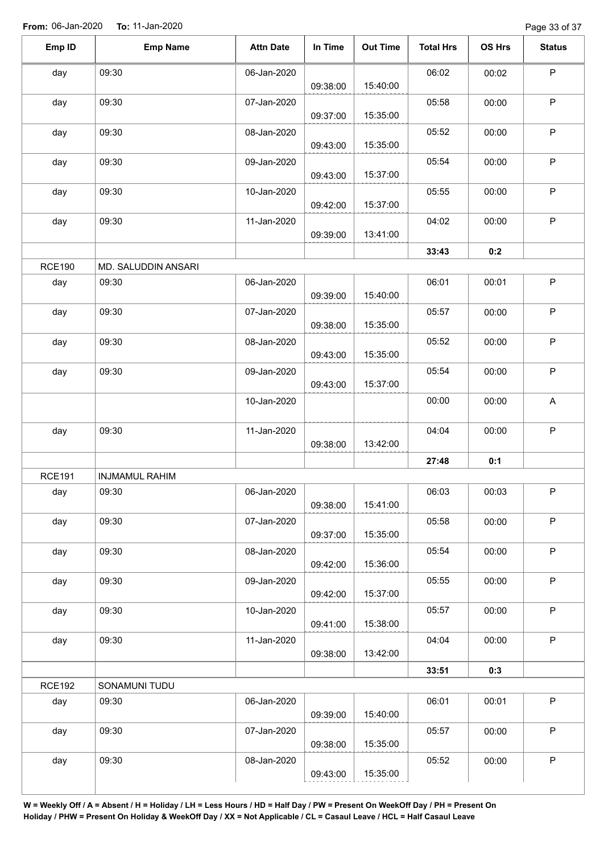Page 33 of 37

| Emp ID        | <b>Emp Name</b>       | <b>Attn Date</b> | In Time  | <b>Out Time</b> | <b>Total Hrs</b> | <b>OS Hrs</b> | <b>Status</b> |
|---------------|-----------------------|------------------|----------|-----------------|------------------|---------------|---------------|
| day           | 09:30                 | 06-Jan-2020      |          |                 | 06:02            | 00:02         | $\mathsf P$   |
|               |                       |                  | 09:38:00 | 15:40:00        |                  |               |               |
| day           | 09:30                 | 07-Jan-2020      | 09:37:00 | 15:35:00        | 05:58            | 00:00         | $\sf P$       |
| day           | 09:30                 | 08-Jan-2020      |          |                 | 05:52            | 00:00         | $\mathsf P$   |
|               |                       |                  | 09:43:00 | 15:35:00        |                  |               |               |
| day           | 09:30                 | 09-Jan-2020      | 09:43:00 | 15:37:00        | 05:54            | 00:00         | ${\sf P}$     |
| day           | 09:30                 | 10-Jan-2020      | 09:42:00 | 15:37:00        | 05:55            | 00:00         | $\mathsf P$   |
| day           | 09:30                 | 11-Jan-2020      | 09:39:00 | 13:41:00        | 04:02            | 00:00         | $\sf P$       |
|               |                       |                  |          |                 | 33:43            | 0:2           |               |
| <b>RCE190</b> | MD. SALUDDIN ANSARI   |                  |          |                 |                  |               |               |
| day           | 09:30                 | 06-Jan-2020      |          | 15:40:00        | 06:01            | 00:01         | $\mathsf P$   |
| day           | 09:30                 | 07-Jan-2020      | 09:39:00 |                 | 05:57            | 00:00         | $\mathsf P$   |
|               |                       |                  | 09:38:00 | 15:35:00        |                  |               |               |
| day           | 09:30                 | 08-Jan-2020      |          |                 | 05:52            | 00:00         | $\mathsf P$   |
|               |                       |                  | 09:43:00 | 15:35:00        |                  |               |               |
| day           | 09:30                 | 09-Jan-2020      | 09:43:00 | 15:37:00        | 05:54            | 00:00         | $\mathsf P$   |
|               |                       | 10-Jan-2020      |          |                 | 00:00            | 00:00         | A             |
| day           | 09:30                 | 11-Jan-2020      | 09:38:00 | 13:42:00        | 04:04            | 00:00         | $\sf P$       |
|               |                       |                  |          |                 | 27:48            | 0:1           |               |
| <b>RCE191</b> | <b>INJMAMUL RAHIM</b> |                  |          |                 |                  |               |               |
| day           | 09:30                 | 06-Jan-2020      |          |                 | 06:03            | 00:03         | P.            |
|               |                       |                  | 09:38:00 | 15:41:00        |                  |               |               |
| day           | 09:30                 | 07-Jan-2020      | 09:37:00 | 15:35:00        | 05:58            | 00:00         | $\mathsf P$   |
| day           | 09:30                 | 08-Jan-2020      |          |                 | 05:54            | 00:00         | $\mathsf P$   |
|               |                       |                  | 09:42:00 | 15:36:00        |                  |               |               |
| day           | 09:30                 | 09-Jan-2020      | 09:42:00 | 15:37:00        | 05:55            | 00:00         | $\sf P$       |
| day           | 09:30                 | 10-Jan-2020      |          |                 | 05:57            | 00:00         | $\mathsf P$   |
|               |                       |                  | 09:41:00 | 15:38:00        |                  |               |               |
| day           | 09:30                 | 11-Jan-2020      | 09:38:00 | 13:42:00        | 04:04            | 00:00         | $\mathsf P$   |
|               |                       |                  |          |                 | 33:51            | 0:3           |               |
| <b>RCE192</b> | SONAMUNI TUDU         |                  |          |                 |                  |               |               |
| day           | 09:30                 | 06-Jan-2020      | 09:39:00 | 15:40:00        | 06:01            | 00:01         | $\sf P$       |
|               | 09:30                 | 07-Jan-2020      |          |                 | 05:57            | 00:00         | $\mathsf P$   |
| day           |                       |                  | 09:38:00 | 15:35:00        |                  |               |               |
| day           | 09:30                 | 08-Jan-2020      | 09:43:00 | 15:35:00        | 05:52            | 00:00         | $\sf P$       |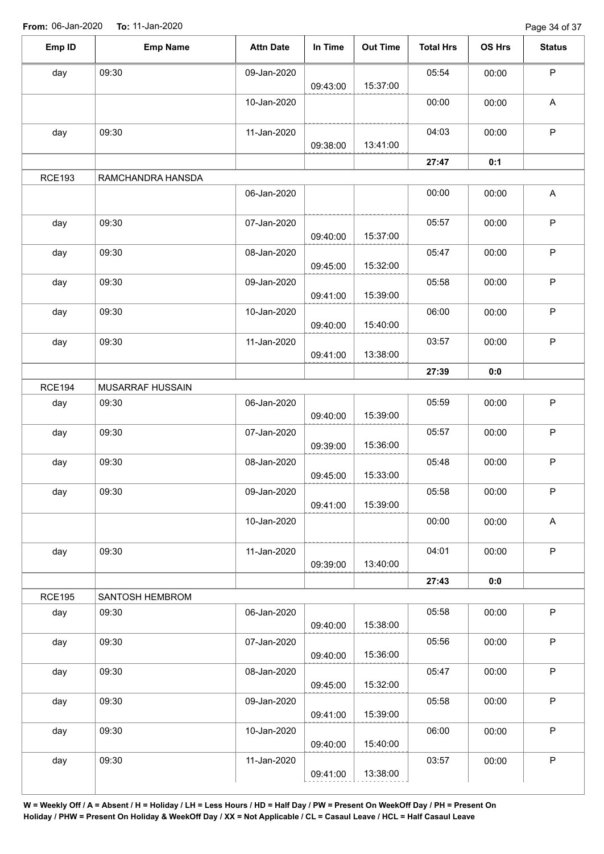Page 34 of 37

| Emp ID        | <b>Emp Name</b>   | <b>Attn Date</b> | In Time  | <b>Out Time</b> | <b>Total Hrs</b> | OS Hrs | <b>Status</b>             |
|---------------|-------------------|------------------|----------|-----------------|------------------|--------|---------------------------|
| day           | 09:30             | 09-Jan-2020      |          |                 | 05:54            | 00:00  | $\mathsf P$               |
|               |                   |                  | 09:43:00 | 15:37:00        |                  |        |                           |
|               |                   | 10-Jan-2020      |          |                 | 00:00            | 00:00  | $\boldsymbol{\mathsf{A}}$ |
| day           | 09:30             | 11-Jan-2020      |          |                 | 04:03            | 00:00  | $\mathsf P$               |
|               |                   |                  | 09:38:00 | 13:41:00        |                  |        |                           |
|               |                   |                  |          |                 | 27:47            | 0:1    |                           |
| <b>RCE193</b> | RAMCHANDRA HANSDA |                  |          |                 |                  |        |                           |
|               |                   | 06-Jan-2020      |          |                 | 00:00            | 00:00  | A                         |
| day           | 09:30             | 07-Jan-2020      |          |                 | 05:57            | 00:00  | $\mathsf P$               |
|               |                   |                  | 09:40:00 | 15:37:00        |                  |        |                           |
| day           | 09:30             | 08-Jan-2020      |          |                 | 05:47            | 00:00  | $\mathsf P$               |
|               |                   |                  | 09:45:00 | 15:32:00        |                  |        |                           |
| day           | 09:30             | 09-Jan-2020      |          |                 | 05:58            | 00:00  | $\mathsf P$               |
|               |                   |                  | 09:41:00 | 15:39:00        |                  |        |                           |
| day           | 09:30             | 10-Jan-2020      |          |                 | 06:00            | 00:00  | $\mathsf P$               |
|               |                   |                  | 09:40:00 | 15:40:00        |                  |        |                           |
| day           | 09:30             | 11-Jan-2020      |          |                 | 03:57            | 00:00  | $\mathsf P$               |
|               |                   |                  | 09:41:00 | 13:38:00        |                  |        |                           |
|               |                   |                  |          |                 | 27:39            | 0:0    |                           |
| <b>RCE194</b> | MUSARRAF HUSSAIN  |                  |          |                 |                  |        |                           |
| day           | 09:30             | 06-Jan-2020      |          |                 | 05:59            | 00:00  | $\mathsf P$               |
|               |                   |                  | 09:40:00 | 15:39:00        |                  |        |                           |
| day           | 09:30             | 07-Jan-2020      |          |                 | 05:57            | 00:00  | $\mathsf P$               |
|               |                   |                  | 09:39:00 | 15:36:00        |                  |        |                           |
|               | 09:30             | 08-Jan-2020      |          |                 | 05:48            | 00:00  | $\mathsf P$               |
| day           |                   |                  | 09:45:00 | 15:33:00        |                  |        |                           |
|               | 09:30             |                  |          |                 |                  |        | P                         |
| day           |                   | 09-Jan-2020      | 09:41:00 | 15:39:00        | 05:58            | 00:00  |                           |
|               |                   | 10-Jan-2020      |          |                 | 00:00            |        | $\mathsf A$               |
|               |                   |                  |          |                 |                  | 00:00  |                           |
|               | 09:30             | 11-Jan-2020      |          |                 | 04:01            | 00:00  | $\mathsf P$               |
| day           |                   |                  | 09:39:00 | 13:40:00        |                  |        |                           |
|               |                   |                  |          |                 | 27:43            | 0:0    |                           |
| <b>RCE195</b> | SANTOSH HEMBROM   |                  |          |                 |                  |        |                           |
|               |                   | 06-Jan-2020      |          |                 | 05:58            | 00:00  | $\sf P$                   |
| day           | 09:30             |                  | 09:40:00 | 15:38:00        |                  |        |                           |
|               |                   |                  |          |                 |                  |        | $\mathsf P$               |
| day           | 09:30             | 07-Jan-2020      | 09:40:00 | 15:36:00        | 05:56            | 00:00  |                           |
|               |                   |                  |          |                 |                  |        |                           |
| day           | 09:30             | 08-Jan-2020      | 09:45:00 | 15:32:00        | 05:47            | 00:00  | $\mathsf P$               |
|               |                   |                  |          |                 |                  |        |                           |
| day           | 09:30             | 09-Jan-2020      | 09:41:00 | 15:39:00        | 05:58            | 00:00  | $\sf P$                   |
|               |                   |                  |          |                 |                  |        |                           |
| day           | 09:30             | 10-Jan-2020      |          | 15:40:00        | 06:00            | 00:00  | $\mathsf P$               |
|               |                   |                  | 09:40:00 |                 |                  |        |                           |
| day           | 09:30             | 11-Jan-2020      |          |                 | 03:57            | 00:00  | $\sf P$                   |
|               |                   |                  | 09:41:00 | 13:38:00        |                  |        |                           |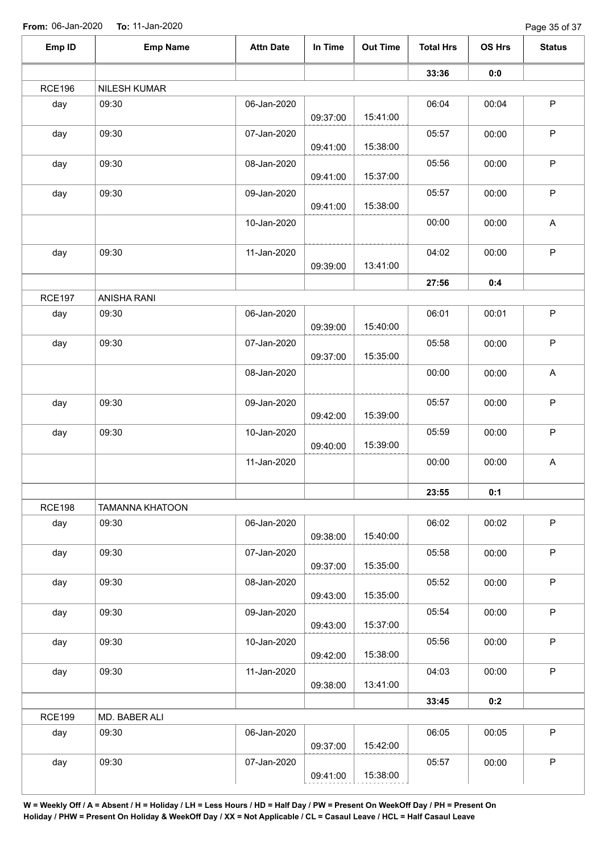Page 35 of 37

|               |                        |                  |          |                 |                  |               | $1$ agd JJ UI JI          |
|---------------|------------------------|------------------|----------|-----------------|------------------|---------------|---------------------------|
| Emp ID        | <b>Emp Name</b>        | <b>Attn Date</b> | In Time  | <b>Out Time</b> | <b>Total Hrs</b> | <b>OS Hrs</b> | <b>Status</b>             |
|               |                        |                  |          |                 | 33:36            | 0:0           |                           |
| <b>RCE196</b> | <b>NILESH KUMAR</b>    |                  |          |                 |                  |               |                           |
| day           | 09:30                  | 06-Jan-2020      |          |                 | 06:04            | 00:04         | $\mathsf P$               |
|               |                        |                  | 09:37:00 | 15:41:00        |                  |               |                           |
| day           | 09:30                  | 07-Jan-2020      |          |                 | 05:57            | 00:00         | $\mathsf P$               |
|               | 09:30                  | 08-Jan-2020      | 09:41:00 | 15:38:00        |                  |               | $\sf P$                   |
| day           |                        |                  | 09:41:00 | 15:37:00        | 05:56            | 00:00         |                           |
| day           | 09:30                  | 09-Jan-2020      |          |                 | 05:57            | 00:00         | $\sf P$                   |
|               |                        |                  | 09:41:00 | 15:38:00        |                  |               |                           |
|               |                        | 10-Jan-2020      |          |                 | 00:00            | 00:00         | A                         |
|               |                        |                  |          |                 |                  |               |                           |
| day           | 09:30                  | 11-Jan-2020      |          | 13:41:00        | 04:02            | 00:00         | $\sf P$                   |
|               |                        |                  | 09:39:00 |                 | 27:56            | 0:4           |                           |
| <b>RCE197</b> | ANISHA RANI            |                  |          |                 |                  |               |                           |
| day           | 09:30                  | 06-Jan-2020      |          |                 | 06:01            | 00:01         | $\sf P$                   |
|               |                        |                  | 09:39:00 | 15:40:00        |                  |               |                           |
| day           | 09:30                  | 07-Jan-2020      |          |                 | 05:58            | 00:00         | $\sf P$                   |
|               |                        |                  | 09:37:00 | 15:35:00        |                  |               |                           |
|               |                        | 08-Jan-2020      |          |                 | 00:00            | 00:00         | $\boldsymbol{\mathsf{A}}$ |
| day           | 09:30                  | 09-Jan-2020      |          |                 | 05:57            | 00:00         | $\mathsf P$               |
|               |                        |                  | 09:42:00 | 15:39:00        |                  |               |                           |
| day           | 09:30                  | 10-Jan-2020      |          |                 | 05:59            | 00:00         | $\sf P$                   |
|               |                        |                  | 09:40:00 | 15:39:00        |                  |               |                           |
|               |                        | 11-Jan-2020      |          |                 | 00:00            | 00:00         | $\mathsf A$               |
|               |                        |                  |          |                 |                  |               |                           |
|               |                        |                  |          |                 | 23:55            | 0:1           |                           |
| <b>RCE198</b> | <b>TAMANNA KHATOON</b> |                  |          |                 |                  |               |                           |
| day           | 09:30                  | 06-Jan-2020      | 09:38:00 | 15:40:00        | 06:02            | 00:02         | $\mathsf P$               |
| day           | 09:30                  | 07-Jan-2020      |          |                 | 05:58            | 00:00         | $\mathsf P$               |
|               |                        |                  | 09:37:00 | 15:35:00        |                  |               |                           |
| day           | 09:30                  | 08-Jan-2020      |          |                 | 05:52            | 00:00         | $\mathsf P$               |
|               |                        |                  | 09:43:00 | 15:35:00        |                  |               |                           |
| day           | 09:30                  | 09-Jan-2020      |          |                 | 05:54            | 00:00         | $\mathsf P$               |
|               |                        |                  | 09:43:00 | 15:37:00        |                  |               |                           |
| day           | 09:30                  | 10-Jan-2020      | 09:42:00 | 15:38:00        | 05:56            | 00:00         | $\mathsf P$               |
| day           | 09:30                  | 11-Jan-2020      |          |                 | 04:03            | 00:00         | $\sf P$                   |
|               |                        |                  | 09:38:00 | 13:41:00        |                  |               |                           |
|               |                        |                  |          |                 | 33:45            | 0:2           |                           |
| <b>RCE199</b> | MD. BABER ALI          |                  |          |                 |                  |               |                           |
| day           | 09:30                  | 06-Jan-2020      |          |                 | 06:05            | 00:05         | $\sf P$                   |
|               |                        |                  | 09:37:00 | 15:42:00        |                  |               |                           |
| day           | 09:30                  | 07-Jan-2020      |          |                 | 05:57            | 00:00         | $\sf P$                   |
|               |                        |                  | 09:41:00 | 15:38:00        |                  |               |                           |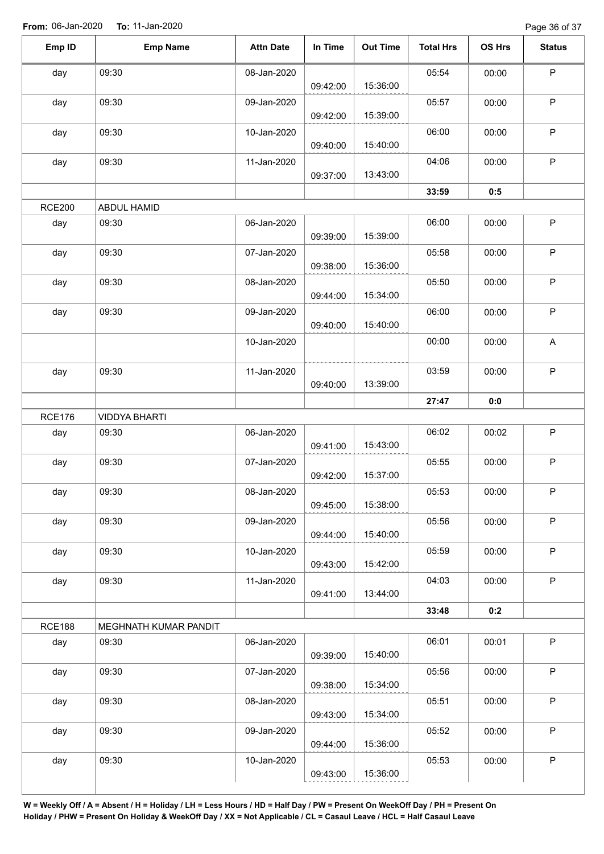Page 36 of 37

| $\sf P$<br>09:30<br>05:54<br>00:00<br>08-Jan-2020<br>day<br>15:36:00<br>09:42:00<br>$\sf P$<br>09:30<br>05:57<br>09-Jan-2020<br>00:00<br>day<br>15:39:00<br>09:42:00<br>$\mathsf P$<br>06:00<br>09:30<br>10-Jan-2020<br>00:00<br>day<br>15:40:00<br>09:40:00<br>$\sf P$<br>09:30<br>04:06<br>11-Jan-2020<br>00:00<br>day<br>13:43:00<br>09:37:00<br>33:59<br>0:5<br>ABDUL HAMID<br>$\mathsf P$<br>09:30<br>day<br>06-Jan-2020<br>06:00<br>00:00<br>15:39:00<br>09:39:00<br>$\sf P$<br>09:30<br>07-Jan-2020<br>05:58<br>00:00<br>day<br>15:36:00<br>09:38:00<br>P<br>09:30<br>08-Jan-2020<br>05:50<br>day<br>00:00<br>15:34:00<br>09:44:00<br>P<br>09:30<br>06:00<br>09-Jan-2020<br>day<br>00:00<br>15:40:00<br>09:40:00<br>A<br>10-Jan-2020<br>00:00<br>00:00<br>$\mathsf P$<br>09:30<br>11-Jan-2020<br>03:59<br>00:00<br>day<br>13:39:00<br>09:40:00<br>27:47<br>0:0<br><b>RCE176</b><br><b>VIDDYA BHARTI</b><br>$\sf P$<br>06-Jan-2020<br>06:02<br>day<br>09:30<br>00:02<br>09:41:00<br>15:43:00<br>$\mathsf P$<br>09:30<br>day<br>07-Jan-2020<br>05:55<br>00:00<br>15:37:00<br>09:42:00<br>09:30<br>08-Jan-2020<br>05:53<br>00:00<br>P<br>day<br>15:38:00<br>09:45:00<br>P<br>09:30<br>09-Jan-2020<br>05:56<br>00:00<br>day<br>15:40:00<br>09:44:00<br>P<br>09:30<br>10-Jan-2020<br>05:59<br>day<br>00:00<br>15:42:00<br>09:43:00<br>P<br>09:30<br>11-Jan-2020<br>04:03<br>day<br>00:00<br>13:44:00<br>09:41:00<br>33:48<br>0:2<br><b>RCE188</b><br>MEGHNATH KUMAR PANDIT<br>P<br>06:01<br>09:30<br>06-Jan-2020<br>00:01<br>day<br>15:40:00<br>09:39:00<br>P<br>09:30<br>07-Jan-2020<br>05:56<br>00:00<br>day<br>15:34:00<br>09:38:00<br>P<br>05:51<br>09:30<br>08-Jan-2020<br>00:00<br>day<br>15:34:00<br>09:43:00<br>$\mathsf{P}$<br>05:52<br>09:30<br>09-Jan-2020<br>00:00<br>day<br>15:36:00<br>09:44:00<br>P<br>09:30<br>05:53<br>00:00<br>day<br>10-Jan-2020<br>15:36:00<br>09:43:00 | Emp ID        | <b>Emp Name</b> | <b>Attn Date</b> | In Time | <b>Out Time</b> | <b>Total Hrs</b> | OS Hrs | <b>Status</b> |
|-----------------------------------------------------------------------------------------------------------------------------------------------------------------------------------------------------------------------------------------------------------------------------------------------------------------------------------------------------------------------------------------------------------------------------------------------------------------------------------------------------------------------------------------------------------------------------------------------------------------------------------------------------------------------------------------------------------------------------------------------------------------------------------------------------------------------------------------------------------------------------------------------------------------------------------------------------------------------------------------------------------------------------------------------------------------------------------------------------------------------------------------------------------------------------------------------------------------------------------------------------------------------------------------------------------------------------------------------------------------------------------------------------------------------------------------------------------------------------------------------------------------------------------------------------------------------------------------------------------------------------------------------------------------------------------------------------------------------------------------------------------------------------------------------------------------------------------------------------------------------------------------------|---------------|-----------------|------------------|---------|-----------------|------------------|--------|---------------|
|                                                                                                                                                                                                                                                                                                                                                                                                                                                                                                                                                                                                                                                                                                                                                                                                                                                                                                                                                                                                                                                                                                                                                                                                                                                                                                                                                                                                                                                                                                                                                                                                                                                                                                                                                                                                                                                                                               |               |                 |                  |         |                 |                  |        |               |
|                                                                                                                                                                                                                                                                                                                                                                                                                                                                                                                                                                                                                                                                                                                                                                                                                                                                                                                                                                                                                                                                                                                                                                                                                                                                                                                                                                                                                                                                                                                                                                                                                                                                                                                                                                                                                                                                                               |               |                 |                  |         |                 |                  |        |               |
|                                                                                                                                                                                                                                                                                                                                                                                                                                                                                                                                                                                                                                                                                                                                                                                                                                                                                                                                                                                                                                                                                                                                                                                                                                                                                                                                                                                                                                                                                                                                                                                                                                                                                                                                                                                                                                                                                               |               |                 |                  |         |                 |                  |        |               |
|                                                                                                                                                                                                                                                                                                                                                                                                                                                                                                                                                                                                                                                                                                                                                                                                                                                                                                                                                                                                                                                                                                                                                                                                                                                                                                                                                                                                                                                                                                                                                                                                                                                                                                                                                                                                                                                                                               |               |                 |                  |         |                 |                  |        |               |
|                                                                                                                                                                                                                                                                                                                                                                                                                                                                                                                                                                                                                                                                                                                                                                                                                                                                                                                                                                                                                                                                                                                                                                                                                                                                                                                                                                                                                                                                                                                                                                                                                                                                                                                                                                                                                                                                                               |               |                 |                  |         |                 |                  |        |               |
|                                                                                                                                                                                                                                                                                                                                                                                                                                                                                                                                                                                                                                                                                                                                                                                                                                                                                                                                                                                                                                                                                                                                                                                                                                                                                                                                                                                                                                                                                                                                                                                                                                                                                                                                                                                                                                                                                               |               |                 |                  |         |                 |                  |        |               |
|                                                                                                                                                                                                                                                                                                                                                                                                                                                                                                                                                                                                                                                                                                                                                                                                                                                                                                                                                                                                                                                                                                                                                                                                                                                                                                                                                                                                                                                                                                                                                                                                                                                                                                                                                                                                                                                                                               |               |                 |                  |         |                 |                  |        |               |
|                                                                                                                                                                                                                                                                                                                                                                                                                                                                                                                                                                                                                                                                                                                                                                                                                                                                                                                                                                                                                                                                                                                                                                                                                                                                                                                                                                                                                                                                                                                                                                                                                                                                                                                                                                                                                                                                                               |               |                 |                  |         |                 |                  |        |               |
|                                                                                                                                                                                                                                                                                                                                                                                                                                                                                                                                                                                                                                                                                                                                                                                                                                                                                                                                                                                                                                                                                                                                                                                                                                                                                                                                                                                                                                                                                                                                                                                                                                                                                                                                                                                                                                                                                               |               |                 |                  |         |                 |                  |        |               |
|                                                                                                                                                                                                                                                                                                                                                                                                                                                                                                                                                                                                                                                                                                                                                                                                                                                                                                                                                                                                                                                                                                                                                                                                                                                                                                                                                                                                                                                                                                                                                                                                                                                                                                                                                                                                                                                                                               | <b>RCE200</b> |                 |                  |         |                 |                  |        |               |
|                                                                                                                                                                                                                                                                                                                                                                                                                                                                                                                                                                                                                                                                                                                                                                                                                                                                                                                                                                                                                                                                                                                                                                                                                                                                                                                                                                                                                                                                                                                                                                                                                                                                                                                                                                                                                                                                                               |               |                 |                  |         |                 |                  |        |               |
|                                                                                                                                                                                                                                                                                                                                                                                                                                                                                                                                                                                                                                                                                                                                                                                                                                                                                                                                                                                                                                                                                                                                                                                                                                                                                                                                                                                                                                                                                                                                                                                                                                                                                                                                                                                                                                                                                               |               |                 |                  |         |                 |                  |        |               |
|                                                                                                                                                                                                                                                                                                                                                                                                                                                                                                                                                                                                                                                                                                                                                                                                                                                                                                                                                                                                                                                                                                                                                                                                                                                                                                                                                                                                                                                                                                                                                                                                                                                                                                                                                                                                                                                                                               |               |                 |                  |         |                 |                  |        |               |
|                                                                                                                                                                                                                                                                                                                                                                                                                                                                                                                                                                                                                                                                                                                                                                                                                                                                                                                                                                                                                                                                                                                                                                                                                                                                                                                                                                                                                                                                                                                                                                                                                                                                                                                                                                                                                                                                                               |               |                 |                  |         |                 |                  |        |               |
|                                                                                                                                                                                                                                                                                                                                                                                                                                                                                                                                                                                                                                                                                                                                                                                                                                                                                                                                                                                                                                                                                                                                                                                                                                                                                                                                                                                                                                                                                                                                                                                                                                                                                                                                                                                                                                                                                               |               |                 |                  |         |                 |                  |        |               |
|                                                                                                                                                                                                                                                                                                                                                                                                                                                                                                                                                                                                                                                                                                                                                                                                                                                                                                                                                                                                                                                                                                                                                                                                                                                                                                                                                                                                                                                                                                                                                                                                                                                                                                                                                                                                                                                                                               |               |                 |                  |         |                 |                  |        |               |
|                                                                                                                                                                                                                                                                                                                                                                                                                                                                                                                                                                                                                                                                                                                                                                                                                                                                                                                                                                                                                                                                                                                                                                                                                                                                                                                                                                                                                                                                                                                                                                                                                                                                                                                                                                                                                                                                                               |               |                 |                  |         |                 |                  |        |               |
|                                                                                                                                                                                                                                                                                                                                                                                                                                                                                                                                                                                                                                                                                                                                                                                                                                                                                                                                                                                                                                                                                                                                                                                                                                                                                                                                                                                                                                                                                                                                                                                                                                                                                                                                                                                                                                                                                               |               |                 |                  |         |                 |                  |        |               |
|                                                                                                                                                                                                                                                                                                                                                                                                                                                                                                                                                                                                                                                                                                                                                                                                                                                                                                                                                                                                                                                                                                                                                                                                                                                                                                                                                                                                                                                                                                                                                                                                                                                                                                                                                                                                                                                                                               |               |                 |                  |         |                 |                  |        |               |
|                                                                                                                                                                                                                                                                                                                                                                                                                                                                                                                                                                                                                                                                                                                                                                                                                                                                                                                                                                                                                                                                                                                                                                                                                                                                                                                                                                                                                                                                                                                                                                                                                                                                                                                                                                                                                                                                                               |               |                 |                  |         |                 |                  |        |               |
|                                                                                                                                                                                                                                                                                                                                                                                                                                                                                                                                                                                                                                                                                                                                                                                                                                                                                                                                                                                                                                                                                                                                                                                                                                                                                                                                                                                                                                                                                                                                                                                                                                                                                                                                                                                                                                                                                               |               |                 |                  |         |                 |                  |        |               |
|                                                                                                                                                                                                                                                                                                                                                                                                                                                                                                                                                                                                                                                                                                                                                                                                                                                                                                                                                                                                                                                                                                                                                                                                                                                                                                                                                                                                                                                                                                                                                                                                                                                                                                                                                                                                                                                                                               |               |                 |                  |         |                 |                  |        |               |
|                                                                                                                                                                                                                                                                                                                                                                                                                                                                                                                                                                                                                                                                                                                                                                                                                                                                                                                                                                                                                                                                                                                                                                                                                                                                                                                                                                                                                                                                                                                                                                                                                                                                                                                                                                                                                                                                                               |               |                 |                  |         |                 |                  |        |               |
|                                                                                                                                                                                                                                                                                                                                                                                                                                                                                                                                                                                                                                                                                                                                                                                                                                                                                                                                                                                                                                                                                                                                                                                                                                                                                                                                                                                                                                                                                                                                                                                                                                                                                                                                                                                                                                                                                               |               |                 |                  |         |                 |                  |        |               |
|                                                                                                                                                                                                                                                                                                                                                                                                                                                                                                                                                                                                                                                                                                                                                                                                                                                                                                                                                                                                                                                                                                                                                                                                                                                                                                                                                                                                                                                                                                                                                                                                                                                                                                                                                                                                                                                                                               |               |                 |                  |         |                 |                  |        |               |
|                                                                                                                                                                                                                                                                                                                                                                                                                                                                                                                                                                                                                                                                                                                                                                                                                                                                                                                                                                                                                                                                                                                                                                                                                                                                                                                                                                                                                                                                                                                                                                                                                                                                                                                                                                                                                                                                                               |               |                 |                  |         |                 |                  |        |               |
|                                                                                                                                                                                                                                                                                                                                                                                                                                                                                                                                                                                                                                                                                                                                                                                                                                                                                                                                                                                                                                                                                                                                                                                                                                                                                                                                                                                                                                                                                                                                                                                                                                                                                                                                                                                                                                                                                               |               |                 |                  |         |                 |                  |        |               |
|                                                                                                                                                                                                                                                                                                                                                                                                                                                                                                                                                                                                                                                                                                                                                                                                                                                                                                                                                                                                                                                                                                                                                                                                                                                                                                                                                                                                                                                                                                                                                                                                                                                                                                                                                                                                                                                                                               |               |                 |                  |         |                 |                  |        |               |
|                                                                                                                                                                                                                                                                                                                                                                                                                                                                                                                                                                                                                                                                                                                                                                                                                                                                                                                                                                                                                                                                                                                                                                                                                                                                                                                                                                                                                                                                                                                                                                                                                                                                                                                                                                                                                                                                                               |               |                 |                  |         |                 |                  |        |               |
|                                                                                                                                                                                                                                                                                                                                                                                                                                                                                                                                                                                                                                                                                                                                                                                                                                                                                                                                                                                                                                                                                                                                                                                                                                                                                                                                                                                                                                                                                                                                                                                                                                                                                                                                                                                                                                                                                               |               |                 |                  |         |                 |                  |        |               |
|                                                                                                                                                                                                                                                                                                                                                                                                                                                                                                                                                                                                                                                                                                                                                                                                                                                                                                                                                                                                                                                                                                                                                                                                                                                                                                                                                                                                                                                                                                                                                                                                                                                                                                                                                                                                                                                                                               |               |                 |                  |         |                 |                  |        |               |
|                                                                                                                                                                                                                                                                                                                                                                                                                                                                                                                                                                                                                                                                                                                                                                                                                                                                                                                                                                                                                                                                                                                                                                                                                                                                                                                                                                                                                                                                                                                                                                                                                                                                                                                                                                                                                                                                                               |               |                 |                  |         |                 |                  |        |               |
|                                                                                                                                                                                                                                                                                                                                                                                                                                                                                                                                                                                                                                                                                                                                                                                                                                                                                                                                                                                                                                                                                                                                                                                                                                                                                                                                                                                                                                                                                                                                                                                                                                                                                                                                                                                                                                                                                               |               |                 |                  |         |                 |                  |        |               |
|                                                                                                                                                                                                                                                                                                                                                                                                                                                                                                                                                                                                                                                                                                                                                                                                                                                                                                                                                                                                                                                                                                                                                                                                                                                                                                                                                                                                                                                                                                                                                                                                                                                                                                                                                                                                                                                                                               |               |                 |                  |         |                 |                  |        |               |
|                                                                                                                                                                                                                                                                                                                                                                                                                                                                                                                                                                                                                                                                                                                                                                                                                                                                                                                                                                                                                                                                                                                                                                                                                                                                                                                                                                                                                                                                                                                                                                                                                                                                                                                                                                                                                                                                                               |               |                 |                  |         |                 |                  |        |               |
|                                                                                                                                                                                                                                                                                                                                                                                                                                                                                                                                                                                                                                                                                                                                                                                                                                                                                                                                                                                                                                                                                                                                                                                                                                                                                                                                                                                                                                                                                                                                                                                                                                                                                                                                                                                                                                                                                               |               |                 |                  |         |                 |                  |        |               |
|                                                                                                                                                                                                                                                                                                                                                                                                                                                                                                                                                                                                                                                                                                                                                                                                                                                                                                                                                                                                                                                                                                                                                                                                                                                                                                                                                                                                                                                                                                                                                                                                                                                                                                                                                                                                                                                                                               |               |                 |                  |         |                 |                  |        |               |
|                                                                                                                                                                                                                                                                                                                                                                                                                                                                                                                                                                                                                                                                                                                                                                                                                                                                                                                                                                                                                                                                                                                                                                                                                                                                                                                                                                                                                                                                                                                                                                                                                                                                                                                                                                                                                                                                                               |               |                 |                  |         |                 |                  |        |               |
|                                                                                                                                                                                                                                                                                                                                                                                                                                                                                                                                                                                                                                                                                                                                                                                                                                                                                                                                                                                                                                                                                                                                                                                                                                                                                                                                                                                                                                                                                                                                                                                                                                                                                                                                                                                                                                                                                               |               |                 |                  |         |                 |                  |        |               |
|                                                                                                                                                                                                                                                                                                                                                                                                                                                                                                                                                                                                                                                                                                                                                                                                                                                                                                                                                                                                                                                                                                                                                                                                                                                                                                                                                                                                                                                                                                                                                                                                                                                                                                                                                                                                                                                                                               |               |                 |                  |         |                 |                  |        |               |
|                                                                                                                                                                                                                                                                                                                                                                                                                                                                                                                                                                                                                                                                                                                                                                                                                                                                                                                                                                                                                                                                                                                                                                                                                                                                                                                                                                                                                                                                                                                                                                                                                                                                                                                                                                                                                                                                                               |               |                 |                  |         |                 |                  |        |               |
|                                                                                                                                                                                                                                                                                                                                                                                                                                                                                                                                                                                                                                                                                                                                                                                                                                                                                                                                                                                                                                                                                                                                                                                                                                                                                                                                                                                                                                                                                                                                                                                                                                                                                                                                                                                                                                                                                               |               |                 |                  |         |                 |                  |        |               |
|                                                                                                                                                                                                                                                                                                                                                                                                                                                                                                                                                                                                                                                                                                                                                                                                                                                                                                                                                                                                                                                                                                                                                                                                                                                                                                                                                                                                                                                                                                                                                                                                                                                                                                                                                                                                                                                                                               |               |                 |                  |         |                 |                  |        |               |
|                                                                                                                                                                                                                                                                                                                                                                                                                                                                                                                                                                                                                                                                                                                                                                                                                                                                                                                                                                                                                                                                                                                                                                                                                                                                                                                                                                                                                                                                                                                                                                                                                                                                                                                                                                                                                                                                                               |               |                 |                  |         |                 |                  |        |               |
|                                                                                                                                                                                                                                                                                                                                                                                                                                                                                                                                                                                                                                                                                                                                                                                                                                                                                                                                                                                                                                                                                                                                                                                                                                                                                                                                                                                                                                                                                                                                                                                                                                                                                                                                                                                                                                                                                               |               |                 |                  |         |                 |                  |        |               |
|                                                                                                                                                                                                                                                                                                                                                                                                                                                                                                                                                                                                                                                                                                                                                                                                                                                                                                                                                                                                                                                                                                                                                                                                                                                                                                                                                                                                                                                                                                                                                                                                                                                                                                                                                                                                                                                                                               |               |                 |                  |         |                 |                  |        |               |
|                                                                                                                                                                                                                                                                                                                                                                                                                                                                                                                                                                                                                                                                                                                                                                                                                                                                                                                                                                                                                                                                                                                                                                                                                                                                                                                                                                                                                                                                                                                                                                                                                                                                                                                                                                                                                                                                                               |               |                 |                  |         |                 |                  |        |               |
|                                                                                                                                                                                                                                                                                                                                                                                                                                                                                                                                                                                                                                                                                                                                                                                                                                                                                                                                                                                                                                                                                                                                                                                                                                                                                                                                                                                                                                                                                                                                                                                                                                                                                                                                                                                                                                                                                               |               |                 |                  |         |                 |                  |        |               |
|                                                                                                                                                                                                                                                                                                                                                                                                                                                                                                                                                                                                                                                                                                                                                                                                                                                                                                                                                                                                                                                                                                                                                                                                                                                                                                                                                                                                                                                                                                                                                                                                                                                                                                                                                                                                                                                                                               |               |                 |                  |         |                 |                  |        |               |